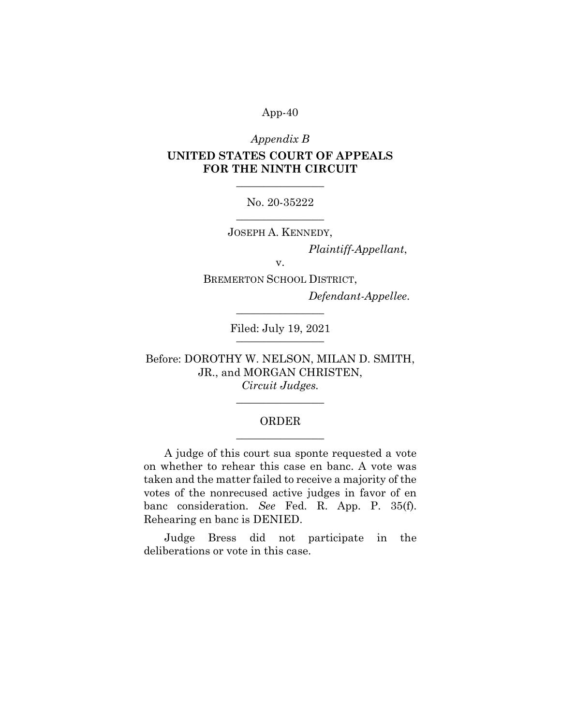#### Appendix B

# UNITED STATES COURT OF APPEALS FOR THE NINTH CIRCUIT

No. 20-35222  $\overline{\phantom{a}}$  , where  $\overline{\phantom{a}}$ 

 $\overline{\phantom{a}}$  , where  $\overline{\phantom{a}}$ 

JOSEPH A. KENNEDY,

Plaintiff-Appellant,

v.

BREMERTON SCHOOL DISTRICT,

Defendant-Appellee.

Filed: July 19, 2021  $\frac{1}{2}$ 

 $\overline{\phantom{a}}$  , where  $\overline{\phantom{a}}$ 

Before: DOROTHY W. NELSON, MILAN D. SMITH, JR., and MORGAN CHRISTEN, Circuit Judges.

# ORDER  $\overline{\phantom{a}}$  , where  $\overline{\phantom{a}}$

 $\overline{\phantom{a}}$  , where  $\overline{\phantom{a}}$ 

A judge of this court sua sponte requested a vote on whether to rehear this case en banc. A vote was taken and the matter failed to receive a majority of the votes of the nonrecused active judges in favor of en banc consideration. See Fed. R. App. P. 35(f). Rehearing en banc is DENIED.

Judge Bress did not participate in the deliberations or vote in this case.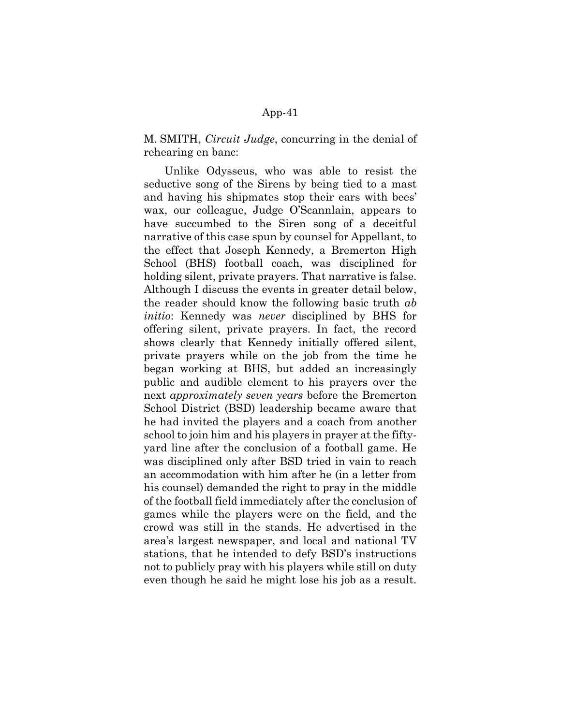M. SMITH, Circuit Judge, concurring in the denial of rehearing en banc:

Unlike Odysseus, who was able to resist the seductive song of the Sirens by being tied to a mast and having his shipmates stop their ears with bees' wax, our colleague, Judge O'Scannlain, appears to have succumbed to the Siren song of a deceitful narrative of this case spun by counsel for Appellant, to the effect that Joseph Kennedy, a Bremerton High School (BHS) football coach, was disciplined for holding silent, private prayers. That narrative is false. Although I discuss the events in greater detail below, the reader should know the following basic truth ab initio: Kennedy was never disciplined by BHS for offering silent, private prayers. In fact, the record shows clearly that Kennedy initially offered silent, private prayers while on the job from the time he began working at BHS, but added an increasingly public and audible element to his prayers over the next *approximately seven years* before the Bremerton School District (BSD) leadership became aware that he had invited the players and a coach from another school to join him and his players in prayer at the fiftyyard line after the conclusion of a football game. He was disciplined only after BSD tried in vain to reach an accommodation with him after he (in a letter from his counsel) demanded the right to pray in the middle of the football field immediately after the conclusion of games while the players were on the field, and the crowd was still in the stands. He advertised in the area's largest newspaper, and local and national TV stations, that he intended to defy BSD's instructions not to publicly pray with his players while still on duty even though he said he might lose his job as a result.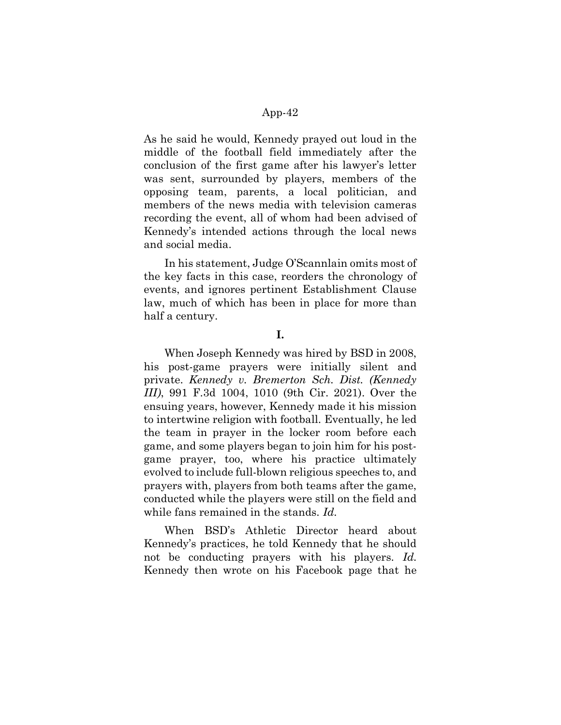As he said he would, Kennedy prayed out loud in the middle of the football field immediately after the conclusion of the first game after his lawyer's letter was sent, surrounded by players, members of the opposing team, parents, a local politician, and members of the news media with television cameras recording the event, all of whom had been advised of Kennedy's intended actions through the local news and social media.

In his statement, Judge O'Scannlain omits most of the key facts in this case, reorders the chronology of events, and ignores pertinent Establishment Clause law, much of which has been in place for more than half a century.

#### I.

When Joseph Kennedy was hired by BSD in 2008, his post-game prayers were initially silent and private. Kennedy v. Bremerton Sch. Dist. (Kennedy III), 991 F.3d 1004, 1010 (9th Cir. 2021). Over the ensuing years, however, Kennedy made it his mission to intertwine religion with football. Eventually, he led the team in prayer in the locker room before each game, and some players began to join him for his postgame prayer, too, where his practice ultimately evolved to include full-blown religious speeches to, and prayers with, players from both teams after the game, conducted while the players were still on the field and while fans remained in the stands. Id.

When BSD's Athletic Director heard about Kennedy's practices, he told Kennedy that he should not be conducting prayers with his players. Id. Kennedy then wrote on his Facebook page that he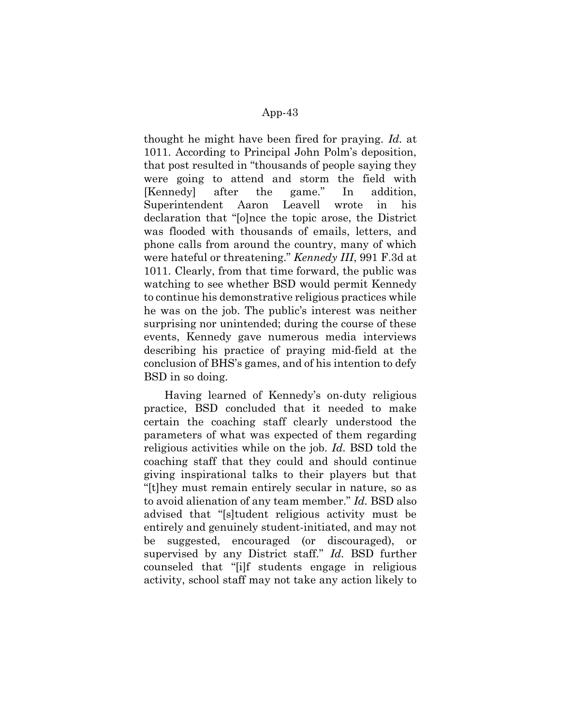thought he might have been fired for praying. Id. at 1011. According to Principal John Polm's deposition, that post resulted in "thousands of people saying they were going to attend and storm the field with [Kennedy] after the game." In addition, Superintendent Aaron Leavell wrote in his declaration that "[o]nce the topic arose, the District was flooded with thousands of emails, letters, and phone calls from around the country, many of which were hateful or threatening." Kennedy III, 991 F.3d at 1011. Clearly, from that time forward, the public was watching to see whether BSD would permit Kennedy to continue his demonstrative religious practices while he was on the job. The public's interest was neither surprising nor unintended; during the course of these events, Kennedy gave numerous media interviews describing his practice of praying mid-field at the conclusion of BHS's games, and of his intention to defy BSD in so doing.

Having learned of Kennedy's on-duty religious practice, BSD concluded that it needed to make certain the coaching staff clearly understood the parameters of what was expected of them regarding religious activities while on the job. Id. BSD told the coaching staff that they could and should continue giving inspirational talks to their players but that "[t]hey must remain entirely secular in nature, so as to avoid alienation of any team member." Id. BSD also advised that "[s]tudent religious activity must be entirely and genuinely student-initiated, and may not be suggested, encouraged (or discouraged), or supervised by any District staff." Id. BSD further counseled that "[i]f students engage in religious activity, school staff may not take any action likely to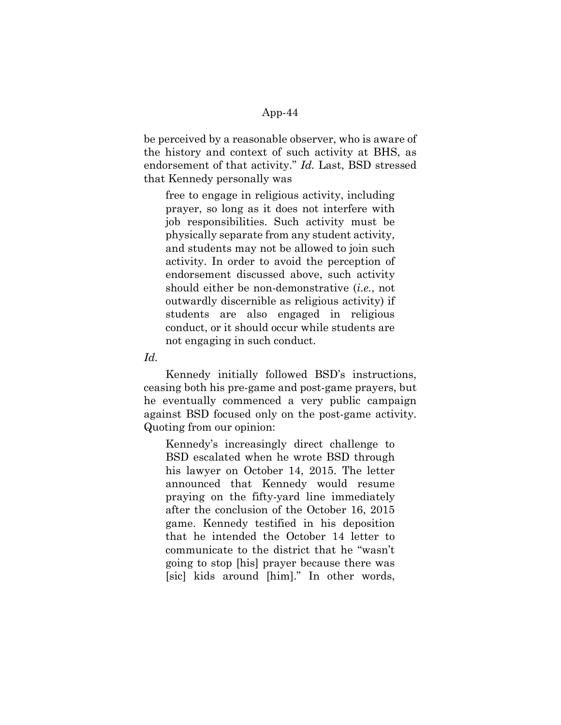be perceived by a reasonable observer, who is aware of the history and context of such activity at BHS, as endorsement of that activity." Id. Last, BSD stressed that Kennedy personally was

free to engage in religious activity, including prayer, so long as it does not interfere with job responsibilities. Such activity must be physically separate from any student activity, and students may not be allowed to join such activity. In order to avoid the perception of endorsement discussed above, such activity should either be non-demonstrative (i.e., not outwardly discernible as religious activity) if students are also engaged in religious conduct, or it should occur while students are not engaging in such conduct.

Id.

Kennedy initially followed BSD's instructions, ceasing both his pre-game and post-game prayers, but he eventually commenced a very public campaign against BSD focused only on the post-game activity. Quoting from our opinion:

Kennedy's increasingly direct challenge to BSD escalated when he wrote BSD through his lawyer on October 14, 2015. The letter announced that Kennedy would resume praying on the fifty-yard line immediately after the conclusion of the October 16, 2015 game. Kennedy testified in his deposition that he intended the October 14 letter to communicate to the district that he "wasn't going to stop [his] prayer because there was [sic] kids around [him]." In other words,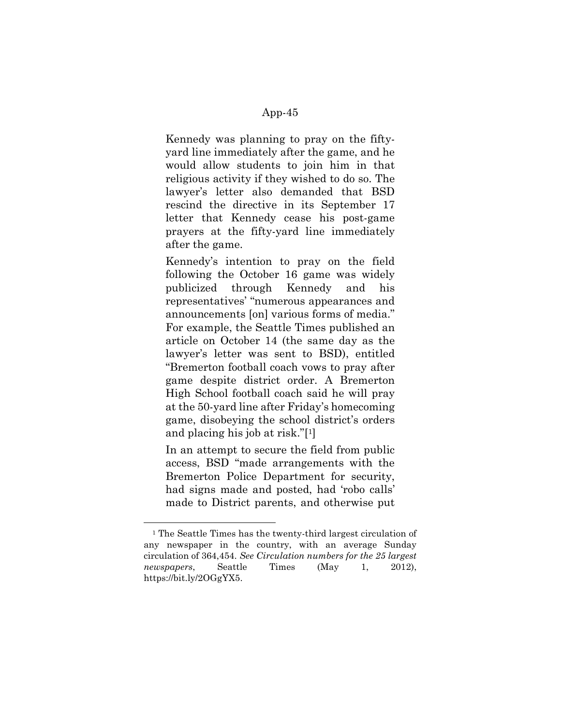Kennedy was planning to pray on the fiftyyard line immediately after the game, and he would allow students to join him in that religious activity if they wished to do so. The lawyer's letter also demanded that BSD rescind the directive in its September 17 letter that Kennedy cease his post-game prayers at the fifty-yard line immediately after the game.

Kennedy's intention to pray on the field following the October 16 game was widely publicized through Kennedy and his representatives' "numerous appearances and announcements [on] various forms of media." For example, the Seattle Times published an article on October 14 (the same day as the lawyer's letter was sent to BSD), entitled "Bremerton football coach vows to pray after game despite district order. A Bremerton High School football coach said he will pray at the 50-yard line after Friday's homecoming game, disobeying the school district's orders and placing his job at risk."[1]

In an attempt to secure the field from public access, BSD "made arrangements with the Bremerton Police Department for security, had signs made and posted, had 'robo calls' made to District parents, and otherwise put

<sup>1</sup> The Seattle Times has the twenty-third largest circulation of any newspaper in the country, with an average Sunday circulation of 364,454. See Circulation numbers for the 25 largest newspapers, Seattle Times (May 1, 2012), https://bit.ly/2OGgYX5.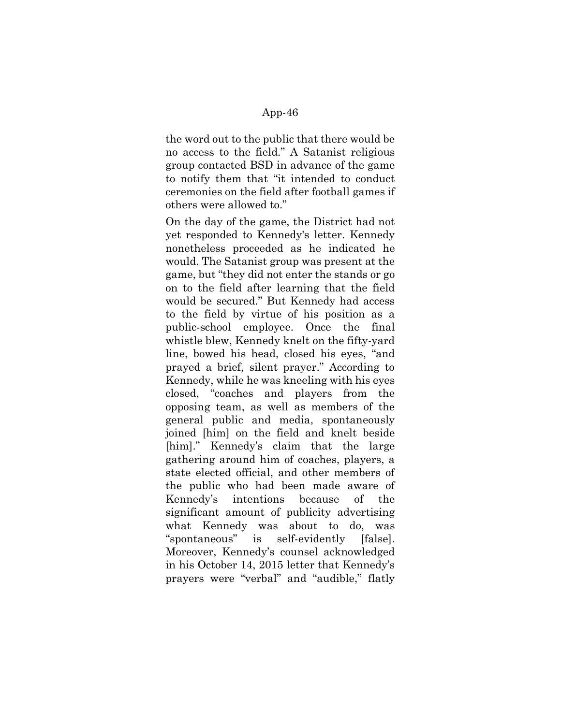the word out to the public that there would be no access to the field." A Satanist religious group contacted BSD in advance of the game to notify them that "it intended to conduct ceremonies on the field after football games if others were allowed to."

On the day of the game, the District had not yet responded to Kennedy's letter. Kennedy nonetheless proceeded as he indicated he would. The Satanist group was present at the game, but "they did not enter the stands or go on to the field after learning that the field would be secured." But Kennedy had access to the field by virtue of his position as a public-school employee. Once the final whistle blew, Kennedy knelt on the fifty-yard line, bowed his head, closed his eyes, "and prayed a brief, silent prayer." According to Kennedy, while he was kneeling with his eyes closed, "coaches and players from the opposing team, as well as members of the general public and media, spontaneously joined [him] on the field and knelt beside [him]." Kennedy's claim that the large gathering around him of coaches, players, a state elected official, and other members of the public who had been made aware of Kennedy's intentions because of the significant amount of publicity advertising what Kennedy was about to do, was "spontaneous" is self-evidently [false]. Moreover, Kennedy's counsel acknowledged in his October 14, 2015 letter that Kennedy's prayers were "verbal" and "audible," flatly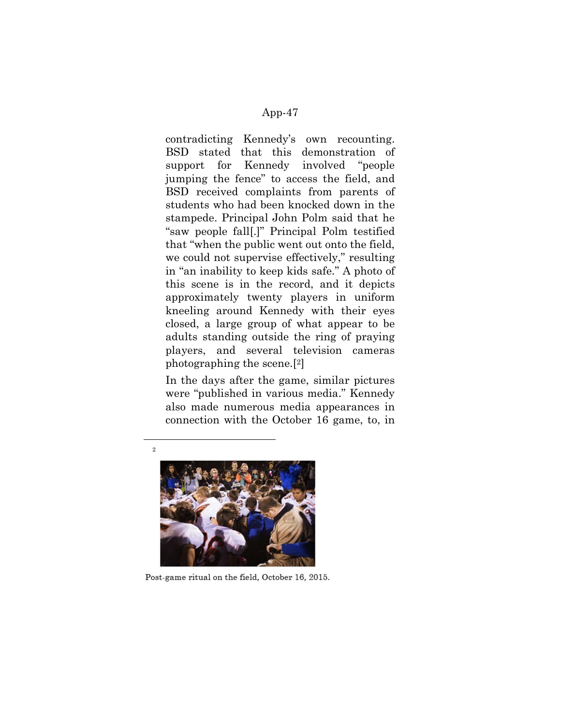contradicting Kennedy's own recounting. BSD stated that this demonstration of support for Kennedy involved "people jumping the fence" to access the field, and BSD received complaints from parents of students who had been knocked down in the stampede. Principal John Polm said that he "saw people fall[.]" Principal Polm testified that "when the public went out onto the field, we could not supervise effectively," resulting in "an inability to keep kids safe." A photo of this scene is in the record, and it depicts approximately twenty players in uniform kneeling around Kennedy with their eyes closed, a large group of what appear to be adults standing outside the ring of praying players, and several television cameras photographing the scene.[2]

In the days after the game, similar pictures were "published in various media." Kennedy also made numerous media appearances in connection with the October 16 game, to, in



Post-game ritual on the field, October 16, 2015.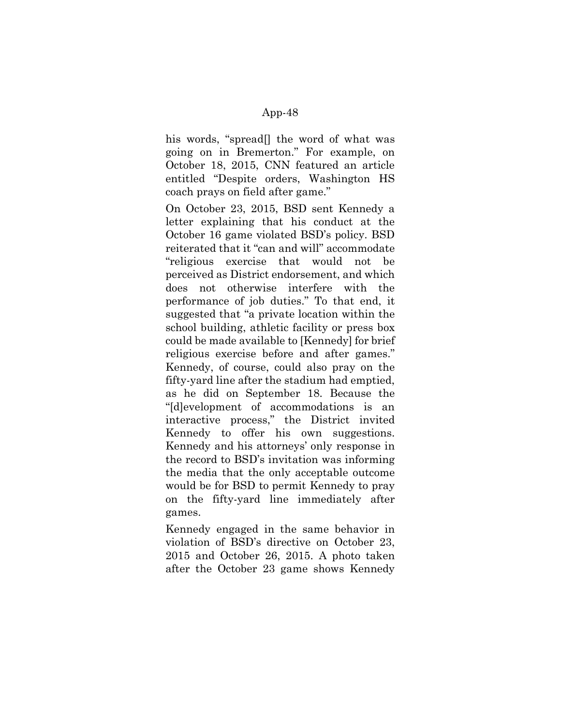his words, "spread<sup>[]</sup> the word of what was going on in Bremerton." For example, on October 18, 2015, CNN featured an article entitled "Despite orders, Washington HS coach prays on field after game."

On October 23, 2015, BSD sent Kennedy a letter explaining that his conduct at the October 16 game violated BSD's policy. BSD reiterated that it "can and will" accommodate "religious exercise that would not be perceived as District endorsement, and which does not otherwise interfere with the performance of job duties." To that end, it suggested that "a private location within the school building, athletic facility or press box could be made available to [Kennedy] for brief religious exercise before and after games." Kennedy, of course, could also pray on the fifty-yard line after the stadium had emptied, as he did on September 18. Because the "[d]evelopment of accommodations is an interactive process," the District invited Kennedy to offer his own suggestions. Kennedy and his attorneys' only response in the record to BSD's invitation was informing the media that the only acceptable outcome would be for BSD to permit Kennedy to pray on the fifty-yard line immediately after games.

Kennedy engaged in the same behavior in violation of BSD's directive on October 23, 2015 and October 26, 2015. A photo taken after the October 23 game shows Kennedy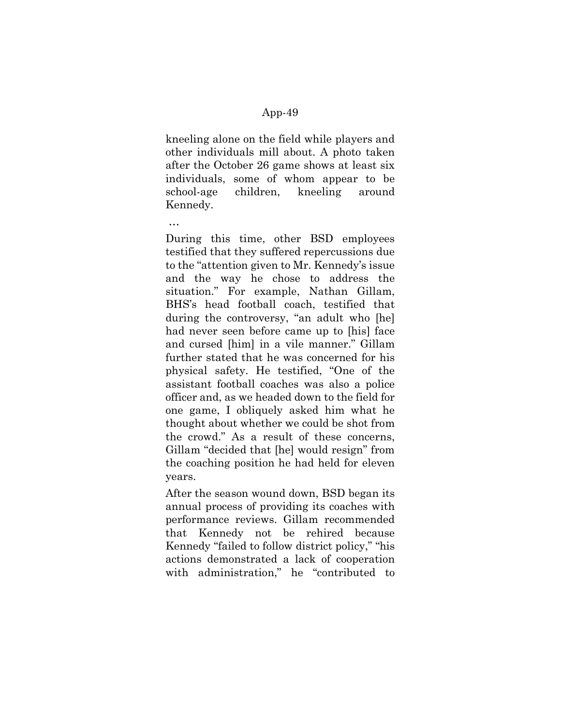kneeling alone on the field while players and other individuals mill about. A photo taken after the October 26 game shows at least six individuals, some of whom appear to be school-age children, kneeling around Kennedy.

…

During this time, other BSD employees testified that they suffered repercussions due to the "attention given to Mr. Kennedy's issue and the way he chose to address the situation." For example, Nathan Gillam, BHS's head football coach, testified that during the controversy, "an adult who [he] had never seen before came up to [his] face and cursed [him] in a vile manner." Gillam further stated that he was concerned for his physical safety. He testified, "One of the assistant football coaches was also a police officer and, as we headed down to the field for one game, I obliquely asked him what he thought about whether we could be shot from the crowd." As a result of these concerns, Gillam "decided that [he] would resign" from the coaching position he had held for eleven years.

After the season wound down, BSD began its annual process of providing its coaches with performance reviews. Gillam recommended that Kennedy not be rehired because Kennedy "failed to follow district policy," "his actions demonstrated a lack of cooperation with administration," he "contributed to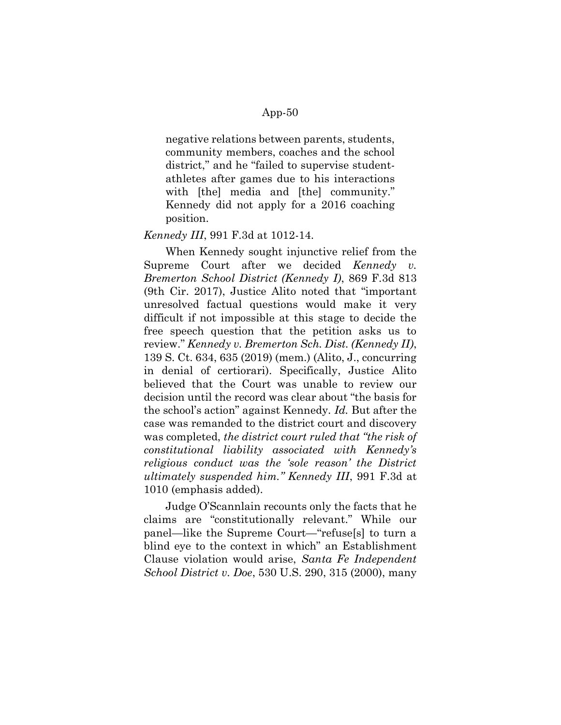negative relations between parents, students, community members, coaches and the school district," and he "failed to supervise studentathletes after games due to his interactions with [the] media and [the] community." Kennedy did not apply for a 2016 coaching position.

#### Kennedy III, 991 F.3d at 1012-14.

When Kennedy sought injunctive relief from the Supreme Court after we decided Kennedy v. Bremerton School District (Kennedy I), 869 F.3d 813 (9th Cir. 2017), Justice Alito noted that "important unresolved factual questions would make it very difficult if not impossible at this stage to decide the free speech question that the petition asks us to review." Kennedy v. Bremerton Sch. Dist. (Kennedy II), 139 S. Ct. 634, 635 (2019) (mem.) (Alito, J., concurring in denial of certiorari). Specifically, Justice Alito believed that the Court was unable to review our decision until the record was clear about "the basis for the school's action" against Kennedy. Id. But after the case was remanded to the district court and discovery was completed, the district court ruled that "the risk of constitutional liability associated with Kennedy's religious conduct was the 'sole reason' the District ultimately suspended him." Kennedy III, 991 F.3d at 1010 (emphasis added).

Judge O'Scannlain recounts only the facts that he claims are "constitutionally relevant." While our panel—like the Supreme Court—"refuse[s] to turn a blind eye to the context in which" an Establishment Clause violation would arise, Santa Fe Independent School District v. Doe, 530 U.S. 290, 315 (2000), many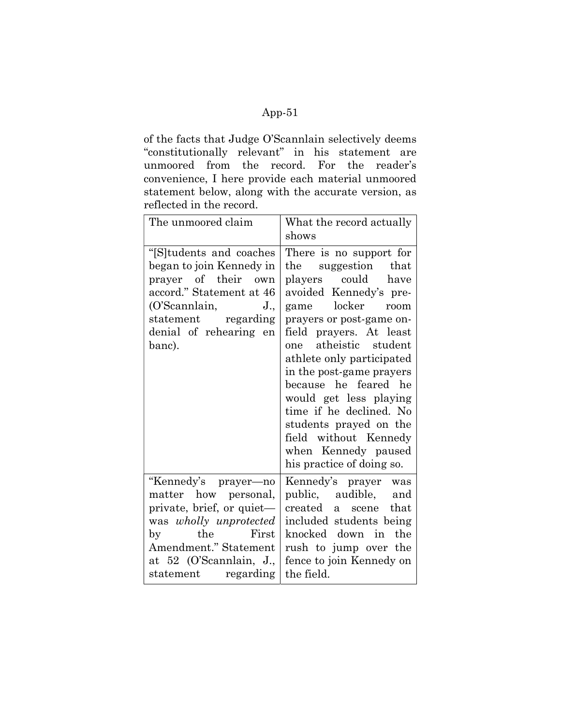of the facts that Judge O'Scannlain selectively deems "constitutionally relevant" in his statement are unmoored from the record. For the reader's convenience, I here provide each material unmoored statement below, along with the accurate version, as reflected in the record.

| The unmoored claim                                                                                                                                                                                      | What the record actually<br>shows                                                                                                                                                                                                                                                                                                                                                                                                                                    |
|---------------------------------------------------------------------------------------------------------------------------------------------------------------------------------------------------------|----------------------------------------------------------------------------------------------------------------------------------------------------------------------------------------------------------------------------------------------------------------------------------------------------------------------------------------------------------------------------------------------------------------------------------------------------------------------|
| "[S]tudents and coaches<br>began to join Kennedy in<br>prayer of their<br>own<br>accord." Statement at 46<br>(O'Scannlain,<br>$J_{\cdot}$<br>statement regarding<br>denial of rehearing en<br>banc).    | There is no support for<br>suggestion<br>that<br>the<br>could<br>players<br>have<br>avoided Kennedy's pre-<br>locker<br>game<br>room<br>prayers or post-game on-<br>field prayers. At least<br>atheistic student<br>one<br>athlete only participated<br>in the post-game prayers<br>because he feared he<br>would get less playing<br>time if he declined. No<br>students prayed on the<br>field without Kennedy<br>when Kennedy paused<br>his practice of doing so. |
| "Kennedy's prayer—no<br>matter how personal,<br>private, brief, or quiet-<br>was wholly unprotected<br>the<br>First<br>by<br>Amendment." Statement<br>at 52 (O'Scannlain, J.,<br>statement<br>regarding | Kennedy's prayer<br>was<br>public, audible, and<br>that<br>created<br>a<br>scene<br>included students being<br>knocked down in the<br>rush to jump over the<br>fence to join Kennedy on<br>the field.                                                                                                                                                                                                                                                                |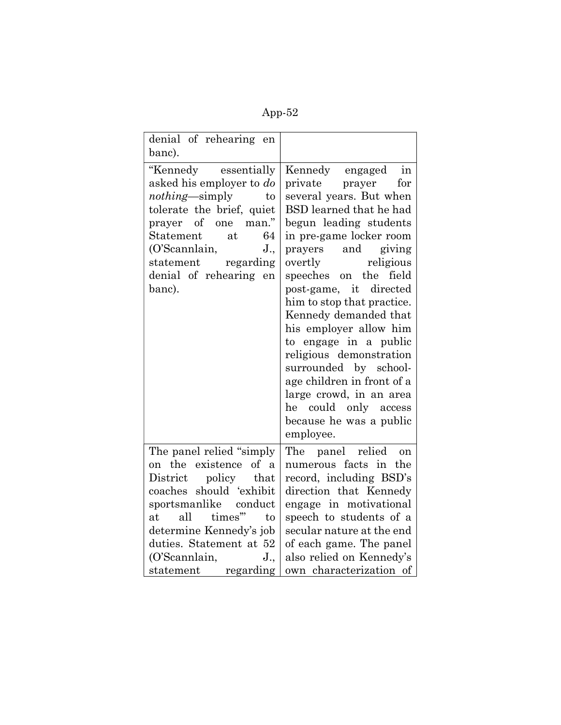| ı۲<br>n |
|---------|
|---------|

| denial of rehearing en<br>banc).                                                                                                                                                                                                                                           |                                                                                                                                                                                                                                                                                                                                                                                                                                                                                                                                                         |
|----------------------------------------------------------------------------------------------------------------------------------------------------------------------------------------------------------------------------------------------------------------------------|---------------------------------------------------------------------------------------------------------------------------------------------------------------------------------------------------------------------------------------------------------------------------------------------------------------------------------------------------------------------------------------------------------------------------------------------------------------------------------------------------------------------------------------------------------|
| "Kennedy essentially<br>asked his employer to do<br>nothing-simply<br>to<br>tolerate the brief, quiet<br>of one<br>man."<br>prayer<br>Statement<br>64<br>at<br>$J_{\cdot}$<br>(O'Scannlain,<br>statement regarding<br>denial of rehearing en<br>banc).                     | Kennedy engaged<br>in<br>private prayer<br>for<br>several years. But when<br>BSD learned that he had<br>begun leading students<br>in pre-game locker room<br>prayers and giving<br>overtly<br>religious<br>speeches on the field<br>directed<br>post-game, it<br>him to stop that practice.<br>Kennedy demanded that<br>his employer allow him<br>to engage in a public<br>religious demonstration<br>surrounded by school-<br>age children in front of a<br>large crowd, in an area<br>could only access<br>he<br>because he was a public<br>employee. |
| The panel relied "simply<br>on the existence of a<br>District policy that<br>coaches should 'exhibit<br>sportsmanlike<br>conduct<br>times"<br>all<br>at<br>to<br>determine Kennedy's job<br>duties. Statement at 52<br>(O'Scannlain,<br>$J_{\cdot}$<br>statement regarding | The panel relied<br><sub>on</sub><br>numerous facts in<br>the<br>record, including BSD's<br>direction that Kennedy<br>engage in motivational<br>speech to students of a<br>secular nature at the end<br>of each game. The panel<br>also relied on Kennedy's<br>own characterization of                                                                                                                                                                                                                                                                  |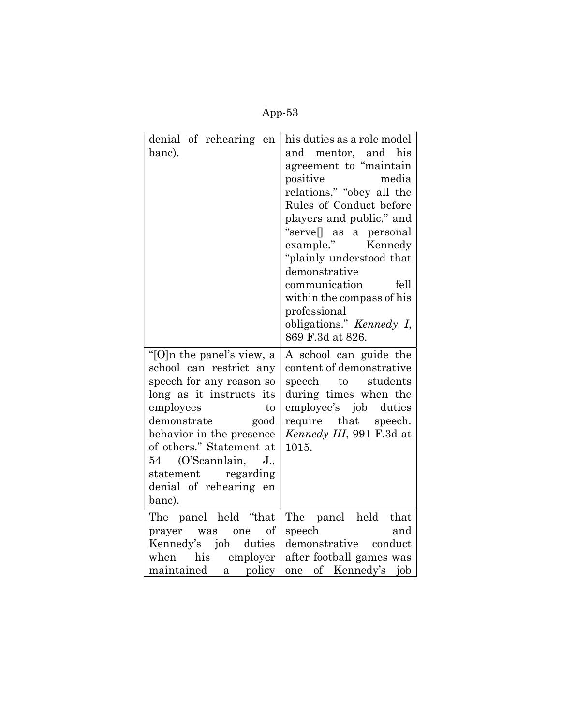| m |
|---|
|---|

| denial of rehearing en<br>banc).                                                                                                                                                                                                                                                                                | his duties as a role model<br>and mentor, and his<br>agreement to "maintain<br>media<br>positive<br>relations," "obey all the<br>Rules of Conduct before<br>players and public," and<br>"servell as a personal<br>example."<br>Kennedy<br>"plainly understood that<br>demonstrative<br>communication<br>fell<br>within the compass of his<br>professional<br>obligations." Kennedy I,<br>869 F.3d at 826. |
|-----------------------------------------------------------------------------------------------------------------------------------------------------------------------------------------------------------------------------------------------------------------------------------------------------------------|-----------------------------------------------------------------------------------------------------------------------------------------------------------------------------------------------------------------------------------------------------------------------------------------------------------------------------------------------------------------------------------------------------------|
| "[O]n the panel's view, a<br>school can restrict any<br>speech for any reason so<br>long as it instructs its<br>employees<br>to<br>demonstrate<br>good<br>behavior in the presence<br>of others." Statement at<br>(O'Scannlain,<br>54<br>$J_{\cdot}$<br>statement regarding<br>denial of rehearing en<br>banc). | A school can guide the<br>content of demonstrative<br>speech to students<br>during times when the<br>employee's job<br>duties<br>require that speech.<br>Kennedy III, 991 F.3d at<br>1015.                                                                                                                                                                                                                |
| The panel held "that<br>of<br>prayer was<br>one<br>Kennedy's job<br>duties<br>when his employer<br>maintained<br>a policy                                                                                                                                                                                       | The panel held<br>that<br>speech<br>and<br>demonstrative conduct<br>after football games was<br>one of Kennedy's job                                                                                                                                                                                                                                                                                      |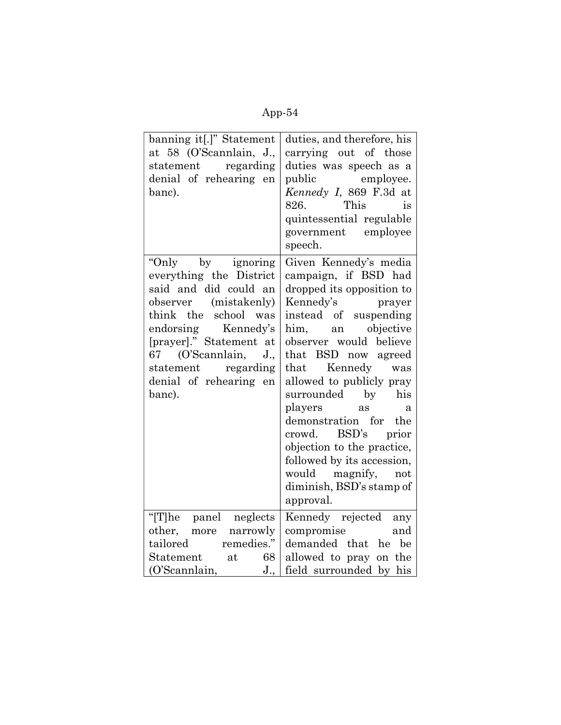| ۱<br>r<br>I |
|-------------|
|-------------|

| banning it[.]" Statement<br>at 58 (O'Scannlain, J.,<br>statement regarding<br>denial of rehearing en<br>banc).                                                                                                                                              | duties, and therefore, his<br>carrying out of those<br>duties was speech as a<br>public employee.<br>Kennedy I, 869 F.3d at<br>This<br>826.<br>is<br>quintessential regulable<br>government employee<br>speech.                                                                                                                                                                                                                                                                    |
|-------------------------------------------------------------------------------------------------------------------------------------------------------------------------------------------------------------------------------------------------------------|------------------------------------------------------------------------------------------------------------------------------------------------------------------------------------------------------------------------------------------------------------------------------------------------------------------------------------------------------------------------------------------------------------------------------------------------------------------------------------|
| "Only by ignoring<br>everything the District<br>said and did could an<br>observer (mistakenly)<br>think the school was<br>endorsing Kennedy's<br>[prayer]." Statement at<br>67 (O'Scannlain, J.,<br>statement regarding<br>denial of rehearing en<br>banc). | Given Kennedy's media<br>campaign, if BSD had<br>dropped its opposition to<br>Kennedy's prayer<br>instead of suspending<br>him,<br>an objective<br>observer would believe<br>that BSD<br>now agreed<br>that Kennedy was<br>allowed to publicly pray<br>surrounded by his<br>players<br>as<br>$\alpha$<br>demonstration for the<br>crowd. BSD's prior<br>objection to the practice,<br>followed by its accession,<br>would magnify,<br>not<br>diminish, BSD's stamp of<br>approval. |
| "[T]he panel neglects<br>narrowly<br>other, more<br>tailored remedies."<br>Statement at<br>68<br>(O'Scannlain,<br>$J_{\cdot}$                                                                                                                               | Kennedy rejected any<br>compromise<br>and<br>demanded that he be<br>allowed to pray on the<br>field surrounded by his                                                                                                                                                                                                                                                                                                                                                              |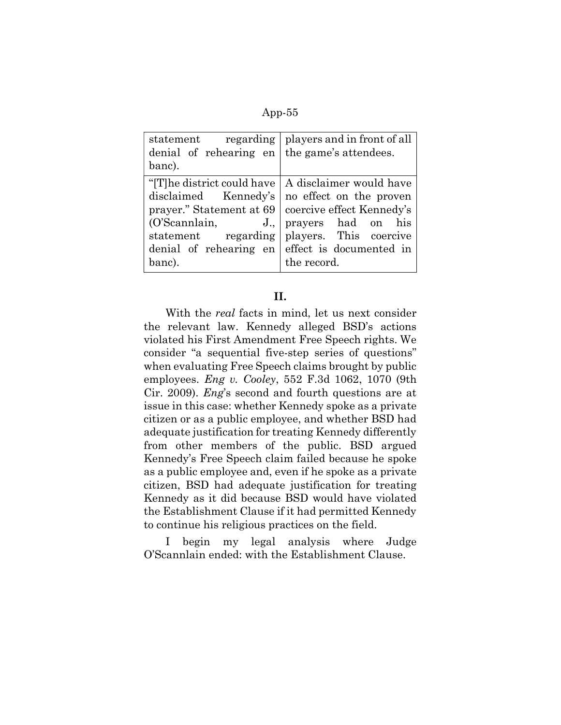| regarding   players and in front of all         |
|-------------------------------------------------|
| the game's attendees.                           |
|                                                 |
| A disclaimer would have                         |
| disclaimed Kennedy's<br>no effect on the proven |
| coercive effect Kennedy's                       |
| prayers had on his                              |
| statement regarding players. This coercive      |
| denial of rehearing en effect is documented in  |
| the record.                                     |
|                                                 |

## II.

With the *real* facts in mind, let us next consider the relevant law. Kennedy alleged BSD's actions violated his First Amendment Free Speech rights. We consider "a sequential five-step series of questions" when evaluating Free Speech claims brought by public employees. Eng v. Cooley, 552 F.3d 1062, 1070 (9th Cir. 2009). Eng's second and fourth questions are at issue in this case: whether Kennedy spoke as a private citizen or as a public employee, and whether BSD had adequate justification for treating Kennedy differently from other members of the public. BSD argued Kennedy's Free Speech claim failed because he spoke as a public employee and, even if he spoke as a private citizen, BSD had adequate justification for treating Kennedy as it did because BSD would have violated the Establishment Clause if it had permitted Kennedy to continue his religious practices on the field.

I begin my legal analysis where Judge O'Scannlain ended: with the Establishment Clause.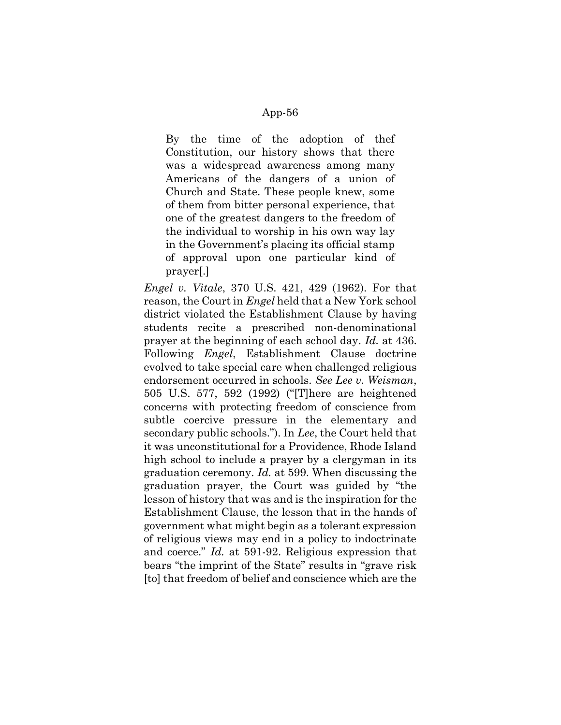By the time of the adoption of thef Constitution, our history shows that there was a widespread awareness among many Americans of the dangers of a union of Church and State. These people knew, some of them from bitter personal experience, that one of the greatest dangers to the freedom of the individual to worship in his own way lay in the Government's placing its official stamp of approval upon one particular kind of prayer[.]

Engel v. Vitale, 370 U.S. 421, 429 (1962). For that reason, the Court in *Engel* held that a New York school district violated the Establishment Clause by having students recite a prescribed non-denominational prayer at the beginning of each school day. Id. at 436. Following Engel, Establishment Clause doctrine evolved to take special care when challenged religious endorsement occurred in schools. See Lee v. Weisman, 505 U.S. 577, 592 (1992) ("[T]here are heightened concerns with protecting freedom of conscience from subtle coercive pressure in the elementary and secondary public schools."). In Lee, the Court held that it was unconstitutional for a Providence, Rhode Island high school to include a prayer by a clergyman in its graduation ceremony. Id. at 599. When discussing the graduation prayer, the Court was guided by "the lesson of history that was and is the inspiration for the Establishment Clause, the lesson that in the hands of government what might begin as a tolerant expression of religious views may end in a policy to indoctrinate and coerce." Id. at 591-92. Religious expression that bears "the imprint of the State" results in "grave risk [to] that freedom of belief and conscience which are the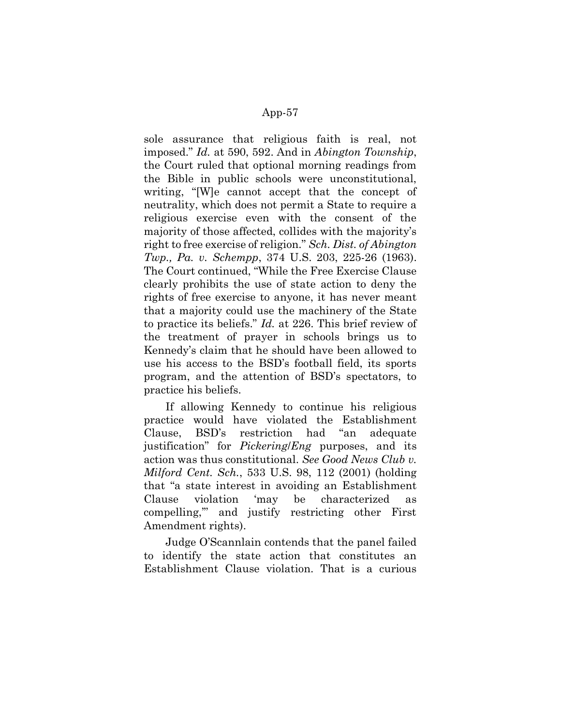sole assurance that religious faith is real, not imposed." Id. at 590, 592. And in Abington Township, the Court ruled that optional morning readings from the Bible in public schools were unconstitutional, writing, "[W]e cannot accept that the concept of neutrality, which does not permit a State to require a religious exercise even with the consent of the majority of those affected, collides with the majority's right to free exercise of religion." Sch. Dist. of Abington Twp., Pa. v. Schempp, 374 U.S. 203, 225-26 (1963). The Court continued, "While the Free Exercise Clause clearly prohibits the use of state action to deny the rights of free exercise to anyone, it has never meant that a majority could use the machinery of the State to practice its beliefs." Id. at 226. This brief review of the treatment of prayer in schools brings us to Kennedy's claim that he should have been allowed to use his access to the BSD's football field, its sports program, and the attention of BSD's spectators, to practice his beliefs.

If allowing Kennedy to continue his religious practice would have violated the Establishment Clause, BSD's restriction had "an adequate justification" for Pickering/Eng purposes, and its action was thus constitutional. See Good News Club v. Milford Cent. Sch., 533 U.S. 98, 112 (2001) (holding that "a state interest in avoiding an Establishment Clause violation 'may be characterized as compelling,'" and justify restricting other First Amendment rights).

Judge O'Scannlain contends that the panel failed to identify the state action that constitutes an Establishment Clause violation. That is a curious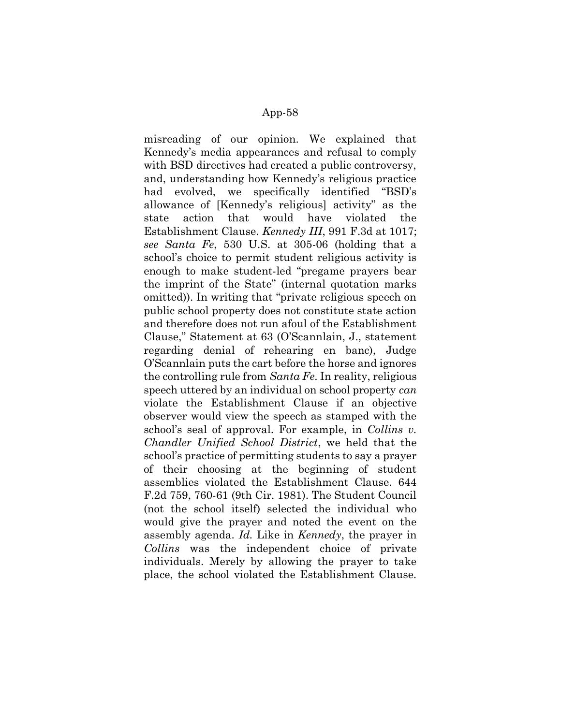misreading of our opinion. We explained that Kennedy's media appearances and refusal to comply with BSD directives had created a public controversy, and, understanding how Kennedy's religious practice had evolved, we specifically identified "BSD's allowance of [Kennedy's religious] activity" as the state action that would have violated the Establishment Clause. Kennedy III, 991 F.3d at 1017; see Santa Fe, 530 U.S. at 305-06 (holding that a school's choice to permit student religious activity is enough to make student-led "pregame prayers bear the imprint of the State" (internal quotation marks omitted)). In writing that "private religious speech on public school property does not constitute state action and therefore does not run afoul of the Establishment Clause," Statement at 63 (O'Scannlain, J., statement regarding denial of rehearing en banc), Judge O'Scannlain puts the cart before the horse and ignores the controlling rule from Santa Fe. In reality, religious speech uttered by an individual on school property can violate the Establishment Clause if an objective observer would view the speech as stamped with the school's seal of approval. For example, in *Collins v*. Chandler Unified School District, we held that the school's practice of permitting students to say a prayer of their choosing at the beginning of student assemblies violated the Establishment Clause. 644 F.2d 759, 760-61 (9th Cir. 1981). The Student Council (not the school itself) selected the individual who would give the prayer and noted the event on the assembly agenda. Id. Like in Kennedy, the prayer in Collins was the independent choice of private individuals. Merely by allowing the prayer to take place, the school violated the Establishment Clause.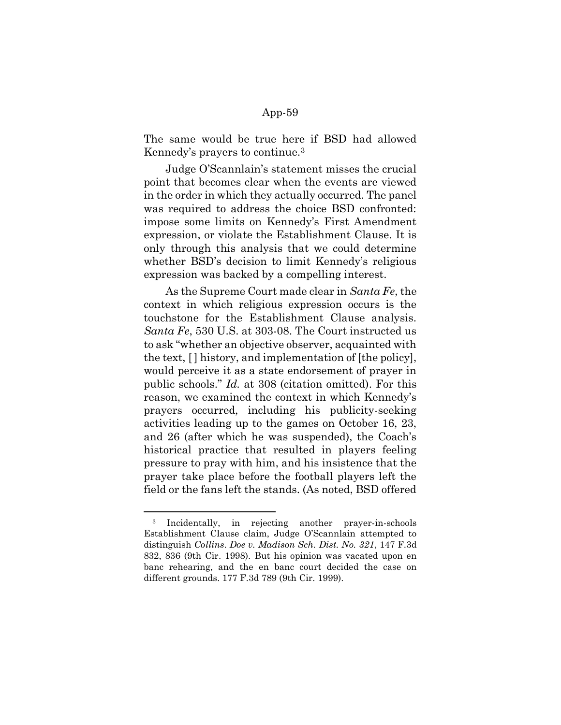The same would be true here if BSD had allowed Kennedy's prayers to continue.<sup>3</sup>

Judge O'Scannlain's statement misses the crucial point that becomes clear when the events are viewed in the order in which they actually occurred. The panel was required to address the choice BSD confronted: impose some limits on Kennedy's First Amendment expression, or violate the Establishment Clause. It is only through this analysis that we could determine whether BSD's decision to limit Kennedy's religious expression was backed by a compelling interest.

As the Supreme Court made clear in Santa Fe, the context in which religious expression occurs is the touchstone for the Establishment Clause analysis. Santa Fe, 530 U.S. at 303-08. The Court instructed us to ask "whether an objective observer, acquainted with the text, [ ] history, and implementation of [the policy], would perceive it as a state endorsement of prayer in public schools." Id. at 308 (citation omitted). For this reason, we examined the context in which Kennedy's prayers occurred, including his publicity-seeking activities leading up to the games on October 16, 23, and 26 (after which he was suspended), the Coach's historical practice that resulted in players feeling pressure to pray with him, and his insistence that the prayer take place before the football players left the field or the fans left the stands. (As noted, BSD offered

<sup>3</sup> Incidentally, in rejecting another prayer-in-schools Establishment Clause claim, Judge O'Scannlain attempted to distinguish Collins. Doe v. Madison Sch. Dist. No. 321, 147 F.3d 832, 836 (9th Cir. 1998). But his opinion was vacated upon en banc rehearing, and the en banc court decided the case on different grounds. 177 F.3d 789 (9th Cir. 1999).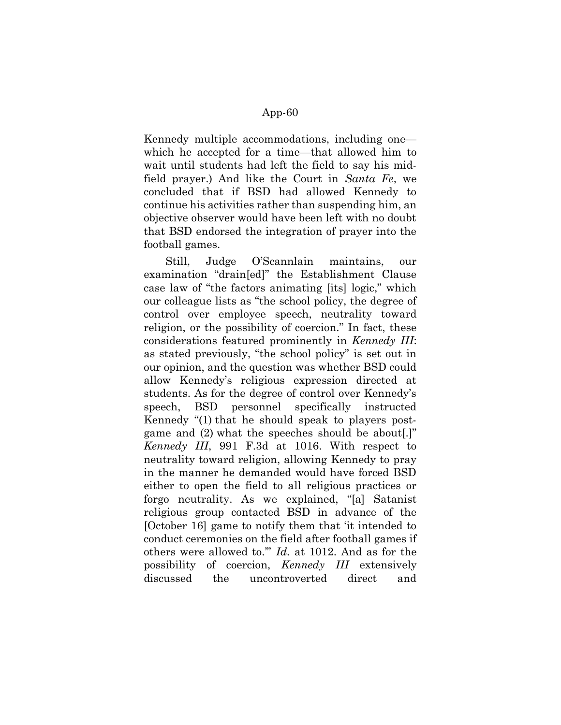Kennedy multiple accommodations, including one which he accepted for a time—that allowed him to wait until students had left the field to say his midfield prayer.) And like the Court in Santa Fe, we concluded that if BSD had allowed Kennedy to continue his activities rather than suspending him, an objective observer would have been left with no doubt that BSD endorsed the integration of prayer into the football games.

Still, Judge O'Scannlain maintains, our examination "drain[ed]" the Establishment Clause case law of "the factors animating [its] logic," which our colleague lists as "the school policy, the degree of control over employee speech, neutrality toward religion, or the possibility of coercion." In fact, these considerations featured prominently in Kennedy III: as stated previously, "the school policy" is set out in our opinion, and the question was whether BSD could allow Kennedy's religious expression directed at students. As for the degree of control over Kennedy's speech, BSD personnel specifically instructed Kennedy "(1) that he should speak to players postgame and (2) what the speeches should be about[.]" Kennedy III, 991 F.3d at 1016. With respect to neutrality toward religion, allowing Kennedy to pray in the manner he demanded would have forced BSD either to open the field to all religious practices or forgo neutrality. As we explained, "[a] Satanist religious group contacted BSD in advance of the [October 16] game to notify them that 'it intended to conduct ceremonies on the field after football games if others were allowed to.'" Id. at 1012. And as for the possibility of coercion, Kennedy III extensively discussed the uncontroverted direct and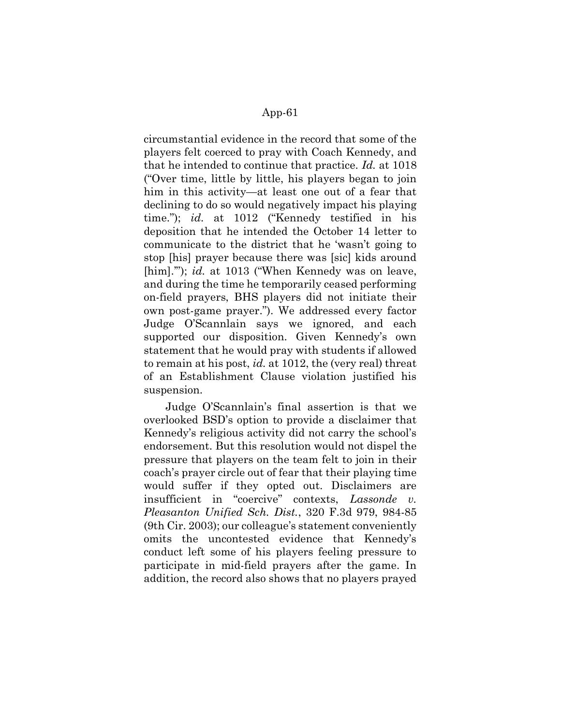circumstantial evidence in the record that some of the players felt coerced to pray with Coach Kennedy, and that he intended to continue that practice. Id. at 1018 ("Over time, little by little, his players began to join him in this activity—at least one out of a fear that declining to do so would negatively impact his playing time."); id. at 1012 ("Kennedy testified in his deposition that he intended the October 14 letter to communicate to the district that he 'wasn't going to stop [his] prayer because there was [sic] kids around [him].""); id. at 1013 ("When Kennedy was on leave, and during the time he temporarily ceased performing on-field prayers, BHS players did not initiate their own post-game prayer."). We addressed every factor Judge O'Scannlain says we ignored, and each supported our disposition. Given Kennedy's own statement that he would pray with students if allowed to remain at his post, id. at 1012, the (very real) threat of an Establishment Clause violation justified his suspension.

Judge O'Scannlain's final assertion is that we overlooked BSD's option to provide a disclaimer that Kennedy's religious activity did not carry the school's endorsement. But this resolution would not dispel the pressure that players on the team felt to join in their coach's prayer circle out of fear that their playing time would suffer if they opted out. Disclaimers are insufficient in "coercive" contexts, Lassonde v. Pleasanton Unified Sch. Dist., 320 F.3d 979, 984-85 (9th Cir. 2003); our colleague's statement conveniently omits the uncontested evidence that Kennedy's conduct left some of his players feeling pressure to participate in mid-field prayers after the game. In addition, the record also shows that no players prayed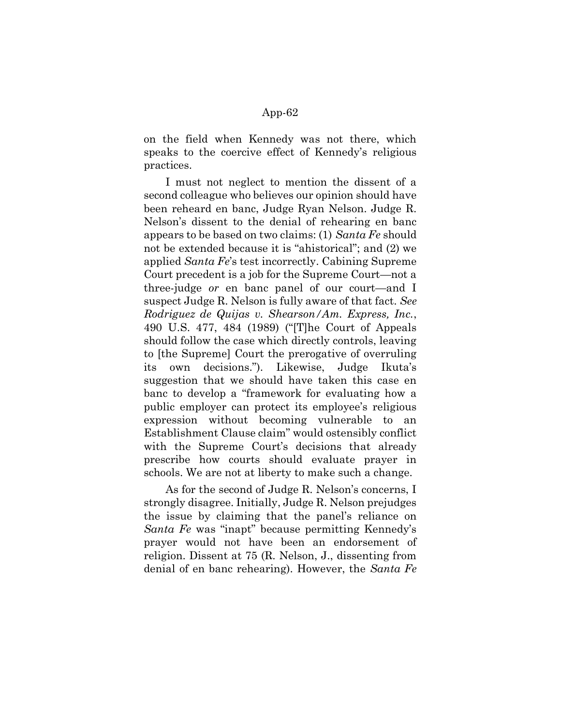on the field when Kennedy was not there, which speaks to the coercive effect of Kennedy's religious practices.

I must not neglect to mention the dissent of a second colleague who believes our opinion should have been reheard en banc, Judge Ryan Nelson. Judge R. Nelson's dissent to the denial of rehearing en banc appears to be based on two claims: (1) Santa Fe should not be extended because it is "ahistorical"; and (2) we applied Santa Fe's test incorrectly. Cabining Supreme Court precedent is a job for the Supreme Court—not a three-judge or en banc panel of our court—and I suspect Judge R. Nelson is fully aware of that fact. See Rodriguez de Quijas v. Shearson/Am. Express, Inc., 490 U.S. 477, 484 (1989) ("[T]he Court of Appeals should follow the case which directly controls, leaving to [the Supreme] Court the prerogative of overruling its own decisions."). Likewise, Judge Ikuta's suggestion that we should have taken this case en banc to develop a "framework for evaluating how a public employer can protect its employee's religious expression without becoming vulnerable to an Establishment Clause claim" would ostensibly conflict with the Supreme Court's decisions that already prescribe how courts should evaluate prayer in schools. We are not at liberty to make such a change.

As for the second of Judge R. Nelson's concerns, I strongly disagree. Initially, Judge R. Nelson prejudges the issue by claiming that the panel's reliance on Santa Fe was "inapt" because permitting Kennedy's prayer would not have been an endorsement of religion. Dissent at 75 (R. Nelson, J., dissenting from denial of en banc rehearing). However, the Santa Fe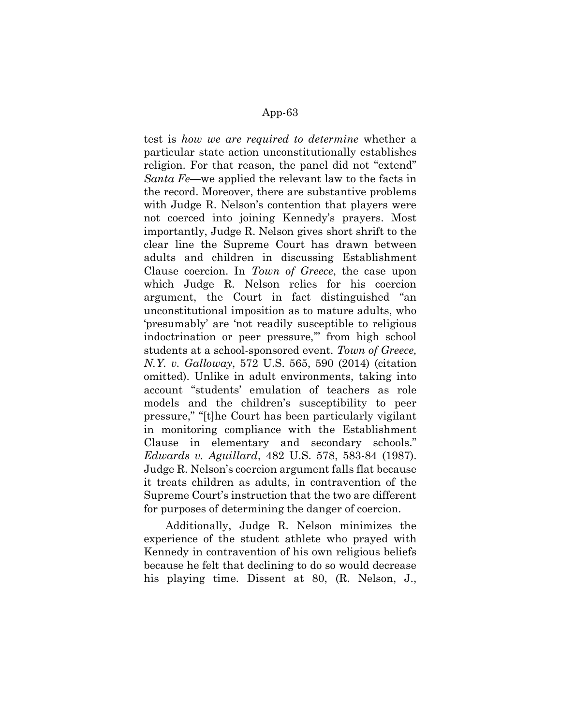test is how we are required to determine whether a particular state action unconstitutionally establishes religion. For that reason, the panel did not "extend" Santa Fe—we applied the relevant law to the facts in the record. Moreover, there are substantive problems with Judge R. Nelson's contention that players were not coerced into joining Kennedy's prayers. Most importantly, Judge R. Nelson gives short shrift to the clear line the Supreme Court has drawn between adults and children in discussing Establishment Clause coercion. In Town of Greece, the case upon which Judge R. Nelson relies for his coercion argument, the Court in fact distinguished "an unconstitutional imposition as to mature adults, who 'presumably' are 'not readily susceptible to religious indoctrination or peer pressure,'" from high school students at a school-sponsored event. Town of Greece, N.Y. v. Galloway, 572 U.S. 565, 590 (2014) (citation omitted). Unlike in adult environments, taking into account "students' emulation of teachers as role models and the children's susceptibility to peer pressure," "[t]he Court has been particularly vigilant in monitoring compliance with the Establishment Clause in elementary and secondary schools." Edwards v. Aguillard, 482 U.S. 578, 583-84 (1987). Judge R. Nelson's coercion argument falls flat because it treats children as adults, in contravention of the Supreme Court's instruction that the two are different for purposes of determining the danger of coercion.

Additionally, Judge R. Nelson minimizes the experience of the student athlete who prayed with Kennedy in contravention of his own religious beliefs because he felt that declining to do so would decrease his playing time. Dissent at 80, (R. Nelson, J.,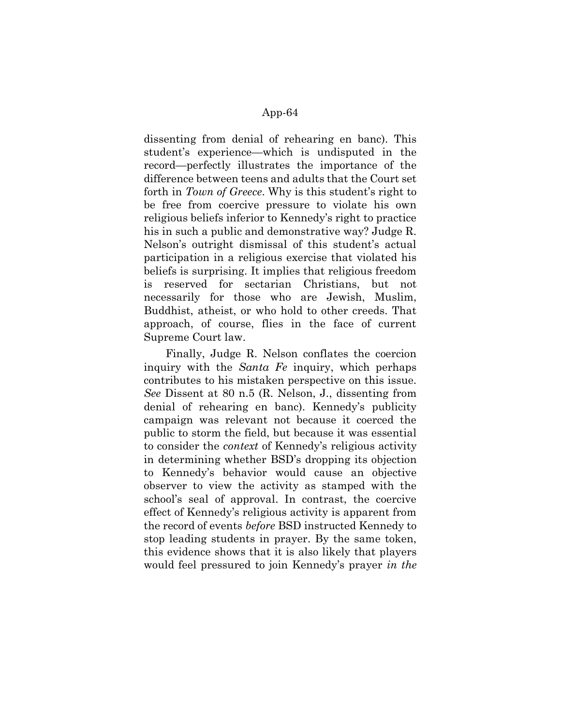dissenting from denial of rehearing en banc). This student's experience—which is undisputed in the record—perfectly illustrates the importance of the difference between teens and adults that the Court set forth in Town of Greece. Why is this student's right to be free from coercive pressure to violate his own religious beliefs inferior to Kennedy's right to practice his in such a public and demonstrative way? Judge R. Nelson's outright dismissal of this student's actual participation in a religious exercise that violated his beliefs is surprising. It implies that religious freedom is reserved for sectarian Christians, but not necessarily for those who are Jewish, Muslim, Buddhist, atheist, or who hold to other creeds. That approach, of course, flies in the face of current Supreme Court law.

Finally, Judge R. Nelson conflates the coercion inquiry with the Santa Fe inquiry, which perhaps contributes to his mistaken perspective on this issue. See Dissent at 80 n.5 (R. Nelson, J., dissenting from denial of rehearing en banc). Kennedy's publicity campaign was relevant not because it coerced the public to storm the field, but because it was essential to consider the context of Kennedy's religious activity in determining whether BSD's dropping its objection to Kennedy's behavior would cause an objective observer to view the activity as stamped with the school's seal of approval. In contrast, the coercive effect of Kennedy's religious activity is apparent from the record of events before BSD instructed Kennedy to stop leading students in prayer. By the same token, this evidence shows that it is also likely that players would feel pressured to join Kennedy's prayer in the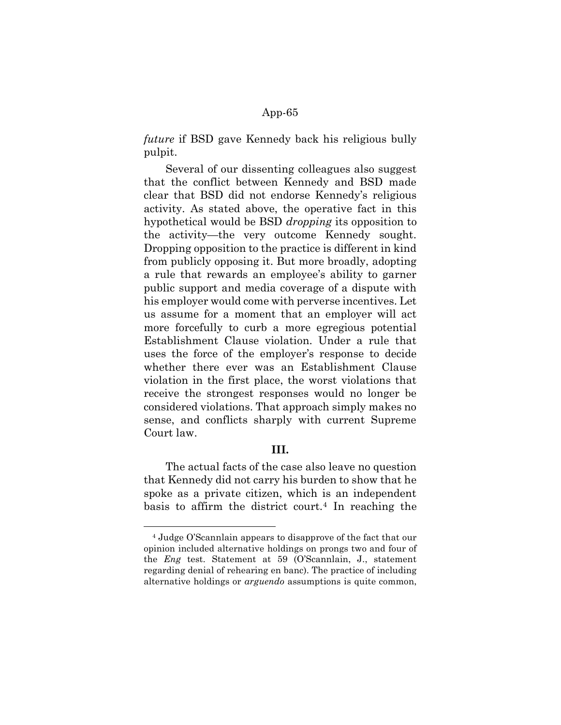future if BSD gave Kennedy back his religious bully pulpit.

Several of our dissenting colleagues also suggest that the conflict between Kennedy and BSD made clear that BSD did not endorse Kennedy's religious activity. As stated above, the operative fact in this hypothetical would be BSD dropping its opposition to the activity—the very outcome Kennedy sought. Dropping opposition to the practice is different in kind from publicly opposing it. But more broadly, adopting a rule that rewards an employee's ability to garner public support and media coverage of a dispute with his employer would come with perverse incentives. Let us assume for a moment that an employer will act more forcefully to curb a more egregious potential Establishment Clause violation. Under a rule that uses the force of the employer's response to decide whether there ever was an Establishment Clause violation in the first place, the worst violations that receive the strongest responses would no longer be considered violations. That approach simply makes no sense, and conflicts sharply with current Supreme Court law.

# III.

The actual facts of the case also leave no question that Kennedy did not carry his burden to show that he spoke as a private citizen, which is an independent basis to affirm the district court.<sup>4</sup> In reaching the

<sup>4</sup> Judge O'Scannlain appears to disapprove of the fact that our opinion included alternative holdings on prongs two and four of the Eng test. Statement at 59 (O'Scannlain, J., statement regarding denial of rehearing en banc). The practice of including alternative holdings or arguendo assumptions is quite common,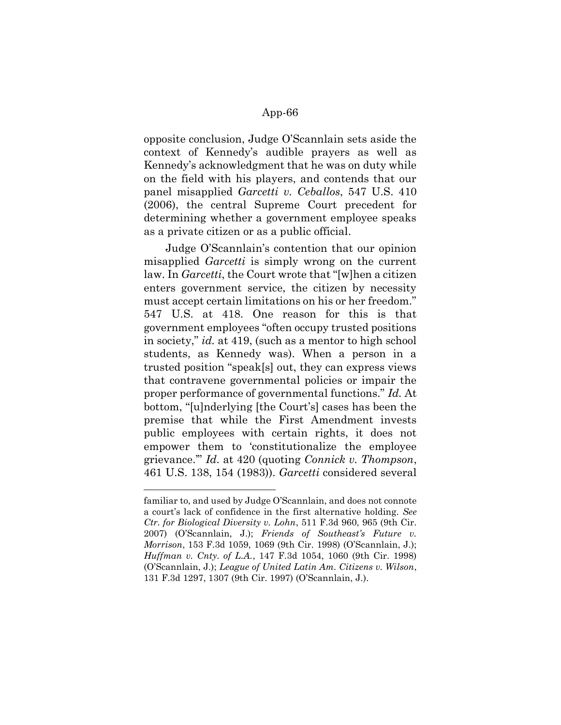opposite conclusion, Judge O'Scannlain sets aside the context of Kennedy's audible prayers as well as Kennedy's acknowledgment that he was on duty while on the field with his players, and contends that our panel misapplied Garcetti v. Ceballos, 547 U.S. 410 (2006), the central Supreme Court precedent for determining whether a government employee speaks as a private citizen or as a public official.

Judge O'Scannlain's contention that our opinion misapplied *Garcetti* is simply wrong on the current law. In *Garcetti*, the Court wrote that "[w]hen a citizen enters government service, the citizen by necessity must accept certain limitations on his or her freedom." 547 U.S. at 418. One reason for this is that government employees "often occupy trusted positions in society," id. at 419, (such as a mentor to high school students, as Kennedy was). When a person in a trusted position "speak[s] out, they can express views that contravene governmental policies or impair the proper performance of governmental functions." Id. At bottom, "[u]nderlying [the Court's] cases has been the premise that while the First Amendment invests public employees with certain rights, it does not empower them to 'constitutionalize the employee grievance.'" Id. at 420 (quoting Connick v. Thompson, 461 U.S. 138, 154 (1983)). Garcetti considered several

familiar to, and used by Judge O'Scannlain, and does not connote a court's lack of confidence in the first alternative holding. See Ctr. for Biological Diversity v. Lohn, 511 F.3d 960, 965 (9th Cir. 2007) (O'Scannlain, J.); Friends of Southeast's Future v. Morrison, 153 F.3d 1059, 1069 (9th Cir. 1998) (O'Scannlain, J.); Huffman v. Cnty. of L.A., 147 F.3d 1054, 1060 (9th Cir. 1998) (O'Scannlain, J.); League of United Latin Am. Citizens v. Wilson, 131 F.3d 1297, 1307 (9th Cir. 1997) (O'Scannlain, J.).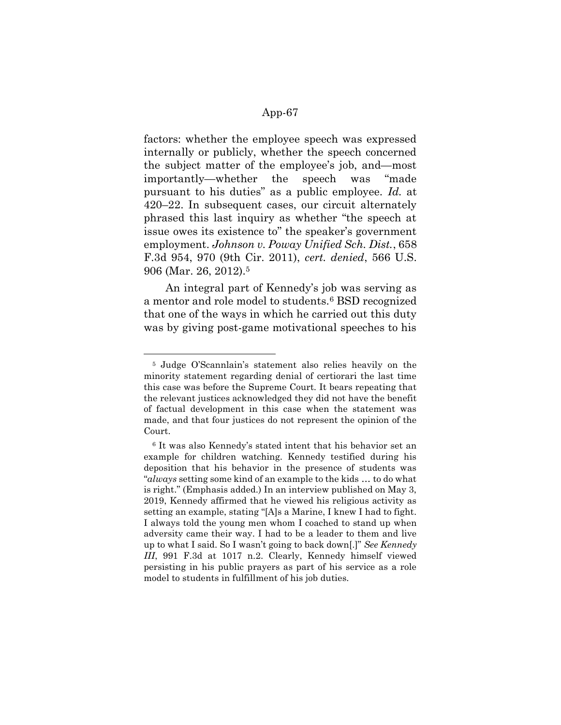factors: whether the employee speech was expressed internally or publicly, whether the speech concerned the subject matter of the employee's job, and—most importantly—whether the speech was "made pursuant to his duties" as a public employee. Id. at 420–22. In subsequent cases, our circuit alternately phrased this last inquiry as whether "the speech at issue owes its existence to" the speaker's government employment. Johnson v. Poway Unified Sch. Dist., 658 F.3d 954, 970 (9th Cir. 2011), cert. denied, 566 U.S. 906 (Mar. 26, 2012).<sup>5</sup>

An integral part of Kennedy's job was serving as a mentor and role model to students.6 BSD recognized that one of the ways in which he carried out this duty was by giving post-game motivational speeches to his

-

<sup>5</sup> Judge O'Scannlain's statement also relies heavily on the minority statement regarding denial of certiorari the last time this case was before the Supreme Court. It bears repeating that the relevant justices acknowledged they did not have the benefit of factual development in this case when the statement was made, and that four justices do not represent the opinion of the Court.

<sup>6</sup> It was also Kennedy's stated intent that his behavior set an example for children watching. Kennedy testified during his deposition that his behavior in the presence of students was "always setting some kind of an example to the kids … to do what is right." (Emphasis added.) In an interview published on May 3, 2019, Kennedy affirmed that he viewed his religious activity as setting an example, stating "[A]s a Marine, I knew I had to fight. I always told the young men whom I coached to stand up when adversity came their way. I had to be a leader to them and live up to what I said. So I wasn't going to back down[.]" See Kennedy III, 991 F.3d at 1017 n.2. Clearly, Kennedy himself viewed persisting in his public prayers as part of his service as a role model to students in fulfillment of his job duties.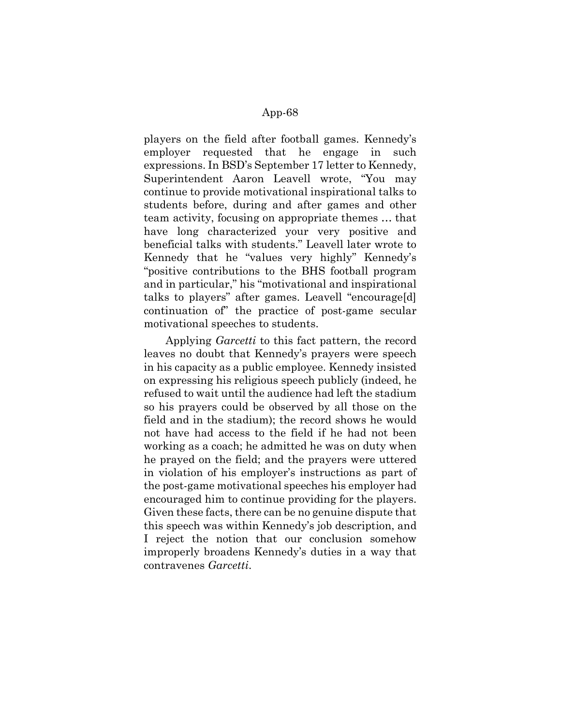players on the field after football games. Kennedy's employer requested that he engage in such expressions. In BSD's September 17 letter to Kennedy, Superintendent Aaron Leavell wrote, "You may continue to provide motivational inspirational talks to students before, during and after games and other team activity, focusing on appropriate themes … that have long characterized your very positive and beneficial talks with students." Leavell later wrote to Kennedy that he "values very highly" Kennedy's "positive contributions to the BHS football program and in particular," his "motivational and inspirational talks to players" after games. Leavell "encourage[d] continuation of" the practice of post-game secular motivational speeches to students.

Applying *Garcetti* to this fact pattern, the record leaves no doubt that Kennedy's prayers were speech in his capacity as a public employee. Kennedy insisted on expressing his religious speech publicly (indeed, he refused to wait until the audience had left the stadium so his prayers could be observed by all those on the field and in the stadium); the record shows he would not have had access to the field if he had not been working as a coach; he admitted he was on duty when he prayed on the field; and the prayers were uttered in violation of his employer's instructions as part of the post-game motivational speeches his employer had encouraged him to continue providing for the players. Given these facts, there can be no genuine dispute that this speech was within Kennedy's job description, and I reject the notion that our conclusion somehow improperly broadens Kennedy's duties in a way that contravenes Garcetti.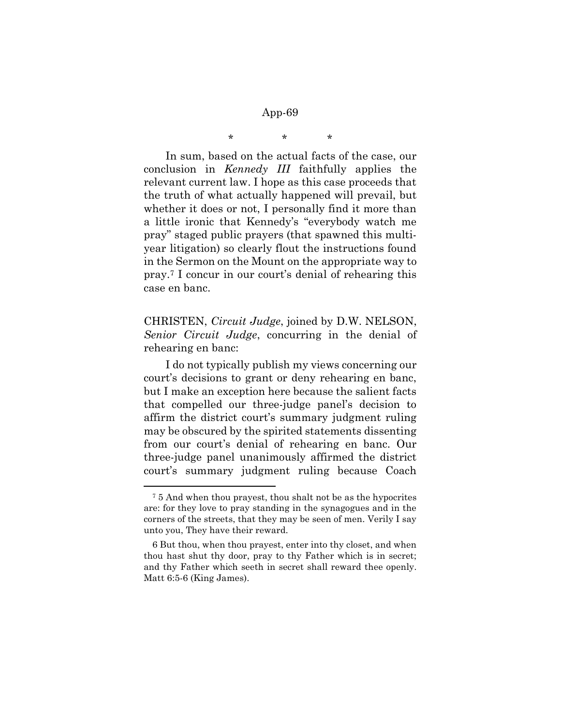# \* \* \*

In sum, based on the actual facts of the case, our conclusion in Kennedy III faithfully applies the relevant current law. I hope as this case proceeds that the truth of what actually happened will prevail, but whether it does or not, I personally find it more than a little ironic that Kennedy's "everybody watch me pray" staged public prayers (that spawned this multiyear litigation) so clearly flout the instructions found in the Sermon on the Mount on the appropriate way to pray.7 I concur in our court's denial of rehearing this case en banc.

CHRISTEN, Circuit Judge, joined by D.W. NELSON, Senior Circuit Judge, concurring in the denial of rehearing en banc:

I do not typically publish my views concerning our court's decisions to grant or deny rehearing en banc, but I make an exception here because the salient facts that compelled our three-judge panel's decision to affirm the district court's summary judgment ruling may be obscured by the spirited statements dissenting from our court's denial of rehearing en banc. Our three-judge panel unanimously affirmed the district court's summary judgment ruling because Coach

<sup>7</sup> 5 And when thou prayest, thou shalt not be as the hypocrites are: for they love to pray standing in the synagogues and in the corners of the streets, that they may be seen of men. Verily I say unto you, They have their reward.

<sup>6</sup> But thou, when thou prayest, enter into thy closet, and when thou hast shut thy door, pray to thy Father which is in secret; and thy Father which seeth in secret shall reward thee openly. Matt 6:5-6 (King James).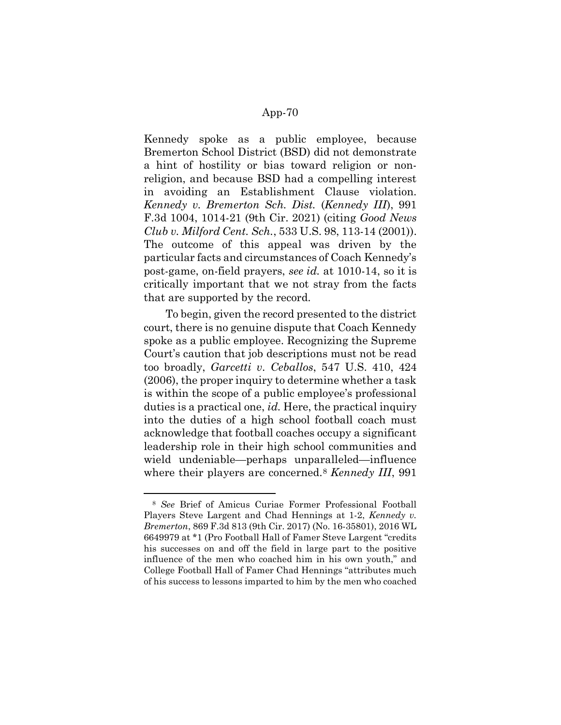Kennedy spoke as a public employee, because Bremerton School District (BSD) did not demonstrate a hint of hostility or bias toward religion or nonreligion, and because BSD had a compelling interest in avoiding an Establishment Clause violation. Kennedy v. Bremerton Sch. Dist. (Kennedy III), 991 F.3d 1004, 1014-21 (9th Cir. 2021) (citing Good News Club v. Milford Cent. Sch., 533 U.S. 98, 113-14 (2001)). The outcome of this appeal was driven by the particular facts and circumstances of Coach Kennedy's post-game, on-field prayers, see id. at 1010-14, so it is critically important that we not stray from the facts that are supported by the record.

To begin, given the record presented to the district court, there is no genuine dispute that Coach Kennedy spoke as a public employee. Recognizing the Supreme Court's caution that job descriptions must not be read too broadly, Garcetti v. Ceballos, 547 U.S. 410, 424 (2006), the proper inquiry to determine whether a task is within the scope of a public employee's professional duties is a practical one, id. Here, the practical inquiry into the duties of a high school football coach must acknowledge that football coaches occupy a significant leadership role in their high school communities and wield undeniable—perhaps unparalleled—influence where their players are concerned.<sup>8</sup> Kennedy III, 991

-

<sup>8</sup> See Brief of Amicus Curiae Former Professional Football Players Steve Largent and Chad Hennings at 1-2, Kennedy v. Bremerton, 869 F.3d 813 (9th Cir. 2017) (No. 16-35801), 2016 WL 6649979 at \*1 (Pro Football Hall of Famer Steve Largent "credits his successes on and off the field in large part to the positive influence of the men who coached him in his own youth," and College Football Hall of Famer Chad Hennings "attributes much of his success to lessons imparted to him by the men who coached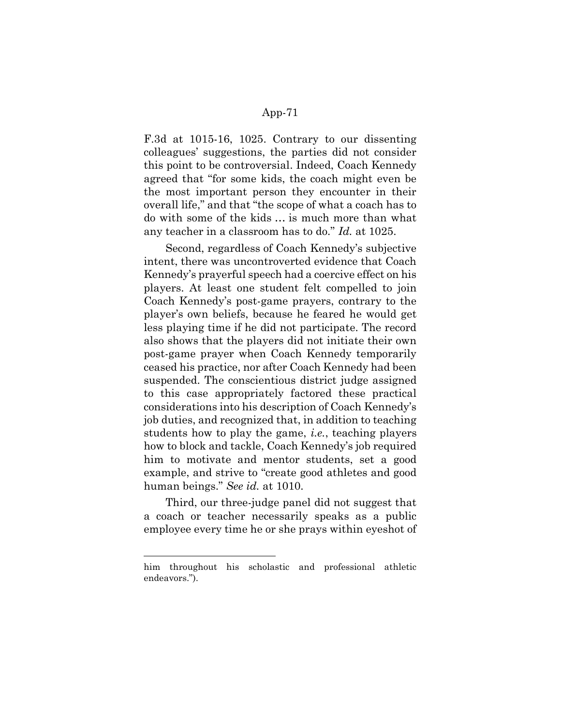F.3d at 1015-16, 1025. Contrary to our dissenting colleagues' suggestions, the parties did not consider this point to be controversial. Indeed, Coach Kennedy agreed that "for some kids, the coach might even be the most important person they encounter in their overall life," and that "the scope of what a coach has to do with some of the kids … is much more than what any teacher in a classroom has to do." Id. at 1025.

Second, regardless of Coach Kennedy's subjective intent, there was uncontroverted evidence that Coach Kennedy's prayerful speech had a coercive effect on his players. At least one student felt compelled to join Coach Kennedy's post-game prayers, contrary to the player's own beliefs, because he feared he would get less playing time if he did not participate. The record also shows that the players did not initiate their own post-game prayer when Coach Kennedy temporarily ceased his practice, nor after Coach Kennedy had been suspended. The conscientious district judge assigned to this case appropriately factored these practical considerations into his description of Coach Kennedy's job duties, and recognized that, in addition to teaching students how to play the game, i.e., teaching players how to block and tackle, Coach Kennedy's job required him to motivate and mentor students, set a good example, and strive to "create good athletes and good human beings." See id. at 1010.

Third, our three-judge panel did not suggest that a coach or teacher necessarily speaks as a public employee every time he or she prays within eyeshot of

him throughout his scholastic and professional athletic endeavors.").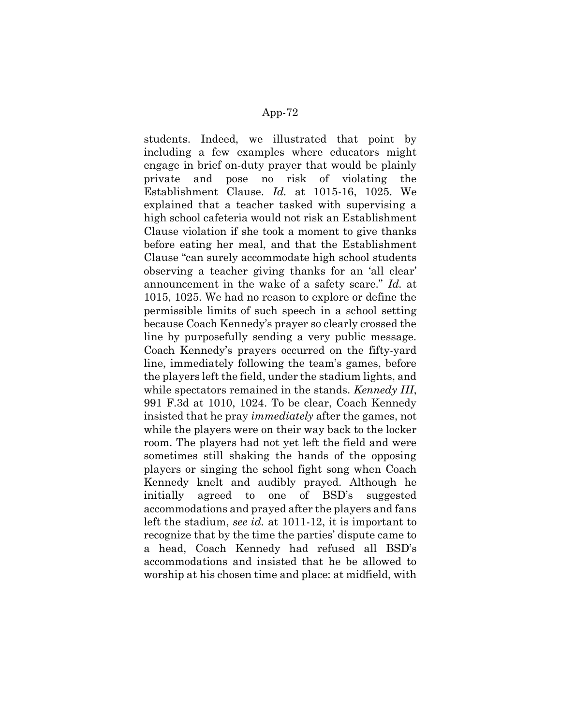students. Indeed, we illustrated that point by including a few examples where educators might engage in brief on-duty prayer that would be plainly private and pose no risk of violating the Establishment Clause. Id. at 1015-16, 1025. We explained that a teacher tasked with supervising a high school cafeteria would not risk an Establishment Clause violation if she took a moment to give thanks before eating her meal, and that the Establishment Clause "can surely accommodate high school students observing a teacher giving thanks for an 'all clear' announcement in the wake of a safety scare." Id. at 1015, 1025. We had no reason to explore or define the permissible limits of such speech in a school setting because Coach Kennedy's prayer so clearly crossed the line by purposefully sending a very public message. Coach Kennedy's prayers occurred on the fifty-yard line, immediately following the team's games, before the players left the field, under the stadium lights, and while spectators remained in the stands. *Kennedy III*, 991 F.3d at 1010, 1024. To be clear, Coach Kennedy insisted that he pray immediately after the games, not while the players were on their way back to the locker room. The players had not yet left the field and were sometimes still shaking the hands of the opposing players or singing the school fight song when Coach Kennedy knelt and audibly prayed. Although he initially agreed to one of BSD's suggested accommodations and prayed after the players and fans left the stadium, see id. at 1011-12, it is important to recognize that by the time the parties' dispute came to a head, Coach Kennedy had refused all BSD's accommodations and insisted that he be allowed to worship at his chosen time and place: at midfield, with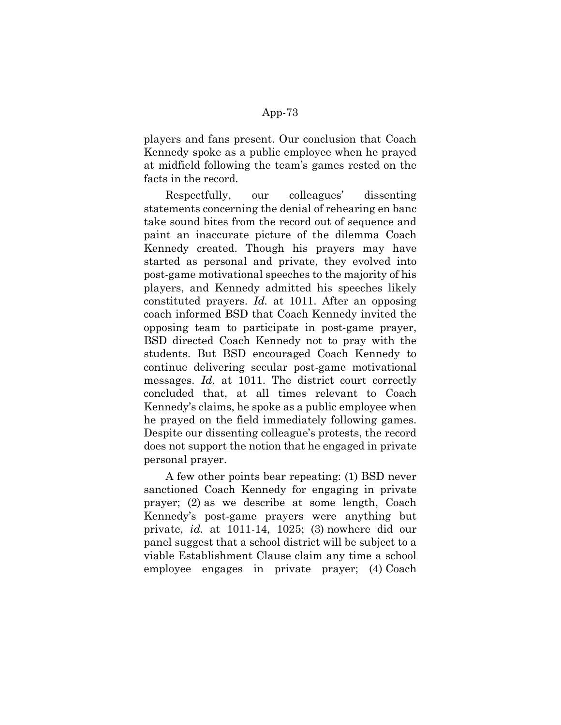players and fans present. Our conclusion that Coach Kennedy spoke as a public employee when he prayed at midfield following the team's games rested on the facts in the record.

Respectfully, our colleagues' dissenting statements concerning the denial of rehearing en banc take sound bites from the record out of sequence and paint an inaccurate picture of the dilemma Coach Kennedy created. Though his prayers may have started as personal and private, they evolved into post-game motivational speeches to the majority of his players, and Kennedy admitted his speeches likely constituted prayers. Id. at 1011. After an opposing coach informed BSD that Coach Kennedy invited the opposing team to participate in post-game prayer, BSD directed Coach Kennedy not to pray with the students. But BSD encouraged Coach Kennedy to continue delivering secular post-game motivational messages. Id. at 1011. The district court correctly concluded that, at all times relevant to Coach Kennedy's claims, he spoke as a public employee when he prayed on the field immediately following games. Despite our dissenting colleague's protests, the record does not support the notion that he engaged in private personal prayer.

A few other points bear repeating: (1) BSD never sanctioned Coach Kennedy for engaging in private prayer; (2) as we describe at some length, Coach Kennedy's post-game prayers were anything but private, id. at 1011-14, 1025; (3) nowhere did our panel suggest that a school district will be subject to a viable Establishment Clause claim any time a school employee engages in private prayer; (4) Coach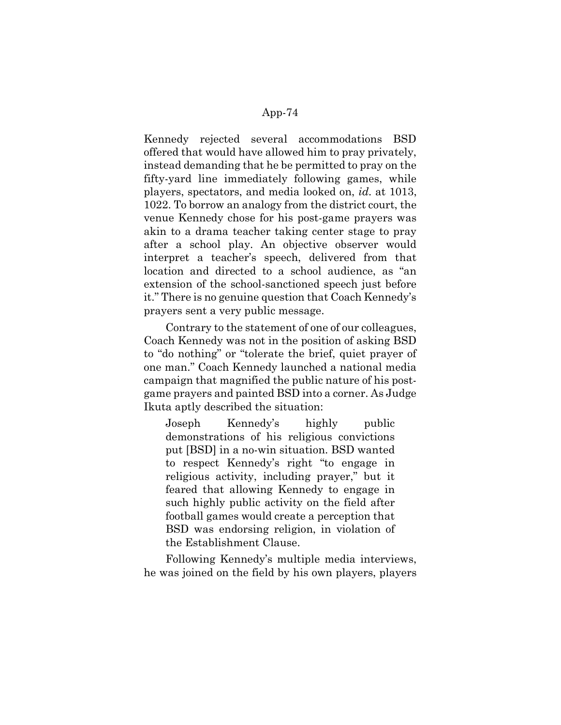Kennedy rejected several accommodations BSD offered that would have allowed him to pray privately, instead demanding that he be permitted to pray on the fifty-yard line immediately following games, while players, spectators, and media looked on, id. at 1013, 1022. To borrow an analogy from the district court, the venue Kennedy chose for his post-game prayers was akin to a drama teacher taking center stage to pray after a school play. An objective observer would interpret a teacher's speech, delivered from that location and directed to a school audience, as "an extension of the school-sanctioned speech just before it." There is no genuine question that Coach Kennedy's prayers sent a very public message.

Contrary to the statement of one of our colleagues, Coach Kennedy was not in the position of asking BSD to "do nothing" or "tolerate the brief, quiet prayer of one man." Coach Kennedy launched a national media campaign that magnified the public nature of his postgame prayers and painted BSD into a corner. As Judge Ikuta aptly described the situation:

Joseph Kennedy's highly public demonstrations of his religious convictions put [BSD] in a no-win situation. BSD wanted to respect Kennedy's right "to engage in religious activity, including prayer," but it feared that allowing Kennedy to engage in such highly public activity on the field after football games would create a perception that BSD was endorsing religion, in violation of the Establishment Clause.

Following Kennedy's multiple media interviews, he was joined on the field by his own players, players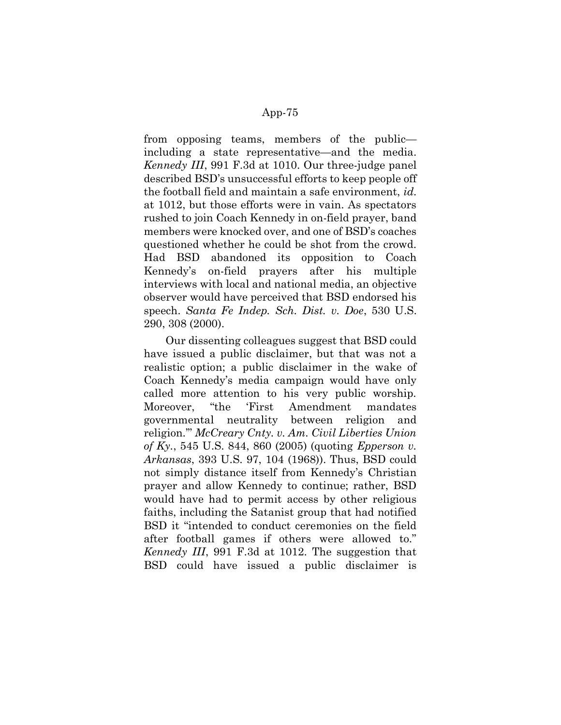from opposing teams, members of the public including a state representative—and the media. Kennedy III, 991 F.3d at 1010. Our three-judge panel described BSD's unsuccessful efforts to keep people off the football field and maintain a safe environment, id. at 1012, but those efforts were in vain. As spectators rushed to join Coach Kennedy in on-field prayer, band members were knocked over, and one of BSD's coaches questioned whether he could be shot from the crowd. Had BSD abandoned its opposition to Coach Kennedy's on-field prayers after his multiple interviews with local and national media, an objective observer would have perceived that BSD endorsed his speech. Santa Fe Indep. Sch. Dist. v. Doe, 530 U.S. 290, 308 (2000).

Our dissenting colleagues suggest that BSD could have issued a public disclaimer, but that was not a realistic option; a public disclaimer in the wake of Coach Kennedy's media campaign would have only called more attention to his very public worship. Moreover, "the 'First Amendment mandates governmental neutrality between religion and religion.'" McCreary Cnty. v. Am. Civil Liberties Union of Ky., 545 U.S. 844, 860 (2005) (quoting *Epperson v.* Arkansas, 393 U.S. 97, 104 (1968)). Thus, BSD could not simply distance itself from Kennedy's Christian prayer and allow Kennedy to continue; rather, BSD would have had to permit access by other religious faiths, including the Satanist group that had notified BSD it "intended to conduct ceremonies on the field after football games if others were allowed to." Kennedy III, 991 F.3d at 1012. The suggestion that BSD could have issued a public disclaimer is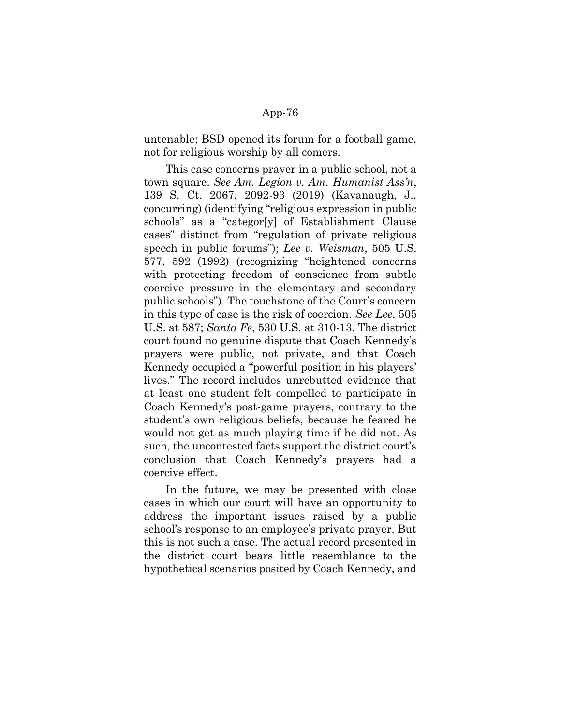untenable; BSD opened its forum for a football game, not for religious worship by all comers.

This case concerns prayer in a public school, not a town square. See Am. Legion v. Am. Humanist Ass'n, 139 S. Ct. 2067, 2092-93 (2019) (Kavanaugh, J., concurring) (identifying "religious expression in public schools" as a "categor[y] of Establishment Clause cases" distinct from "regulation of private religious speech in public forums"); Lee v. Weisman, 505 U.S. 577, 592 (1992) (recognizing "heightened concerns with protecting freedom of conscience from subtle coercive pressure in the elementary and secondary public schools"). The touchstone of the Court's concern in this type of case is the risk of coercion. See Lee, 505 U.S. at 587; Santa Fe, 530 U.S. at 310-13. The district court found no genuine dispute that Coach Kennedy's prayers were public, not private, and that Coach Kennedy occupied a "powerful position in his players' lives." The record includes unrebutted evidence that at least one student felt compelled to participate in Coach Kennedy's post-game prayers, contrary to the student's own religious beliefs, because he feared he would not get as much playing time if he did not. As such, the uncontested facts support the district court's conclusion that Coach Kennedy's prayers had a coercive effect.

In the future, we may be presented with close cases in which our court will have an opportunity to address the important issues raised by a public school's response to an employee's private prayer. But this is not such a case. The actual record presented in the district court bears little resemblance to the hypothetical scenarios posited by Coach Kennedy, and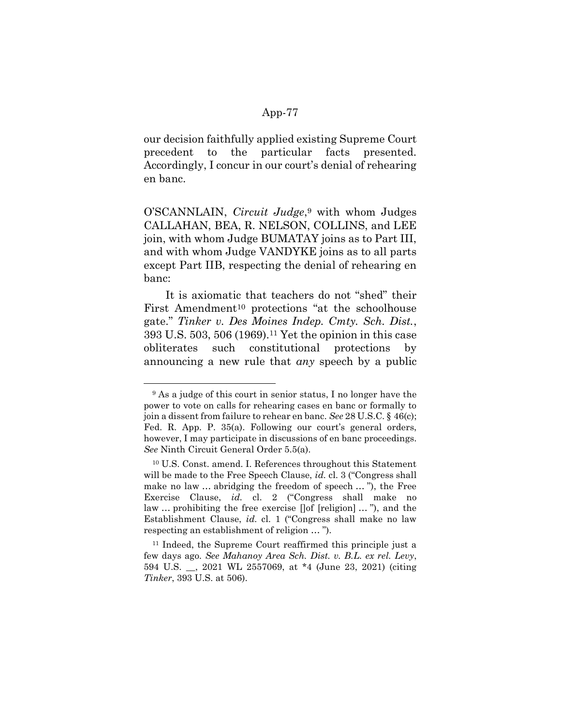our decision faithfully applied existing Supreme Court precedent to the particular facts presented. Accordingly, I concur in our court's denial of rehearing en banc.

O'SCANNLAIN, *Circuit Judge*,<sup>9</sup> with whom Judges CALLAHAN, BEA, R. NELSON, COLLINS, and LEE join, with whom Judge BUMATAY joins as to Part III, and with whom Judge VANDYKE joins as to all parts except Part IIB, respecting the denial of rehearing en banc:

It is axiomatic that teachers do not "shed" their First Amendment<sup>10</sup> protections "at the schoolhouse gate." Tinker v. Des Moines Indep. Cmty. Sch. Dist., 393 U.S. 503, 506 (1969).11 Yet the opinion in this case obliterates such constitutional protections by announcing a new rule that any speech by a public

<sup>9</sup> As a judge of this court in senior status, I no longer have the power to vote on calls for rehearing cases en banc or formally to join a dissent from failure to rehear en banc. See 28 U.S.C. § 46(c); Fed. R. App. P. 35(a). Following our court's general orders, however, I may participate in discussions of en banc proceedings. See Ninth Circuit General Order 5.5(a).

<sup>10</sup> U.S. Const. amend. I. References throughout this Statement will be made to the Free Speech Clause, *id.* cl. 3 ("Congress shall make no law … abridging the freedom of speech … "), the Free Exercise Clause, id. cl. 2 ("Congress shall make no law … prohibiting the free exercise []of [religion] … "), and the Establishment Clause, id. cl. 1 ("Congress shall make no law respecting an establishment of religion … ").

<sup>11</sup> Indeed, the Supreme Court reaffirmed this principle just a few days ago. See Mahanoy Area Sch. Dist. v. B.L. ex rel. Levy, 594 U.S. \_\_, 2021 WL 2557069, at \*4 (June 23, 2021) (citing Tinker, 393 U.S. at 506).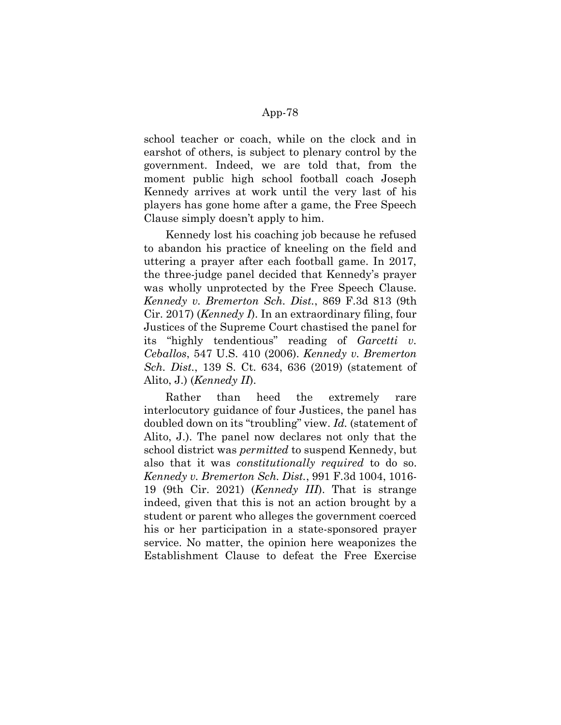school teacher or coach, while on the clock and in earshot of others, is subject to plenary control by the government. Indeed, we are told that, from the moment public high school football coach Joseph Kennedy arrives at work until the very last of his players has gone home after a game, the Free Speech Clause simply doesn't apply to him.

Kennedy lost his coaching job because he refused to abandon his practice of kneeling on the field and uttering a prayer after each football game. In 2017, the three-judge panel decided that Kennedy's prayer was wholly unprotected by the Free Speech Clause. Kennedy v. Bremerton Sch. Dist., 869 F.3d 813 (9th Cir. 2017) (Kennedy I). In an extraordinary filing, four Justices of the Supreme Court chastised the panel for its "highly tendentious" reading of  $Gareetti$  v. Ceballos, 547 U.S. 410 (2006). Kennedy v. Bremerton Sch. Dist., 139 S. Ct. 634, 636 (2019) (statement of Alito, J.) (Kennedy II).

Rather than heed the extremely rare interlocutory guidance of four Justices, the panel has doubled down on its "troubling" view. Id. (statement of Alito, J.). The panel now declares not only that the school district was *permitted* to suspend Kennedy, but also that it was constitutionally required to do so. Kennedy v. Bremerton Sch. Dist., 991 F.3d 1004, 1016- 19 (9th Cir. 2021) (Kennedy III). That is strange indeed, given that this is not an action brought by a student or parent who alleges the government coerced his or her participation in a state-sponsored prayer service. No matter, the opinion here weaponizes the Establishment Clause to defeat the Free Exercise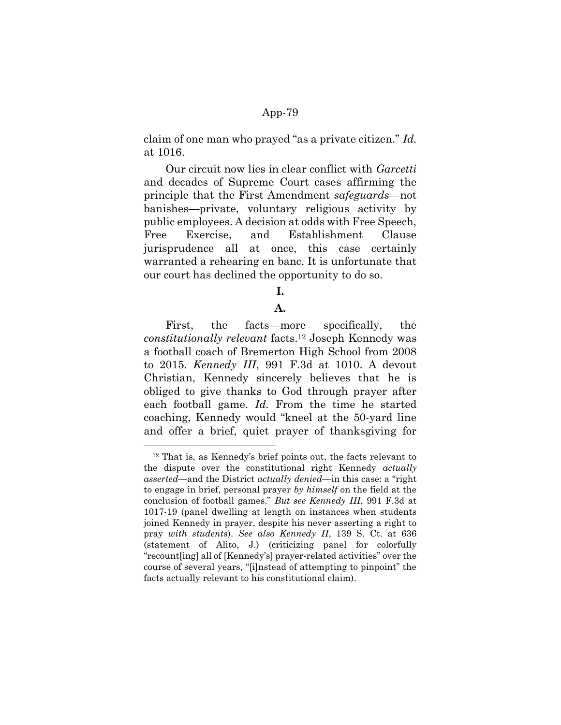claim of one man who prayed "as a private citizen." Id. at 1016.

Our circuit now lies in clear conflict with *Garcetti* and decades of Supreme Court cases affirming the principle that the First Amendment safeguards—not banishes—private, voluntary religious activity by public employees. A decision at odds with Free Speech, Free Exercise, and Establishment Clause jurisprudence all at once, this case certainly warranted a rehearing en banc. It is unfortunate that our court has declined the opportunity to do so.

## I.

# A.

First, the facts—more specifically, the constitutionally relevant facts.12 Joseph Kennedy was a football coach of Bremerton High School from 2008 to 2015. Kennedy III, 991 F.3d at 1010. A devout Christian, Kennedy sincerely believes that he is obliged to give thanks to God through prayer after each football game. Id. From the time he started coaching, Kennedy would "kneel at the 50-yard line and offer a brief, quiet prayer of thanksgiving for

-

<sup>12</sup> That is, as Kennedy's brief points out, the facts relevant to the dispute over the constitutional right Kennedy *actually* asserted—and the District actually denied—in this case: a "right to engage in brief, personal prayer by himself on the field at the conclusion of football games." But see Kennedy III, 991 F.3d at 1017-19 (panel dwelling at length on instances when students joined Kennedy in prayer, despite his never asserting a right to pray with students). See also Kennedy II, 139 S. Ct. at 636 (statement of Alito, J.) (criticizing panel for colorfully "recount[ing] all of [Kennedy's] prayer-related activities" over the course of several years, "[i]nstead of attempting to pinpoint" the facts actually relevant to his constitutional claim).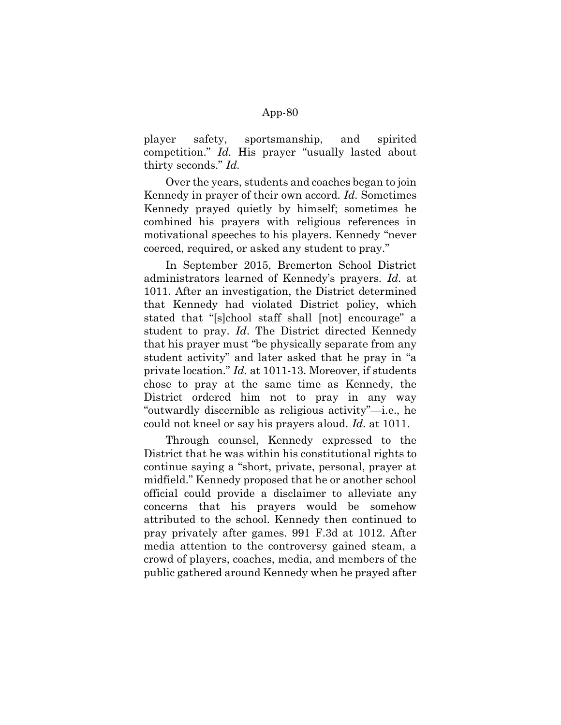player safety, sportsmanship, and spirited competition." Id. His prayer "usually lasted about thirty seconds." Id.

Over the years, students and coaches began to join Kennedy in prayer of their own accord. Id. Sometimes Kennedy prayed quietly by himself; sometimes he combined his prayers with religious references in motivational speeches to his players. Kennedy "never coerced, required, or asked any student to pray."

In September 2015, Bremerton School District administrators learned of Kennedy's prayers. Id. at 1011. After an investigation, the District determined that Kennedy had violated District policy, which stated that "[s]chool staff shall [not] encourage" a student to pray. Id. The District directed Kennedy that his prayer must "be physically separate from any student activity" and later asked that he pray in "a private location." Id. at 1011-13. Moreover, if students chose to pray at the same time as Kennedy, the District ordered him not to pray in any way "outwardly discernible as religious activity"—i.e., he could not kneel or say his prayers aloud. Id. at 1011.

Through counsel, Kennedy expressed to the District that he was within his constitutional rights to continue saying a "short, private, personal, prayer at midfield." Kennedy proposed that he or another school official could provide a disclaimer to alleviate any concerns that his prayers would be somehow attributed to the school. Kennedy then continued to pray privately after games. 991 F.3d at 1012. After media attention to the controversy gained steam, a crowd of players, coaches, media, and members of the public gathered around Kennedy when he prayed after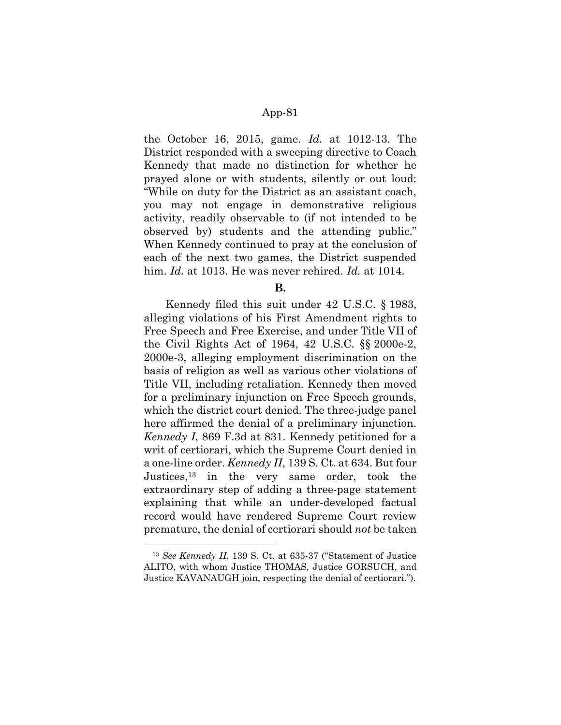the October 16, 2015, game.  $Id$  at 1012-13. The District responded with a sweeping directive to Coach Kennedy that made no distinction for whether he prayed alone or with students, silently or out loud: "While on duty for the District as an assistant coach, you may not engage in demonstrative religious activity, readily observable to (if not intended to be observed by) students and the attending public." When Kennedy continued to pray at the conclusion of each of the next two games, the District suspended him. Id. at 1013. He was never rehired. Id. at 1014.

B.

Kennedy filed this suit under 42 U.S.C. § 1983, alleging violations of his First Amendment rights to Free Speech and Free Exercise, and under Title VII of the Civil Rights Act of 1964, 42 U.S.C. §§ 2000e-2, 2000e-3, alleging employment discrimination on the basis of religion as well as various other violations of Title VII, including retaliation. Kennedy then moved for a preliminary injunction on Free Speech grounds, which the district court denied. The three-judge panel here affirmed the denial of a preliminary injunction. Kennedy I, 869 F.3d at 831. Kennedy petitioned for a writ of certiorari, which the Supreme Court denied in a one-line order. Kennedy II, 139 S. Ct. at 634. But four Justices,<sup>13</sup> in the very same order, took the extraordinary step of adding a three-page statement explaining that while an under-developed factual record would have rendered Supreme Court review premature, the denial of certiorari should not be taken

<sup>13</sup> See Kennedy II, 139 S. Ct. at 635-37 ("Statement of Justice ALITO, with whom Justice THOMAS, Justice GORSUCH, and Justice KAVANAUGH join, respecting the denial of certiorari.").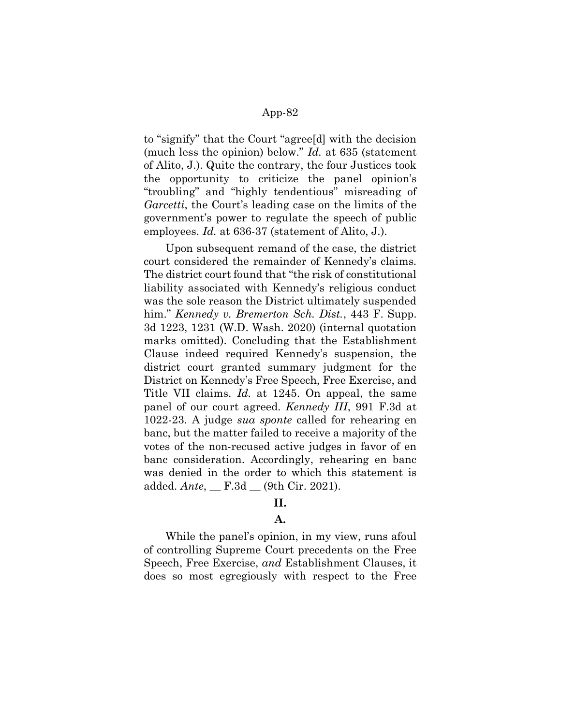to "signify" that the Court "agree[d] with the decision (much less the opinion) below." Id. at 635 (statement of Alito, J.). Quite the contrary, the four Justices took the opportunity to criticize the panel opinion's "troubling" and "highly tendentious" misreading of Garcetti, the Court's leading case on the limits of the government's power to regulate the speech of public employees. Id. at 636-37 (statement of Alito, J.).

Upon subsequent remand of the case, the district court considered the remainder of Kennedy's claims. The district court found that "the risk of constitutional liability associated with Kennedy's religious conduct was the sole reason the District ultimately suspended him." *Kennedy v. Bremerton Sch. Dist.*, 443 F. Supp. 3d 1223, 1231 (W.D. Wash. 2020) (internal quotation marks omitted). Concluding that the Establishment Clause indeed required Kennedy's suspension, the district court granted summary judgment for the District on Kennedy's Free Speech, Free Exercise, and Title VII claims. Id. at 1245. On appeal, the same panel of our court agreed. Kennedy III, 991 F.3d at 1022-23. A judge sua sponte called for rehearing en banc, but the matter failed to receive a majority of the votes of the non-recused active judges in favor of en banc consideration. Accordingly, rehearing en banc was denied in the order to which this statement is added.  $Ante$ ,  $E.3d$   $(9th Cir. 2021)$ .

# II.

## A.

While the panel's opinion, in my view, runs afoul of controlling Supreme Court precedents on the Free Speech, Free Exercise, and Establishment Clauses, it does so most egregiously with respect to the Free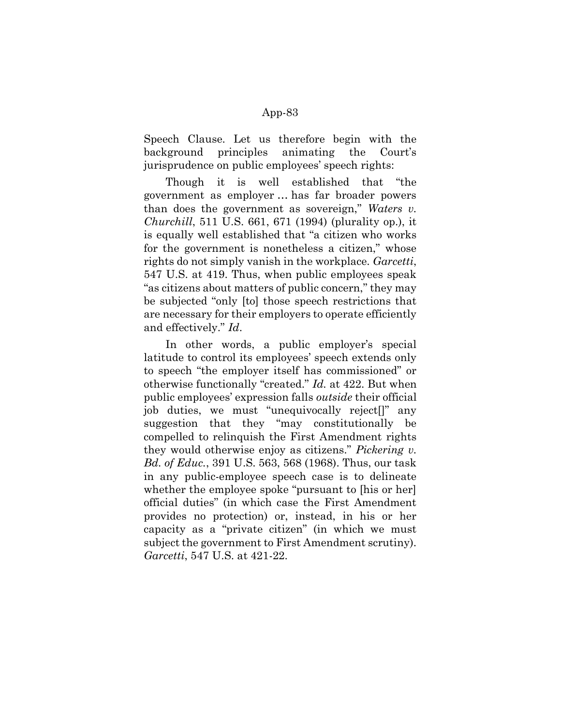Speech Clause. Let us therefore begin with the background principles animating the Court's jurisprudence on public employees' speech rights:

Though it is well established that "the government as employer … has far broader powers than does the government as sovereign," Waters  $v$ . Churchill, 511 U.S. 661, 671 (1994) (plurality op.), it is equally well established that "a citizen who works for the government is nonetheless a citizen," whose rights do not simply vanish in the workplace. Garcetti, 547 U.S. at 419. Thus, when public employees speak "as citizens about matters of public concern," they may be subjected "only [to] those speech restrictions that are necessary for their employers to operate efficiently and effectively." Id.

In other words, a public employer's special latitude to control its employees' speech extends only to speech "the employer itself has commissioned" or otherwise functionally "created." Id. at 422. But when public employees' expression falls outside their official job duties, we must "unequivocally reject[]" any suggestion that they "may constitutionally be compelled to relinquish the First Amendment rights they would otherwise enjoy as citizens." Pickering  $v$ . Bd. of Educ., 391 U.S. 563, 568 (1968). Thus, our task in any public-employee speech case is to delineate whether the employee spoke "pursuant to [his or her] official duties" (in which case the First Amendment provides no protection) or, instead, in his or her capacity as a "private citizen" (in which we must subject the government to First Amendment scrutiny). Garcetti, 547 U.S. at 421-22.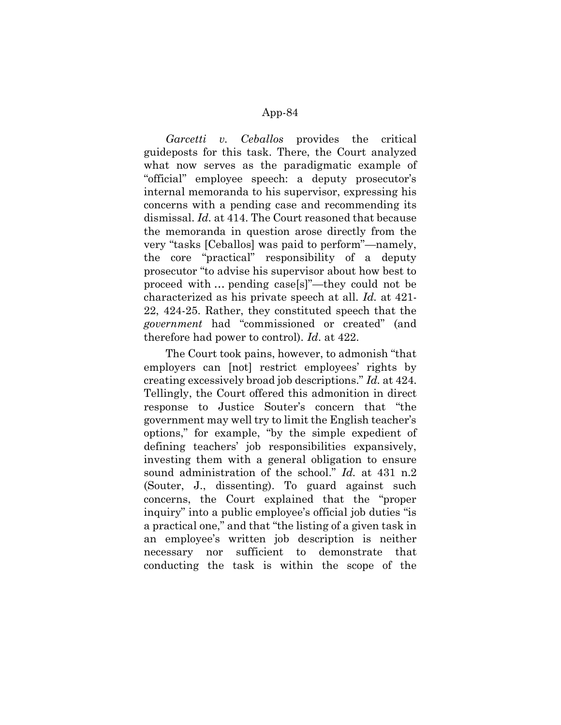Garcetti v. Ceballos provides the critical guideposts for this task. There, the Court analyzed what now serves as the paradigmatic example of "official" employee speech: a deputy prosecutor's internal memoranda to his supervisor, expressing his concerns with a pending case and recommending its dismissal. Id. at 414. The Court reasoned that because the memoranda in question arose directly from the very "tasks [Ceballos] was paid to perform"—namely, the core "practical" responsibility of a deputy prosecutor "to advise his supervisor about how best to proceed with … pending case[s]"—they could not be characterized as his private speech at all. Id. at 421- 22, 424-25. Rather, they constituted speech that the government had "commissioned or created" (and therefore had power to control). Id. at 422.

The Court took pains, however, to admonish "that employers can [not] restrict employees' rights by creating excessively broad job descriptions." Id. at 424. Tellingly, the Court offered this admonition in direct response to Justice Souter's concern that "the government may well try to limit the English teacher's options," for example, "by the simple expedient of defining teachers' job responsibilities expansively, investing them with a general obligation to ensure sound administration of the school." Id. at 431 n.2 (Souter, J., dissenting). To guard against such concerns, the Court explained that the "proper inquiry" into a public employee's official job duties "is a practical one," and that "the listing of a given task in an employee's written job description is neither necessary nor sufficient to demonstrate that conducting the task is within the scope of the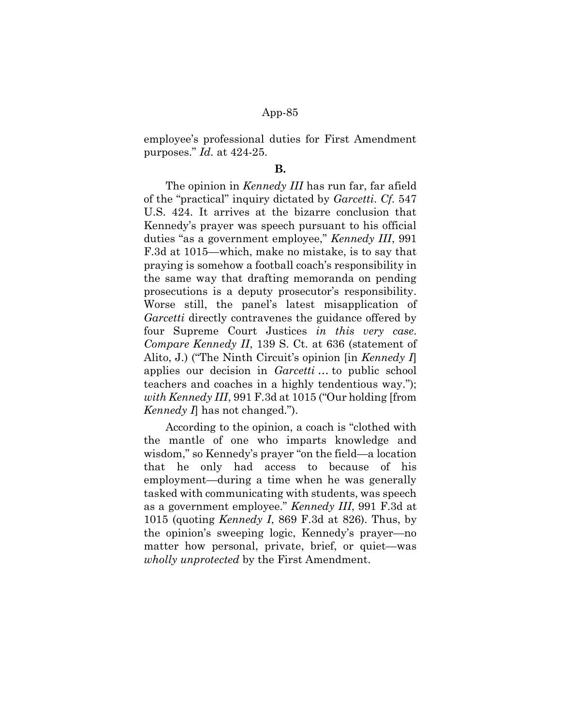employee's professional duties for First Amendment purposes." Id. at 424-25.

#### B.

The opinion in *Kennedy III* has run far, far afield of the "practical" inquiry dictated by Garcetti. Cf. 547 U.S. 424. It arrives at the bizarre conclusion that Kennedy's prayer was speech pursuant to his official duties "as a government employee," Kennedy III, 991 F.3d at 1015—which, make no mistake, is to say that praying is somehow a football coach's responsibility in the same way that drafting memoranda on pending prosecutions is a deputy prosecutor's responsibility. Worse still, the panel's latest misapplication of Garcetti directly contravenes the guidance offered by four Supreme Court Justices in this very case. Compare Kennedy II, 139 S. Ct. at 636 (statement of Alito, J.) ("The Ninth Circuit's opinion [in Kennedy I] applies our decision in *Garcetti* ... to public school teachers and coaches in a highly tendentious way."); with Kennedy III, 991 F.3d at 1015 ("Our holding [from *Kennedy I* has not changed.").

According to the opinion, a coach is "clothed with the mantle of one who imparts knowledge and wisdom," so Kennedy's prayer "on the field—a location that he only had access to because of his employment—during a time when he was generally tasked with communicating with students, was speech as a government employee." Kennedy III, 991 F.3d at 1015 (quoting *Kennedy I*, 869 F.3d at 826). Thus, by the opinion's sweeping logic, Kennedy's prayer—no matter how personal, private, brief, or quiet—was wholly unprotected by the First Amendment.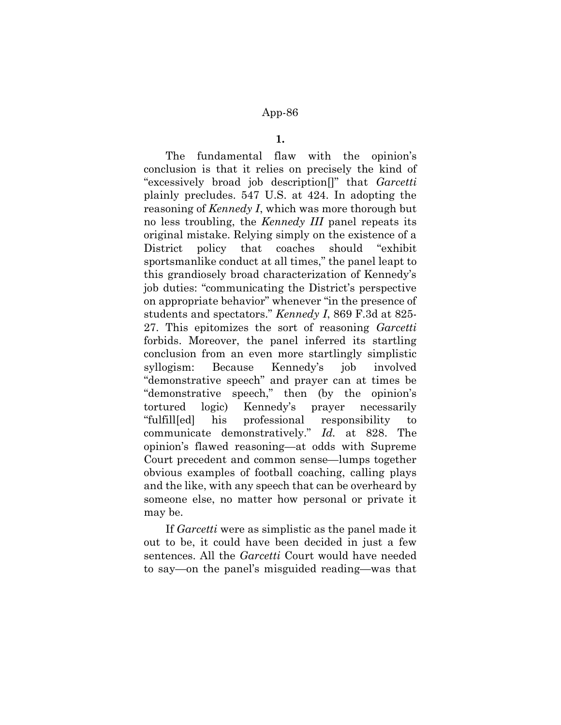#### 1.

The fundamental flaw with the opinion's conclusion is that it relies on precisely the kind of "excessively broad job description[]" that Garcetti plainly precludes. 547 U.S. at 424. In adopting the reasoning of *Kennedy I*, which was more thorough but no less troubling, the *Kennedy III* panel repeats its original mistake. Relying simply on the existence of a District policy that coaches should "exhibit sportsmanlike conduct at all times," the panel leapt to this grandiosely broad characterization of Kennedy's job duties: "communicating the District's perspective on appropriate behavior" whenever "in the presence of students and spectators." Kennedy I, 869 F.3d at 825- 27. This epitomizes the sort of reasoning Garcetti forbids. Moreover, the panel inferred its startling conclusion from an even more startlingly simplistic syllogism: Because Kennedy's job involved "demonstrative speech" and prayer can at times be "demonstrative speech," then (by the opinion's tortured logic) Kennedy's prayer necessarily "fulfill[ed] his professional responsibility to communicate demonstratively." Id. at 828. The opinion's flawed reasoning—at odds with Supreme Court precedent and common sense—lumps together obvious examples of football coaching, calling plays and the like, with any speech that can be overheard by someone else, no matter how personal or private it may be.

If Garcetti were as simplistic as the panel made it out to be, it could have been decided in just a few sentences. All the Garcetti Court would have needed to say—on the panel's misguided reading—was that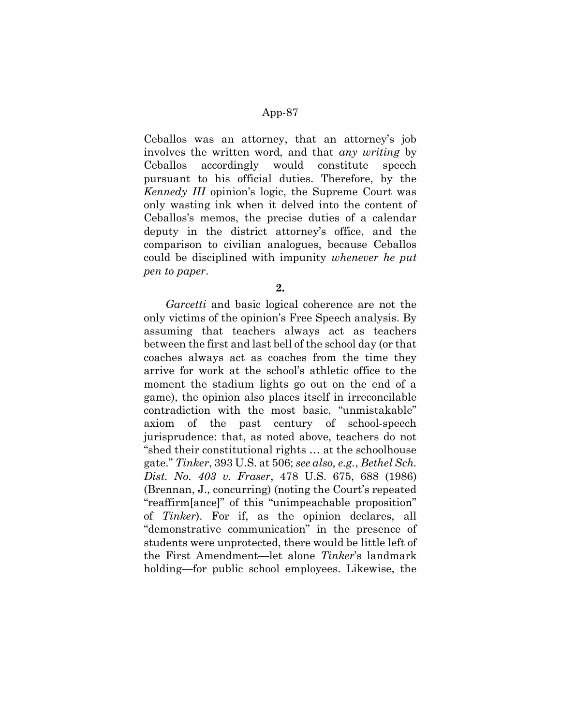Ceballos was an attorney, that an attorney's job involves the written word, and that any writing by Ceballos accordingly would constitute speech pursuant to his official duties. Therefore, by the Kennedy III opinion's logic, the Supreme Court was only wasting ink when it delved into the content of Ceballos's memos, the precise duties of a calendar deputy in the district attorney's office, and the comparison to civilian analogues, because Ceballos could be disciplined with impunity whenever he put pen to paper.

2.

Garcetti and basic logical coherence are not the only victims of the opinion's Free Speech analysis. By assuming that teachers always act as teachers between the first and last bell of the school day (or that coaches always act as coaches from the time they arrive for work at the school's athletic office to the moment the stadium lights go out on the end of a game), the opinion also places itself in irreconcilable contradiction with the most basic, "unmistakable" axiom of the past century of school-speech jurisprudence: that, as noted above, teachers do not "shed their constitutional rights … at the schoolhouse gate." Tinker, 393 U.S. at 506; see also, e.g., Bethel Sch. Dist. No. 403 v. Fraser, 478 U.S. 675, 688 (1986) (Brennan, J., concurring) (noting the Court's repeated "reaffirm[ance]" of this "unimpeachable proposition" of Tinker). For if, as the opinion declares, all "demonstrative communication" in the presence of students were unprotected, there would be little left of the First Amendment—let alone Tinker's landmark holding—for public school employees. Likewise, the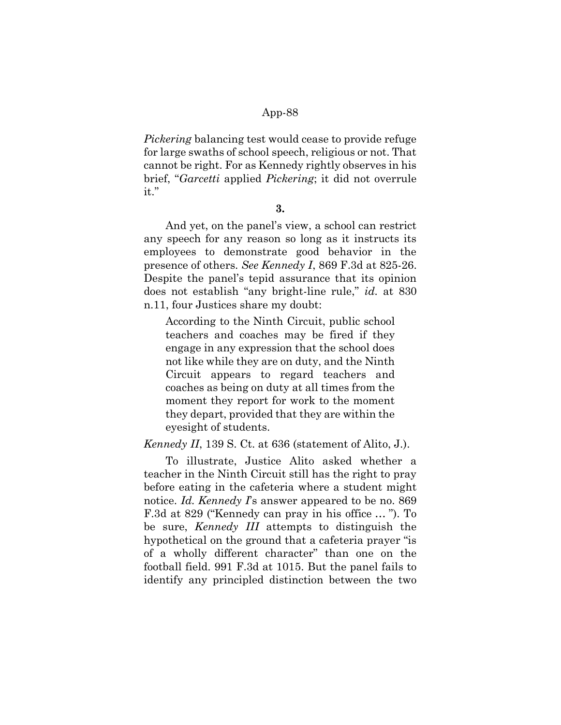Pickering balancing test would cease to provide refuge for large swaths of school speech, religious or not. That cannot be right. For as Kennedy rightly observes in his brief, "Garcetti applied Pickering; it did not overrule it."

#### 3.

And yet, on the panel's view, a school can restrict any speech for any reason so long as it instructs its employees to demonstrate good behavior in the presence of others. See Kennedy I, 869 F.3d at 825-26. Despite the panel's tepid assurance that its opinion does not establish "any bright-line rule," id. at 830 n.11, four Justices share my doubt:

According to the Ninth Circuit, public school teachers and coaches may be fired if they engage in any expression that the school does not like while they are on duty, and the Ninth Circuit appears to regard teachers and coaches as being on duty at all times from the moment they report for work to the moment they depart, provided that they are within the eyesight of students.

Kennedy II, 139 S. Ct. at 636 (statement of Alito, J.).

To illustrate, Justice Alito asked whether a teacher in the Ninth Circuit still has the right to pray before eating in the cafeteria where a student might notice. Id. Kennedy I's answer appeared to be no. 869 F.3d at 829 ("Kennedy can pray in his office … "). To be sure, *Kennedy III* attempts to distinguish the hypothetical on the ground that a cafeteria prayer "is of a wholly different character" than one on the football field. 991 F.3d at 1015. But the panel fails to identify any principled distinction between the two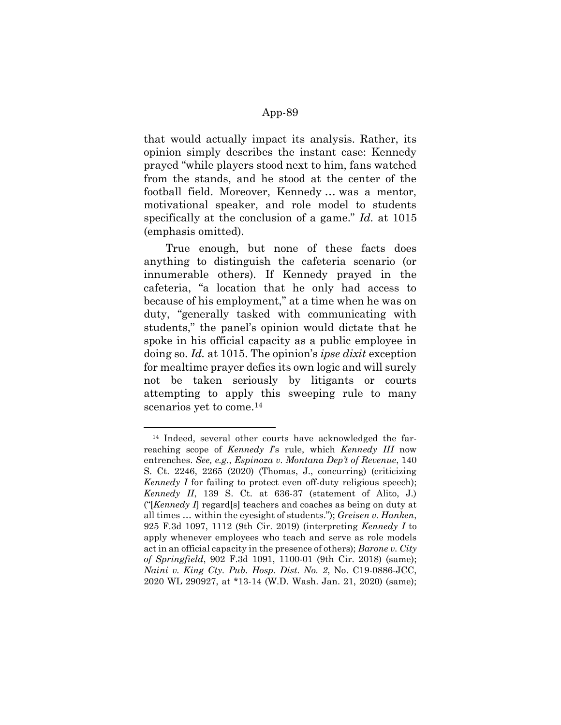that would actually impact its analysis. Rather, its opinion simply describes the instant case: Kennedy prayed "while players stood next to him, fans watched from the stands, and he stood at the center of the football field. Moreover, Kennedy … was a mentor, motivational speaker, and role model to students specifically at the conclusion of a game." Id. at 1015 (emphasis omitted).

True enough, but none of these facts does anything to distinguish the cafeteria scenario (or innumerable others). If Kennedy prayed in the cafeteria, "a location that he only had access to because of his employment," at a time when he was on duty, "generally tasked with communicating with students," the panel's opinion would dictate that he spoke in his official capacity as a public employee in doing so. Id. at 1015. The opinion's ipse dixit exception for mealtime prayer defies its own logic and will surely not be taken seriously by litigants or courts attempting to apply this sweeping rule to many scenarios yet to come.<sup>14</sup>

<sup>14</sup> Indeed, several other courts have acknowledged the farreaching scope of Kennedy I's rule, which Kennedy III now entrenches. See, e.g., Espinoza v. Montana Dep't of Revenue, 140 S. Ct. 2246, 2265 (2020) (Thomas, J., concurring) (criticizing Kennedy I for failing to protect even off-duty religious speech); Kennedy II, 139 S. Ct. at 636-37 (statement of Alito, J.) ("[Kennedy I] regard[s] teachers and coaches as being on duty at all times … within the eyesight of students."); Greisen v. Hanken, 925 F.3d 1097, 1112 (9th Cir. 2019) (interpreting Kennedy I to apply whenever employees who teach and serve as role models act in an official capacity in the presence of others); Barone v. City of Springfield, 902 F.3d 1091, 1100-01 (9th Cir. 2018) (same); Naini v. King Cty. Pub. Hosp. Dist. No. 2, No. C19-0886-JCC, 2020 WL 290927, at \*13-14 (W.D. Wash. Jan. 21, 2020) (same);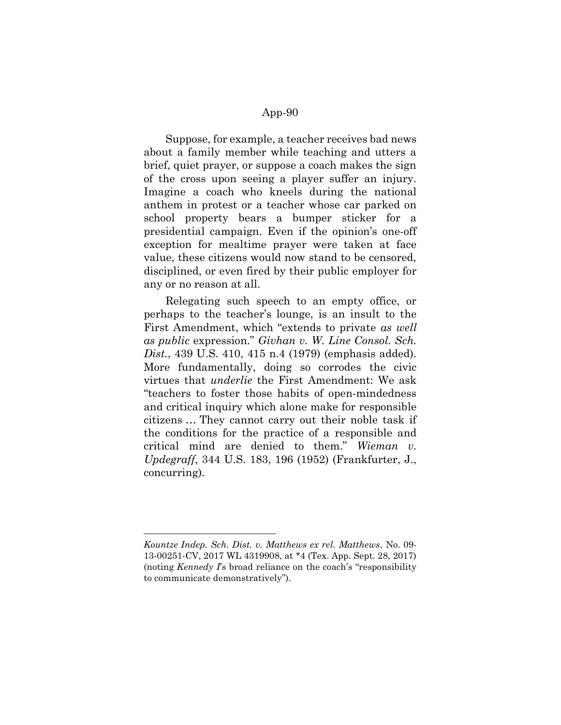Suppose, for example, a teacher receives bad news about a family member while teaching and utters a brief, quiet prayer, or suppose a coach makes the sign of the cross upon seeing a player suffer an injury. Imagine a coach who kneels during the national anthem in protest or a teacher whose car parked on school property bears a bumper sticker for a presidential campaign. Even if the opinion's one-off exception for mealtime prayer were taken at face value, these citizens would now stand to be censored, disciplined, or even fired by their public employer for any or no reason at all.

Relegating such speech to an empty office, or perhaps to the teacher's lounge, is an insult to the First Amendment, which "extends to private as well as public expression." Givhan v. W. Line Consol. Sch. Dist., 439 U.S. 410, 415 n.4 (1979) (emphasis added). More fundamentally, doing so corrodes the civic virtues that underlie the First Amendment: We ask "teachers to foster those habits of open-mindedness and critical inquiry which alone make for responsible citizens … They cannot carry out their noble task if the conditions for the practice of a responsible and critical mind are denied to them." Wieman v. Updegraff, 344 U.S. 183, 196 (1952) (Frankfurter, J., concurring).

Kountze Indep. Sch. Dist. v. Matthews ex rel. Matthews, No. 09- 13-00251-CV, 2017 WL 4319908, at \*4 (Tex. App. Sept. 28, 2017) (noting *Kennedy I*'s broad reliance on the coach's "responsibility") to communicate demonstratively").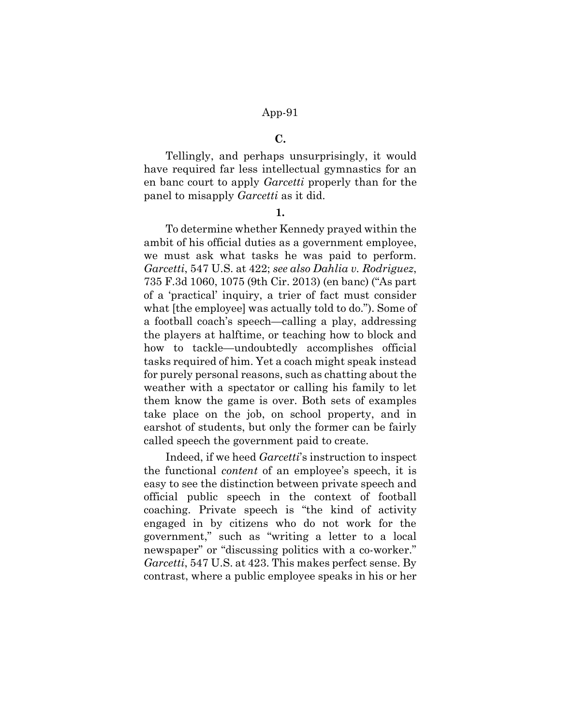#### C.

Tellingly, and perhaps unsurprisingly, it would have required far less intellectual gymnastics for an en banc court to apply Garcetti properly than for the panel to misapply *Garcetti* as it did.

1.

To determine whether Kennedy prayed within the ambit of his official duties as a government employee, we must ask what tasks he was paid to perform. Garcetti, 547 U.S. at 422; see also Dahlia v. Rodriguez, 735 F.3d 1060, 1075 (9th Cir. 2013) (en banc) ("As part of a 'practical' inquiry, a trier of fact must consider what [the employee] was actually told to do."). Some of a football coach's speech—calling a play, addressing the players at halftime, or teaching how to block and how to tackle—undoubtedly accomplishes official tasks required of him. Yet a coach might speak instead for purely personal reasons, such as chatting about the weather with a spectator or calling his family to let them know the game is over. Both sets of examples take place on the job, on school property, and in earshot of students, but only the former can be fairly called speech the government paid to create.

Indeed, if we heed Garcetti's instruction to inspect the functional content of an employee's speech, it is easy to see the distinction between private speech and official public speech in the context of football coaching. Private speech is "the kind of activity engaged in by citizens who do not work for the government," such as "writing a letter to a local newspaper" or "discussing politics with a co-worker." Garcetti, 547 U.S. at 423. This makes perfect sense. By contrast, where a public employee speaks in his or her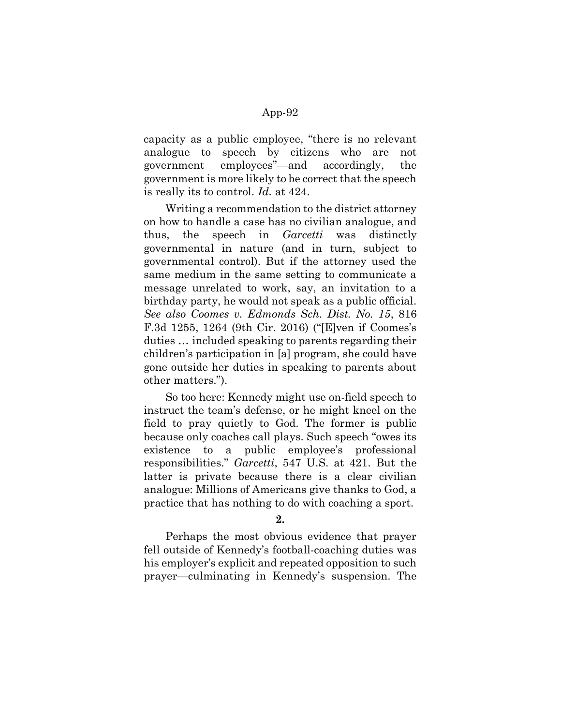capacity as a public employee, "there is no relevant analogue to speech by citizens who are not government employees"—and accordingly, the government is more likely to be correct that the speech is really its to control. Id. at 424.

Writing a recommendation to the district attorney on how to handle a case has no civilian analogue, and thus, the speech in *Garcetti* was distinctly governmental in nature (and in turn, subject to governmental control). But if the attorney used the same medium in the same setting to communicate a message unrelated to work, say, an invitation to a birthday party, he would not speak as a public official. See also Coomes v. Edmonds Sch. Dist. No. 15, 816 F.3d 1255, 1264 (9th Cir. 2016) ("[E]ven if Coomes's duties … included speaking to parents regarding their children's participation in [a] program, she could have gone outside her duties in speaking to parents about other matters.").

So too here: Kennedy might use on-field speech to instruct the team's defense, or he might kneel on the field to pray quietly to God. The former is public because only coaches call plays. Such speech "owes its existence to a public employee's professional responsibilities." Garcetti, 547 U.S. at 421. But the latter is private because there is a clear civilian analogue: Millions of Americans give thanks to God, a practice that has nothing to do with coaching a sport.

2.

Perhaps the most obvious evidence that prayer fell outside of Kennedy's football-coaching duties was his employer's explicit and repeated opposition to such prayer—culminating in Kennedy's suspension. The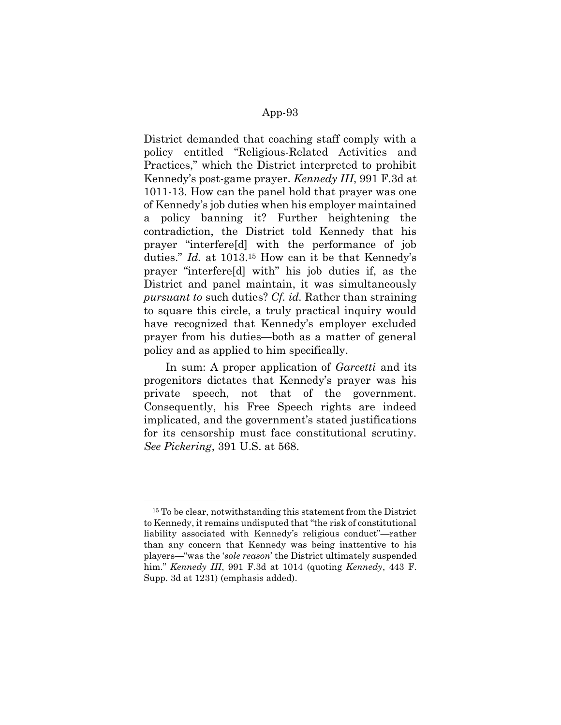District demanded that coaching staff comply with a policy entitled "Religious-Related Activities and Practices," which the District interpreted to prohibit Kennedy's post-game prayer. Kennedy III, 991 F.3d at 1011-13. How can the panel hold that prayer was one of Kennedy's job duties when his employer maintained a policy banning it? Further heightening the contradiction, the District told Kennedy that his prayer "interfere[d] with the performance of job duties." Id. at 1013.15 How can it be that Kennedy's prayer "interfere[d] with" his job duties if, as the District and panel maintain, it was simultaneously pursuant to such duties? Cf. id. Rather than straining to square this circle, a truly practical inquiry would have recognized that Kennedy's employer excluded prayer from his duties—both as a matter of general policy and as applied to him specifically.

In sum: A proper application of *Garcetti* and its progenitors dictates that Kennedy's prayer was his private speech, not that of the government. Consequently, his Free Speech rights are indeed implicated, and the government's stated justifications for its censorship must face constitutional scrutiny. See Pickering, 391 U.S. at 568.

<sup>&</sup>lt;sup>15</sup> To be clear, notwithstanding this statement from the District to Kennedy, it remains undisputed that "the risk of constitutional liability associated with Kennedy's religious conduct"—rather than any concern that Kennedy was being inattentive to his players—"was the 'sole reason' the District ultimately suspended him." Kennedy III, 991 F.3d at 1014 (quoting Kennedy, 443 F. Supp. 3d at 1231) (emphasis added).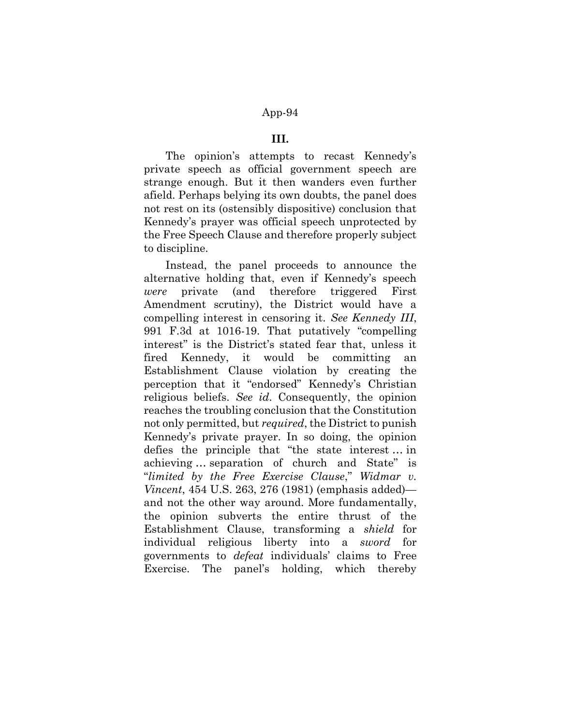### III.

The opinion's attempts to recast Kennedy's private speech as official government speech are strange enough. But it then wanders even further afield. Perhaps belying its own doubts, the panel does not rest on its (ostensibly dispositive) conclusion that Kennedy's prayer was official speech unprotected by the Free Speech Clause and therefore properly subject to discipline.

Instead, the panel proceeds to announce the alternative holding that, even if Kennedy's speech were private (and therefore triggered First Amendment scrutiny), the District would have a compelling interest in censoring it. See Kennedy III, 991 F.3d at 1016-19. That putatively "compelling interest" is the District's stated fear that, unless it fired Kennedy, it would be committing an Establishment Clause violation by creating the perception that it "endorsed" Kennedy's Christian religious beliefs. See id. Consequently, the opinion reaches the troubling conclusion that the Constitution not only permitted, but *required*, the District to punish Kennedy's private prayer. In so doing, the opinion defies the principle that "the state interest … in achieving … separation of church and State" is "limited by the Free Exercise Clause," Widmar v. Vincent, 454 U.S. 263, 276 (1981) (emphasis added) and not the other way around. More fundamentally, the opinion subverts the entire thrust of the Establishment Clause, transforming a shield for individual religious liberty into a sword for governments to defeat individuals' claims to Free Exercise. The panel's holding, which thereby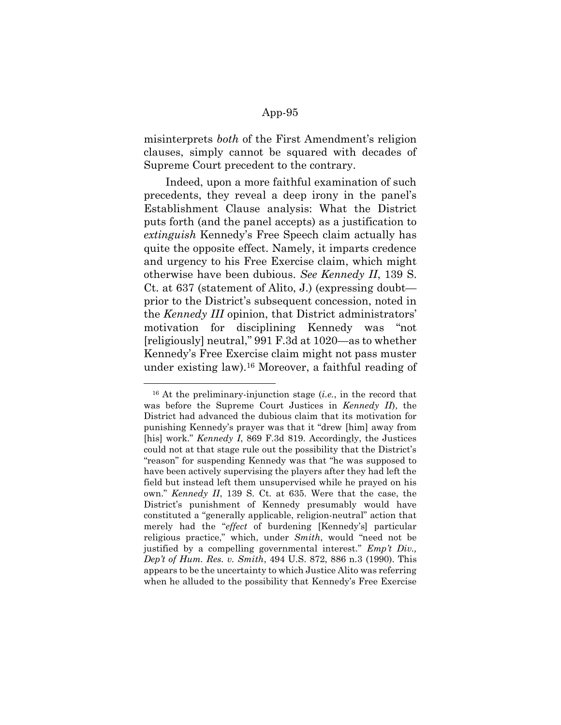misinterprets both of the First Amendment's religion clauses, simply cannot be squared with decades of Supreme Court precedent to the contrary.

Indeed, upon a more faithful examination of such precedents, they reveal a deep irony in the panel's Establishment Clause analysis: What the District puts forth (and the panel accepts) as a justification to extinguish Kennedy's Free Speech claim actually has quite the opposite effect. Namely, it imparts credence and urgency to his Free Exercise claim, which might otherwise have been dubious. See Kennedy II, 139 S. Ct. at 637 (statement of Alito, J.) (expressing doubt prior to the District's subsequent concession, noted in the Kennedy III opinion, that District administrators' motivation for disciplining Kennedy was "not [religiously] neutral," 991 F.3d at 1020—as to whether Kennedy's Free Exercise claim might not pass muster under existing law).16 Moreover, a faithful reading of

 $16$  At the preliminary-injunction stage (*i.e.*, in the record that was before the Supreme Court Justices in *Kennedy II*), the District had advanced the dubious claim that its motivation for punishing Kennedy's prayer was that it "drew [him] away from [his] work." Kennedy I, 869 F.3d 819. Accordingly, the Justices could not at that stage rule out the possibility that the District's "reason" for suspending Kennedy was that "he was supposed to have been actively supervising the players after they had left the field but instead left them unsupervised while he prayed on his own." Kennedy II, 139 S. Ct. at 635. Were that the case, the District's punishment of Kennedy presumably would have constituted a "generally applicable, religion-neutral" action that merely had the "effect of burdening [Kennedy's] particular religious practice," which, under Smith, would "need not be justified by a compelling governmental interest." Emp't Div., Dep't of Hum. Res. v. Smith, 494 U.S. 872, 886 n.3 (1990). This appears to be the uncertainty to which Justice Alito was referring when he alluded to the possibility that Kennedy's Free Exercise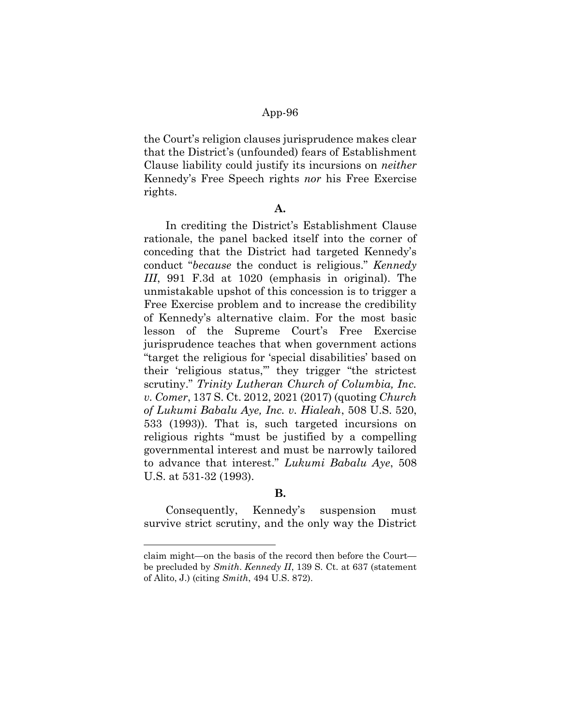the Court's religion clauses jurisprudence makes clear that the District's (unfounded) fears of Establishment Clause liability could justify its incursions on neither Kennedy's Free Speech rights nor his Free Exercise rights.

#### A.

In crediting the District's Establishment Clause rationale, the panel backed itself into the corner of conceding that the District had targeted Kennedy's conduct "because the conduct is religious." Kennedy III, 991 F.3d at 1020 (emphasis in original). The unmistakable upshot of this concession is to trigger a Free Exercise problem and to increase the credibility of Kennedy's alternative claim. For the most basic lesson of the Supreme Court's Free Exercise jurisprudence teaches that when government actions "target the religious for 'special disabilities' based on their 'religious status,'" they trigger "the strictest scrutiny." Trinity Lutheran Church of Columbia, Inc. v. Comer, 137 S. Ct. 2012, 2021 (2017) (quoting Church of Lukumi Babalu Aye, Inc. v. Hialeah, 508 U.S. 520, 533 (1993)). That is, such targeted incursions on religious rights "must be justified by a compelling governmental interest and must be narrowly tailored to advance that interest." Lukumi Babalu Aye, 508 U.S. at 531-32 (1993).

### B.

Consequently, Kennedy's suspension must survive strict scrutiny, and the only way the District

claim might—on the basis of the record then before the Court be precluded by Smith. Kennedy II, 139 S. Ct. at 637 (statement of Alito, J.) (citing Smith, 494 U.S. 872).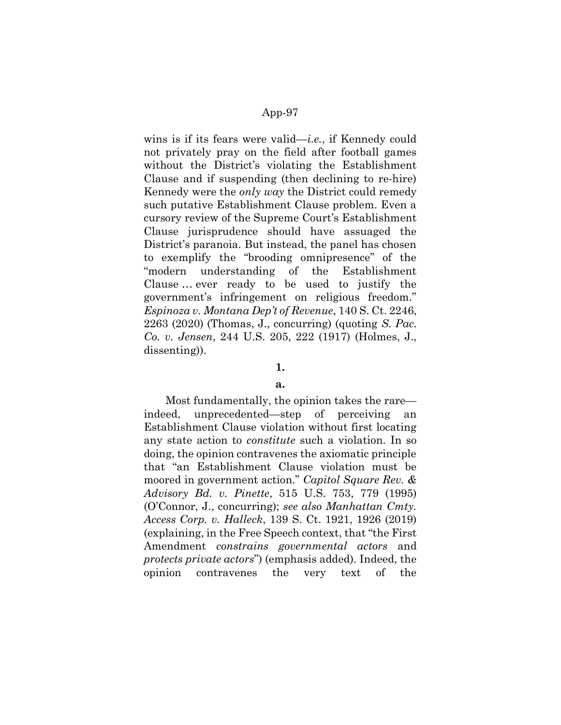wins is if its fears were valid—*i.e.*, if Kennedy could not privately pray on the field after football games without the District's violating the Establishment Clause and if suspending (then declining to re-hire) Kennedy were the only way the District could remedy such putative Establishment Clause problem. Even a cursory review of the Supreme Court's Establishment Clause jurisprudence should have assuaged the District's paranoia. But instead, the panel has chosen to exemplify the "brooding omnipresence" of the "modern understanding of the Establishment Clause … ever ready to be used to justify the government's infringement on religious freedom." Espinoza v. Montana Dep't of Revenue, 140 S. Ct. 2246,  $2263$  (2020) (Thomas, J., concurring) (quoting S. Pac. Co. v. Jensen, 244 U.S. 205, 222 (1917) (Holmes, J., dissenting)).

# 1.

#### a.

Most fundamentally, the opinion takes the rare indeed, unprecedented—step of perceiving an Establishment Clause violation without first locating any state action to constitute such a violation. In so doing, the opinion contravenes the axiomatic principle that "an Establishment Clause violation must be moored in government action." Capitol Square Rev. & Advisory Bd. v. Pinette, 515 U.S. 753, 779 (1995) (O'Connor, J., concurring); see also Manhattan Cmty. Access Corp. v. Halleck, 139 S. Ct. 1921, 1926 (2019) (explaining, in the Free Speech context, that "the First Amendment constrains governmental actors and protects private actors") (emphasis added). Indeed, the opinion contravenes the very text of the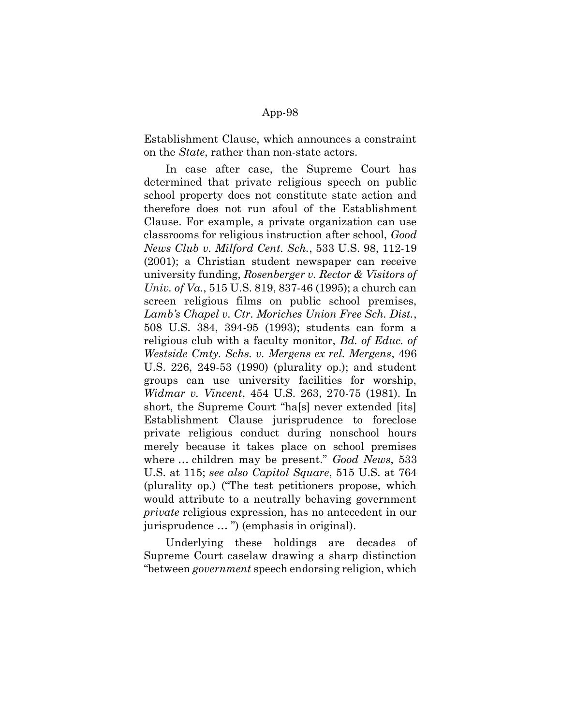Establishment Clause, which announces a constraint on the State, rather than non-state actors.

In case after case, the Supreme Court has determined that private religious speech on public school property does not constitute state action and therefore does not run afoul of the Establishment Clause. For example, a private organization can use classrooms for religious instruction after school, Good News Club v. Milford Cent. Sch., 533 U.S. 98, 112-19 (2001); a Christian student newspaper can receive university funding, Rosenberger v. Rector & Visitors of Univ. of Va., 515 U.S. 819, 837-46 (1995); a church can screen religious films on public school premises, Lamb's Chapel v. Ctr. Moriches Union Free Sch. Dist., 508 U.S. 384, 394-95 (1993); students can form a religious club with a faculty monitor, *Bd. of Educ. of* Westside Cmty. Schs. v. Mergens ex rel. Mergens, 496 U.S. 226, 249-53 (1990) (plurality op.); and student groups can use university facilities for worship, Widmar v. Vincent, 454 U.S. 263, 270-75 (1981). In short, the Supreme Court "ha[s] never extended [its] Establishment Clause jurisprudence to foreclose private religious conduct during nonschool hours merely because it takes place on school premises where ... children may be present." Good News, 533 U.S. at 115; see also Capitol Square, 515 U.S. at 764 (plurality op.) ("The test petitioners propose, which would attribute to a neutrally behaving government private religious expression, has no antecedent in our jurisprudence … ") (emphasis in original).

Underlying these holdings are decades of Supreme Court caselaw drawing a sharp distinction "between government speech endorsing religion, which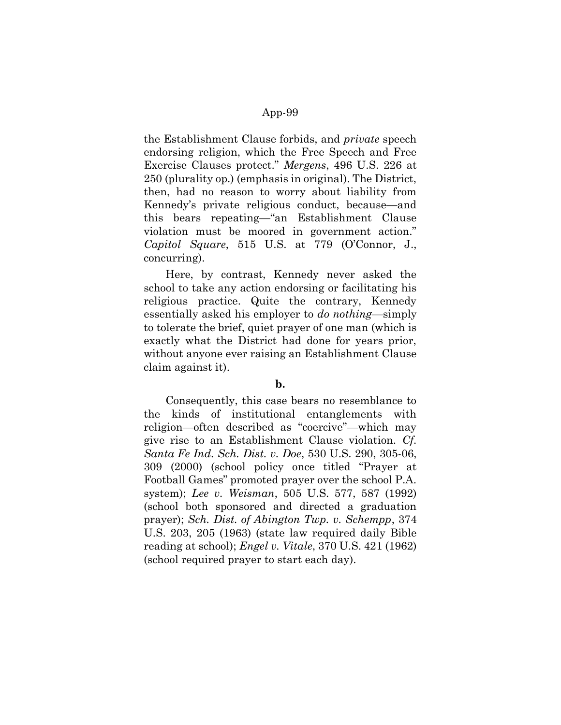the Establishment Clause forbids, and private speech endorsing religion, which the Free Speech and Free Exercise Clauses protect." Mergens, 496 U.S. 226 at 250 (plurality op.) (emphasis in original). The District, then, had no reason to worry about liability from Kennedy's private religious conduct, because—and this bears repeating—"an Establishment Clause violation must be moored in government action." Capitol Square, 515 U.S. at 779 (O'Connor, J., concurring).

Here, by contrast, Kennedy never asked the school to take any action endorsing or facilitating his religious practice. Quite the contrary, Kennedy essentially asked his employer to *do nothing*—simply to tolerate the brief, quiet prayer of one man (which is exactly what the District had done for years prior, without anyone ever raising an Establishment Clause claim against it).

### b.

Consequently, this case bears no resemblance to the kinds of institutional entanglements with religion—often described as "coercive"—which may give rise to an Establishment Clause violation. Cf. Santa Fe Ind. Sch. Dist. v. Doe, 530 U.S. 290, 305-06, 309 (2000) (school policy once titled "Prayer at Football Games" promoted prayer over the school P.A. system); Lee v. Weisman, 505 U.S. 577, 587 (1992) (school both sponsored and directed a graduation prayer); Sch. Dist. of Abington Twp. v. Schempp, 374 U.S. 203, 205 (1963) (state law required daily Bible reading at school);  $Engel v. Vitale, 370 U.S. 421 (1962)$ (school required prayer to start each day).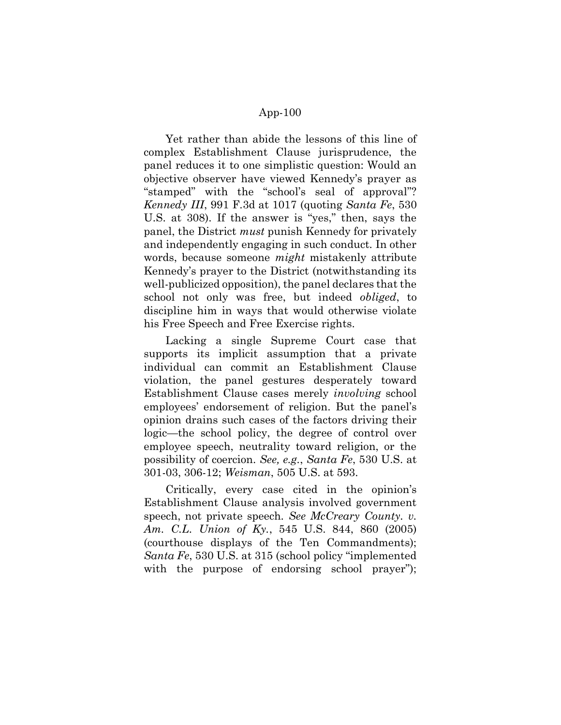Yet rather than abide the lessons of this line of complex Establishment Clause jurisprudence, the panel reduces it to one simplistic question: Would an objective observer have viewed Kennedy's prayer as "stamped" with the "school's seal of approval"? Kennedy III, 991 F.3d at 1017 (quoting Santa Fe, 530 U.S. at 308). If the answer is "yes," then, says the panel, the District must punish Kennedy for privately and independently engaging in such conduct. In other words, because someone *might* mistakenly attribute Kennedy's prayer to the District (notwithstanding its well-publicized opposition), the panel declares that the school not only was free, but indeed obliged, to discipline him in ways that would otherwise violate his Free Speech and Free Exercise rights.

Lacking a single Supreme Court case that supports its implicit assumption that a private individual can commit an Establishment Clause violation, the panel gestures desperately toward Establishment Clause cases merely involving school employees' endorsement of religion. But the panel's opinion drains such cases of the factors driving their logic—the school policy, the degree of control over employee speech, neutrality toward religion, or the possibility of coercion. See, e.g., Santa Fe, 530 U.S. at 301-03, 306-12; Weisman, 505 U.S. at 593.

Critically, every case cited in the opinion's Establishment Clause analysis involved government speech, not private speech. See McCreary County. v. Am. C.L. Union of Ky., 545 U.S. 844, 860 (2005) (courthouse displays of the Ten Commandments); Santa Fe, 530 U.S. at 315 (school policy "implemented with the purpose of endorsing school prayer");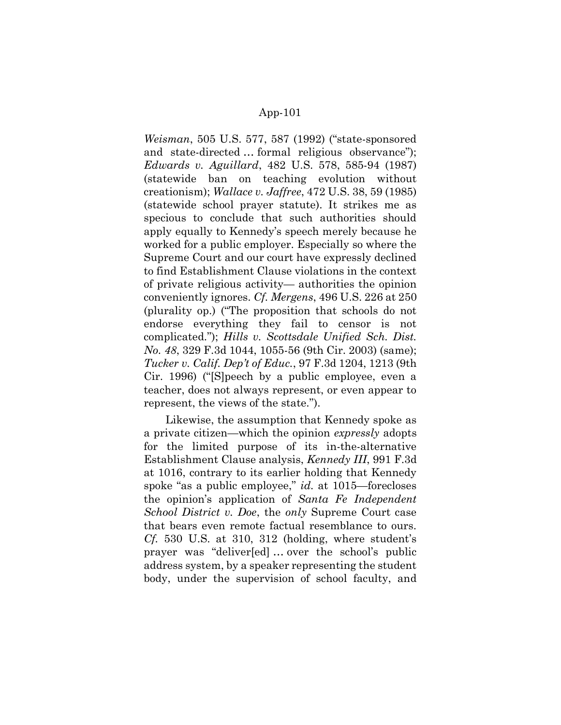Weisman, 505 U.S. 577, 587 (1992) ("state-sponsored and state-directed … formal religious observance"); Edwards v. Aguillard, 482 U.S. 578, 585-94 (1987) (statewide ban on teaching evolution without creationism); Wallace v. Jaffree, 472 U.S. 38, 59 (1985) (statewide school prayer statute). It strikes me as specious to conclude that such authorities should apply equally to Kennedy's speech merely because he worked for a public employer. Especially so where the Supreme Court and our court have expressly declined to find Establishment Clause violations in the context of private religious activity— authorities the opinion conveniently ignores. Cf. Mergens, 496 U.S. 226 at 250 (plurality op.) ("The proposition that schools do not endorse everything they fail to censor is not complicated."); Hills v. Scottsdale Unified Sch. Dist. No. 48, 329 F.3d 1044, 1055-56 (9th Cir. 2003) (same); Tucker v. Calif. Dep't of Educ., 97 F.3d 1204, 1213 (9th Cir. 1996) ("[S]peech by a public employee, even a teacher, does not always represent, or even appear to represent, the views of the state.").

Likewise, the assumption that Kennedy spoke as a private citizen—which the opinion expressly adopts for the limited purpose of its in-the-alternative Establishment Clause analysis, Kennedy III, 991 F.3d at 1016, contrary to its earlier holding that Kennedy spoke "as a public employee," *id.* at 1015—forecloses the opinion's application of Santa Fe Independent School District v. Doe, the only Supreme Court case that bears even remote factual resemblance to ours. Cf. 530 U.S. at 310, 312 (holding, where student's prayer was "deliver[ed] … over the school's public address system, by a speaker representing the student body, under the supervision of school faculty, and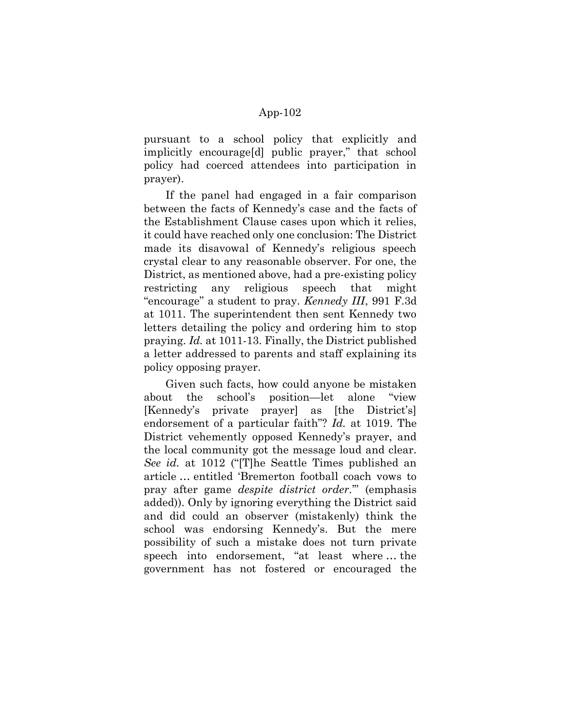pursuant to a school policy that explicitly and implicitly encourage[d] public prayer," that school policy had coerced attendees into participation in prayer).

If the panel had engaged in a fair comparison between the facts of Kennedy's case and the facts of the Establishment Clause cases upon which it relies, it could have reached only one conclusion: The District made its disavowal of Kennedy's religious speech crystal clear to any reasonable observer. For one, the District, as mentioned above, had a pre-existing policy restricting any religious speech that might "encourage" a student to pray. Kennedy III, 991 F.3d at 1011. The superintendent then sent Kennedy two letters detailing the policy and ordering him to stop praying. Id. at 1011-13. Finally, the District published a letter addressed to parents and staff explaining its policy opposing prayer.

Given such facts, how could anyone be mistaken about the school's position—let alone "view [Kennedy's private prayer] as [the District's] endorsement of a particular faith"? Id. at 1019. The District vehemently opposed Kennedy's prayer, and the local community got the message loud and clear. See id. at 1012 ("[T]he Seattle Times published an article … entitled 'Bremerton football coach vows to pray after game despite district order.'" (emphasis added)). Only by ignoring everything the District said and did could an observer (mistakenly) think the school was endorsing Kennedy's. But the mere possibility of such a mistake does not turn private speech into endorsement, "at least where … the government has not fostered or encouraged the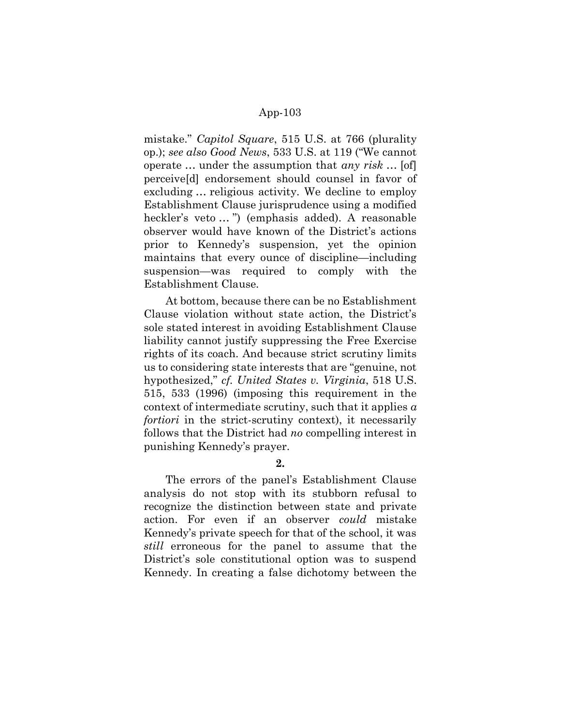mistake." Capitol Square, 515 U.S. at 766 (plurality op.); see also Good News, 533 U.S. at 119 ("We cannot operate  $\ldots$  under the assumption that any risk  $\ldots$  [of] perceive[d] endorsement should counsel in favor of excluding … religious activity. We decline to employ Establishment Clause jurisprudence using a modified heckler's veto … ") (emphasis added). A reasonable observer would have known of the District's actions prior to Kennedy's suspension, yet the opinion maintains that every ounce of discipline—including suspension—was required to comply with the Establishment Clause.

At bottom, because there can be no Establishment Clause violation without state action, the District's sole stated interest in avoiding Establishment Clause liability cannot justify suppressing the Free Exercise rights of its coach. And because strict scrutiny limits us to considering state interests that are "genuine, not hypothesized," *cf. United States v. Virginia*, 518 U.S. 515, 533 (1996) (imposing this requirement in the context of intermediate scrutiny, such that it applies  $a$ fortiori in the strict-scrutiny context), it necessarily follows that the District had no compelling interest in punishing Kennedy's prayer.

# 2.

The errors of the panel's Establishment Clause analysis do not stop with its stubborn refusal to recognize the distinction between state and private action. For even if an observer could mistake Kennedy's private speech for that of the school, it was still erroneous for the panel to assume that the District's sole constitutional option was to suspend Kennedy. In creating a false dichotomy between the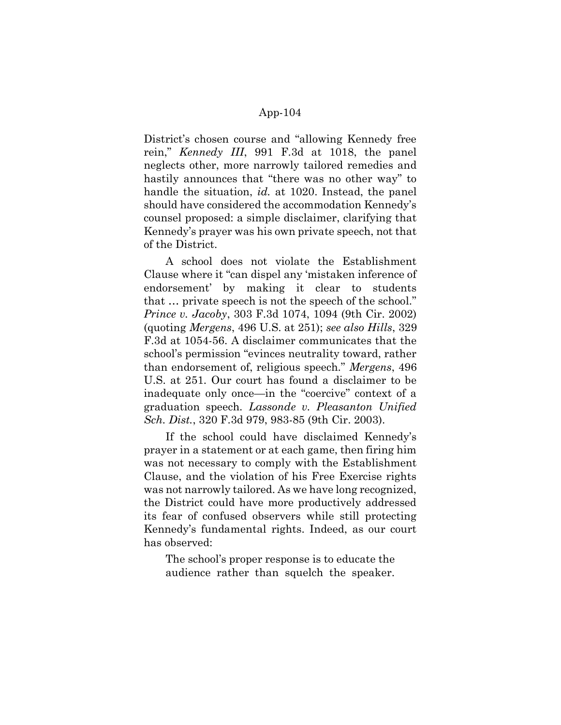District's chosen course and "allowing Kennedy free rein," Kennedy III, 991 F.3d at 1018, the panel neglects other, more narrowly tailored remedies and hastily announces that "there was no other way" to handle the situation, *id.* at 1020. Instead, the panel should have considered the accommodation Kennedy's counsel proposed: a simple disclaimer, clarifying that Kennedy's prayer was his own private speech, not that of the District.

A school does not violate the Establishment Clause where it "can dispel any 'mistaken inference of endorsement' by making it clear to students that … private speech is not the speech of the school." Prince v. Jacoby, 303 F.3d 1074, 1094 (9th Cir. 2002) (quoting Mergens, 496 U.S. at 251); see also Hills, 329 F.3d at 1054-56. A disclaimer communicates that the school's permission "evinces neutrality toward, rather than endorsement of, religious speech." Mergens, 496 U.S. at 251. Our court has found a disclaimer to be inadequate only once—in the "coercive" context of a graduation speech. Lassonde v. Pleasanton Unified Sch. Dist., 320 F.3d 979, 983-85 (9th Cir. 2003).

If the school could have disclaimed Kennedy's prayer in a statement or at each game, then firing him was not necessary to comply with the Establishment Clause, and the violation of his Free Exercise rights was not narrowly tailored. As we have long recognized, the District could have more productively addressed its fear of confused observers while still protecting Kennedy's fundamental rights. Indeed, as our court has observed:

The school's proper response is to educate the audience rather than squelch the speaker.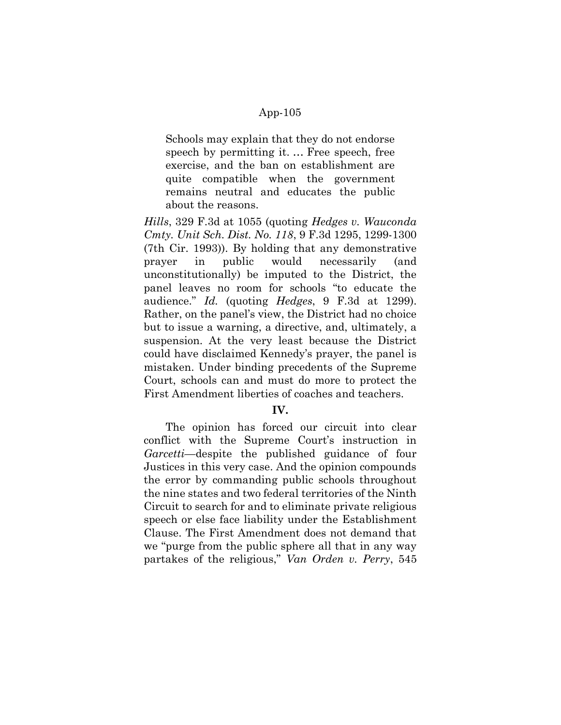Schools may explain that they do not endorse speech by permitting it. … Free speech, free exercise, and the ban on establishment are quite compatible when the government remains neutral and educates the public about the reasons.

Hills, 329 F.3d at 1055 (quoting Hedges v. Wauconda Cmty. Unit Sch. Dist. No. 118, 9 F.3d 1295, 1299-1300 (7th Cir. 1993)). By holding that any demonstrative prayer in public would necessarily (and unconstitutionally) be imputed to the District, the panel leaves no room for schools "to educate the audience." Id. (quoting Hedges, 9 F.3d at 1299). Rather, on the panel's view, the District had no choice but to issue a warning, a directive, and, ultimately, a suspension. At the very least because the District could have disclaimed Kennedy's prayer, the panel is mistaken. Under binding precedents of the Supreme Court, schools can and must do more to protect the First Amendment liberties of coaches and teachers.

## IV.

The opinion has forced our circuit into clear conflict with the Supreme Court's instruction in Garcetti—despite the published guidance of four Justices in this very case. And the opinion compounds the error by commanding public schools throughout the nine states and two federal territories of the Ninth Circuit to search for and to eliminate private religious speech or else face liability under the Establishment Clause. The First Amendment does not demand that we "purge from the public sphere all that in any way partakes of the religious," Van Orden v. Perry, 545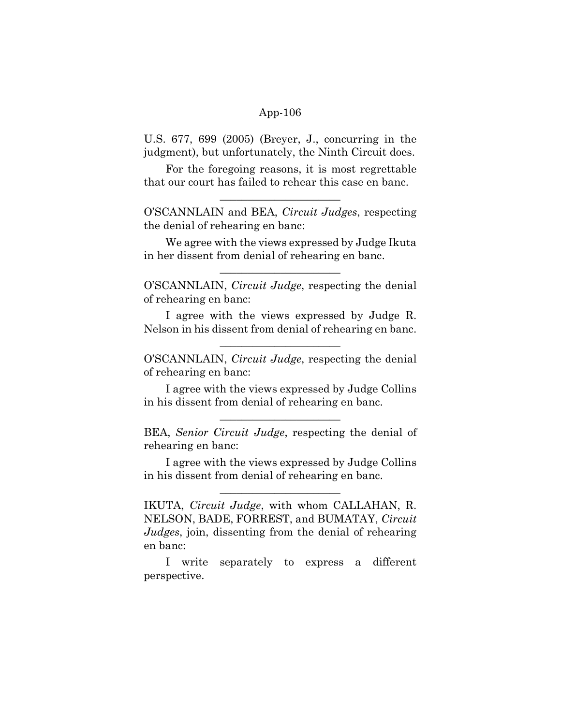U.S. 677, 699 (2005) (Breyer, J., concurring in the judgment), but unfortunately, the Ninth Circuit does.

For the foregoing reasons, it is most regrettable that our court has failed to rehear this case en banc.

 $\overline{\phantom{a}}$  , where  $\overline{\phantom{a}}$  , where  $\overline{\phantom{a}}$  , where  $\overline{\phantom{a}}$ 

O'SCANNLAIN and BEA, Circuit Judges, respecting the denial of rehearing en banc:

We agree with the views expressed by Judge Ikuta in her dissent from denial of rehearing en banc.

O'SCANNLAIN, Circuit Judge, respecting the denial of rehearing en banc:

 $\overline{\phantom{a}}$  , where  $\overline{\phantom{a}}$  , where  $\overline{\phantom{a}}$  , where  $\overline{\phantom{a}}$ 

I agree with the views expressed by Judge R. Nelson in his dissent from denial of rehearing en banc.

 $\overline{\phantom{a}}$  , where  $\overline{\phantom{a}}$  , where  $\overline{\phantom{a}}$  , where  $\overline{\phantom{a}}$ 

O'SCANNLAIN, Circuit Judge, respecting the denial of rehearing en banc:

I agree with the views expressed by Judge Collins in his dissent from denial of rehearing en banc.

 $\overline{\phantom{a}}$  , where  $\overline{\phantom{a}}$  , where  $\overline{\phantom{a}}$  , where  $\overline{\phantom{a}}$ 

BEA, Senior Circuit Judge, respecting the denial of rehearing en banc:

I agree with the views expressed by Judge Collins in his dissent from denial of rehearing en banc.

 $\overline{\phantom{a}}$  , where  $\overline{\phantom{a}}$  , where  $\overline{\phantom{a}}$  , where  $\overline{\phantom{a}}$ 

IKUTA, Circuit Judge, with whom CALLAHAN, R. NELSON, BADE, FORREST, and BUMATAY, Circuit Judges, join, dissenting from the denial of rehearing en banc:

I write separately to express a different perspective.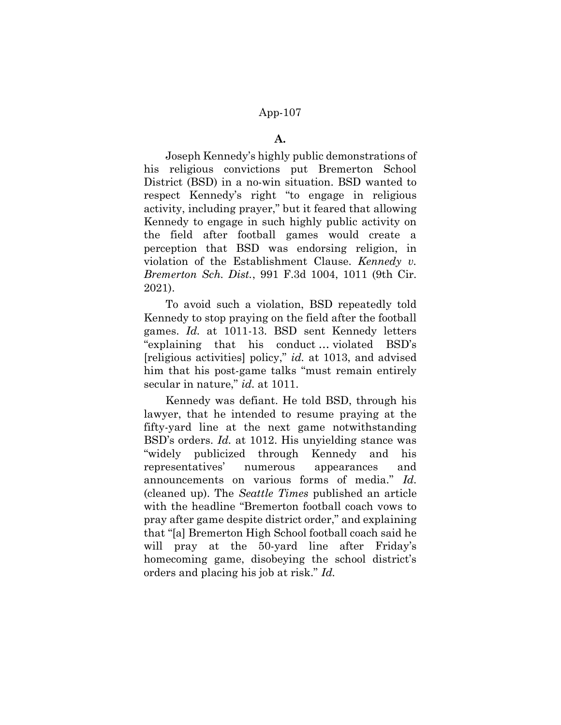#### A.

Joseph Kennedy's highly public demonstrations of his religious convictions put Bremerton School District (BSD) in a no-win situation. BSD wanted to respect Kennedy's right "to engage in religious activity, including prayer," but it feared that allowing Kennedy to engage in such highly public activity on the field after football games would create a perception that BSD was endorsing religion, in violation of the Establishment Clause. Kennedy  $v$ . Bremerton Sch. Dist., 991 F.3d 1004, 1011 (9th Cir. 2021).

To avoid such a violation, BSD repeatedly told Kennedy to stop praying on the field after the football games. Id. at 1011-13. BSD sent Kennedy letters "explaining that his conduct … violated BSD's [religious activities] policy," id. at 1013, and advised him that his post-game talks "must remain entirely secular in nature," id. at 1011.

Kennedy was defiant. He told BSD, through his lawyer, that he intended to resume praying at the fifty-yard line at the next game notwithstanding BSD's orders. Id. at 1012. His unyielding stance was "widely publicized through Kennedy and his representatives' numerous appearances and announcements on various forms of media." Id. (cleaned up). The Seattle Times published an article with the headline "Bremerton football coach vows to pray after game despite district order," and explaining that "[a] Bremerton High School football coach said he will pray at the 50-yard line after Friday's homecoming game, disobeying the school district's orders and placing his job at risk." Id.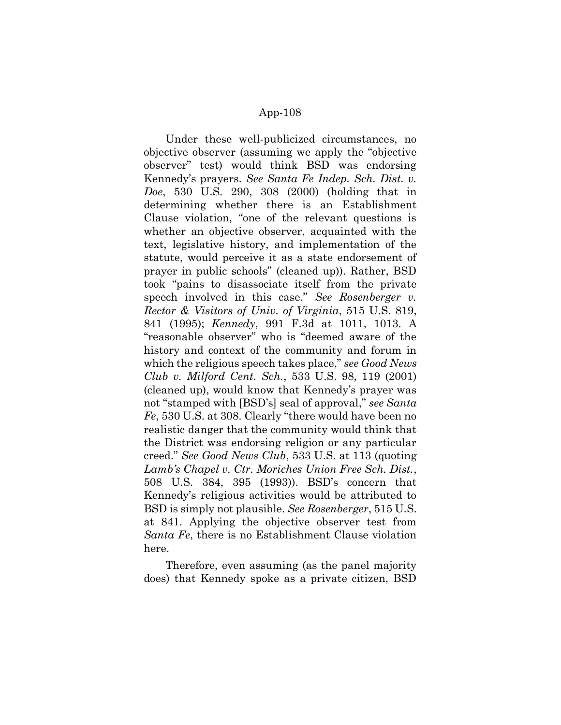Under these well-publicized circumstances, no objective observer (assuming we apply the "objective observer" test) would think BSD was endorsing Kennedy's prayers. See Santa Fe Indep. Sch. Dist. v. Doe, 530 U.S. 290, 308 (2000) (holding that in determining whether there is an Establishment Clause violation, "one of the relevant questions is whether an objective observer, acquainted with the text, legislative history, and implementation of the statute, would perceive it as a state endorsement of prayer in public schools" (cleaned up)). Rather, BSD took "pains to disassociate itself from the private speech involved in this case." See Rosenberger v. Rector & Visitors of Univ. of Virginia, 515 U.S. 819, 841 (1995); Kennedy, 991 F.3d at 1011, 1013. A "reasonable observer" who is "deemed aware of the history and context of the community and forum in which the religious speech takes place," see Good News Club v. Milford Cent. Sch., 533 U.S. 98, 119 (2001) (cleaned up), would know that Kennedy's prayer was not "stamped with [BSD's] seal of approval," see Santa Fe, 530 U.S. at 308. Clearly "there would have been no realistic danger that the community would think that the District was endorsing religion or any particular creed." See Good News Club, 533 U.S. at 113 (quoting Lamb's Chapel v. Ctr. Moriches Union Free Sch. Dist., 508 U.S. 384, 395 (1993)). BSD's concern that Kennedy's religious activities would be attributed to BSD is simply not plausible. See Rosenberger, 515 U.S. at 841. Applying the objective observer test from Santa Fe, there is no Establishment Clause violation here.

Therefore, even assuming (as the panel majority does) that Kennedy spoke as a private citizen, BSD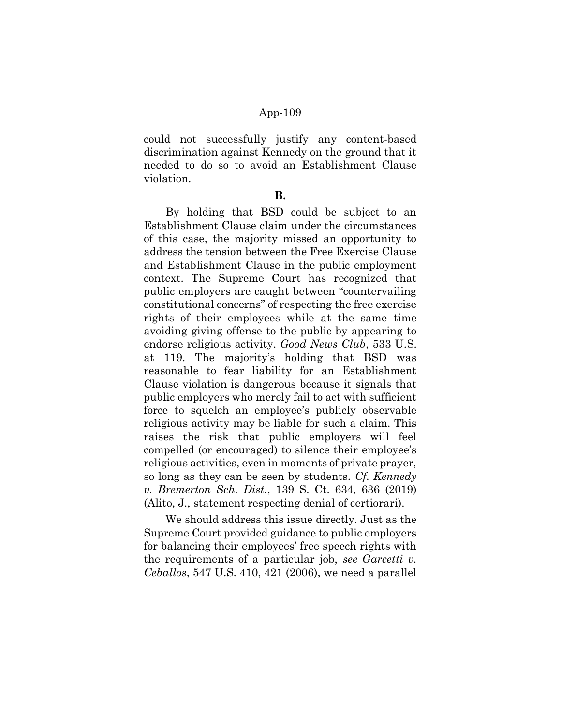could not successfully justify any content-based discrimination against Kennedy on the ground that it needed to do so to avoid an Establishment Clause violation.

#### B.

By holding that BSD could be subject to an Establishment Clause claim under the circumstances of this case, the majority missed an opportunity to address the tension between the Free Exercise Clause and Establishment Clause in the public employment context. The Supreme Court has recognized that public employers are caught between "countervailing constitutional concerns" of respecting the free exercise rights of their employees while at the same time avoiding giving offense to the public by appearing to endorse religious activity. Good News Club, 533 U.S. at 119. The majority's holding that BSD was reasonable to fear liability for an Establishment Clause violation is dangerous because it signals that public employers who merely fail to act with sufficient force to squelch an employee's publicly observable religious activity may be liable for such a claim. This raises the risk that public employers will feel compelled (or encouraged) to silence their employee's religious activities, even in moments of private prayer, so long as they can be seen by students. Cf. Kennedy v. Bremerton Sch. Dist., 139 S. Ct. 634, 636 (2019) (Alito, J., statement respecting denial of certiorari).

We should address this issue directly. Just as the Supreme Court provided guidance to public employers for balancing their employees' free speech rights with the requirements of a particular job, see Garcetti v. Ceballos, 547 U.S. 410, 421 (2006), we need a parallel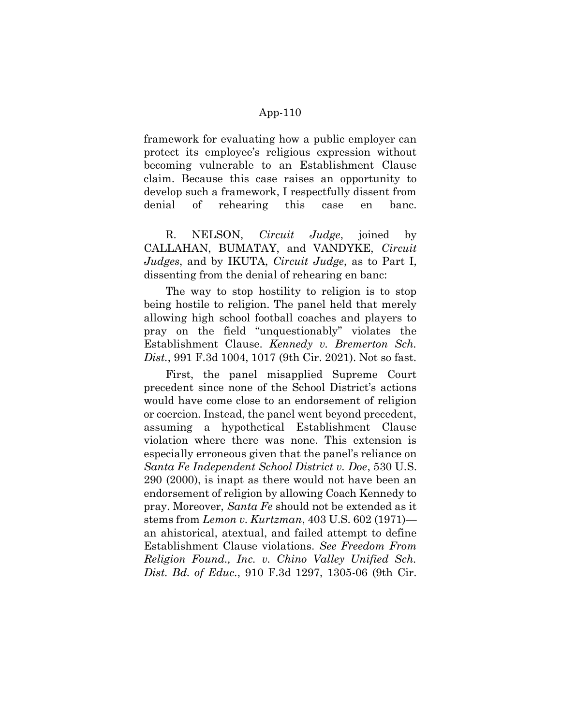framework for evaluating how a public employer can protect its employee's religious expression without becoming vulnerable to an Establishment Clause claim. Because this case raises an opportunity to develop such a framework, I respectfully dissent from denial of rehearing this case en banc.

R. NELSON, *Circuit Judge*, joined by CALLAHAN, BUMATAY, and VANDYKE, Circuit Judges, and by IKUTA, Circuit Judge, as to Part I, dissenting from the denial of rehearing en banc:

The way to stop hostility to religion is to stop being hostile to religion. The panel held that merely allowing high school football coaches and players to pray on the field "unquestionably" violates the Establishment Clause. Kennedy v. Bremerton Sch. Dist., 991 F.3d 1004, 1017 (9th Cir. 2021). Not so fast.

First, the panel misapplied Supreme Court precedent since none of the School District's actions would have come close to an endorsement of religion or coercion. Instead, the panel went beyond precedent, assuming a hypothetical Establishment Clause violation where there was none. This extension is especially erroneous given that the panel's reliance on Santa Fe Independent School District v. Doe, 530 U.S. 290 (2000), is inapt as there would not have been an endorsement of religion by allowing Coach Kennedy to pray. Moreover, Santa Fe should not be extended as it stems from Lemon v. Kurtzman, 403 U.S. 602 (1971) an ahistorical, atextual, and failed attempt to define Establishment Clause violations. See Freedom From Religion Found., Inc. v. Chino Valley Unified Sch. Dist. Bd. of Educ., 910 F.3d 1297, 1305-06 (9th Cir.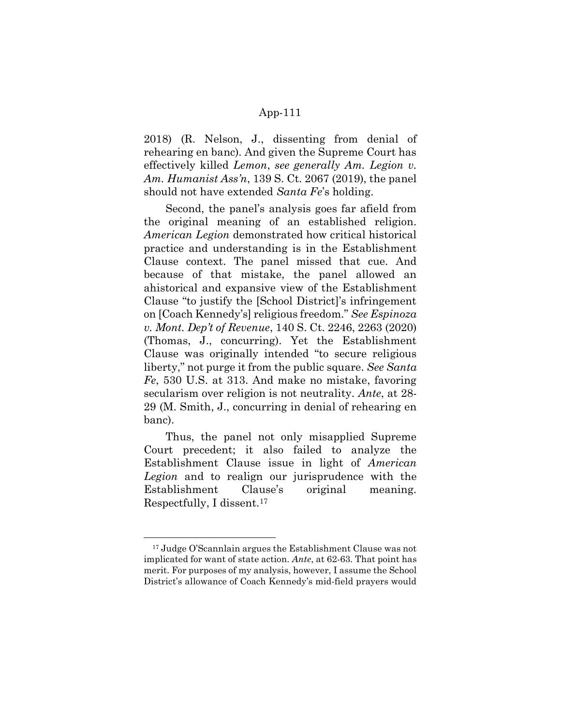2018) (R. Nelson, J., dissenting from denial of rehearing en banc). And given the Supreme Court has effectively killed Lemon, see generally Am. Legion v. Am. Humanist Ass'n, 139 S. Ct. 2067 (2019), the panel should not have extended Santa Fe's holding.

Second, the panel's analysis goes far afield from the original meaning of an established religion. American Legion demonstrated how critical historical practice and understanding is in the Establishment Clause context. The panel missed that cue. And because of that mistake, the panel allowed an ahistorical and expansive view of the Establishment Clause "to justify the [School District]'s infringement on [Coach Kennedy's] religious freedom." See Espinoza v. Mont. Dep't of Revenue, 140 S. Ct. 2246, 2263 (2020) (Thomas, J., concurring). Yet the Establishment Clause was originally intended "to secure religious liberty," not purge it from the public square. See Santa Fe, 530 U.S. at 313. And make no mistake, favoring secularism over religion is not neutrality. Ante, at 28-29 (M. Smith, J., concurring in denial of rehearing en banc).

Thus, the panel not only misapplied Supreme Court precedent; it also failed to analyze the Establishment Clause issue in light of American Legion and to realign our jurisprudence with the Establishment Clause's original meaning. Respectfully, I dissent.<sup>17</sup>

<sup>17</sup> Judge O'Scannlain argues the Establishment Clause was not implicated for want of state action. Ante, at 62-63. That point has merit. For purposes of my analysis, however, I assume the School District's allowance of Coach Kennedy's mid-field prayers would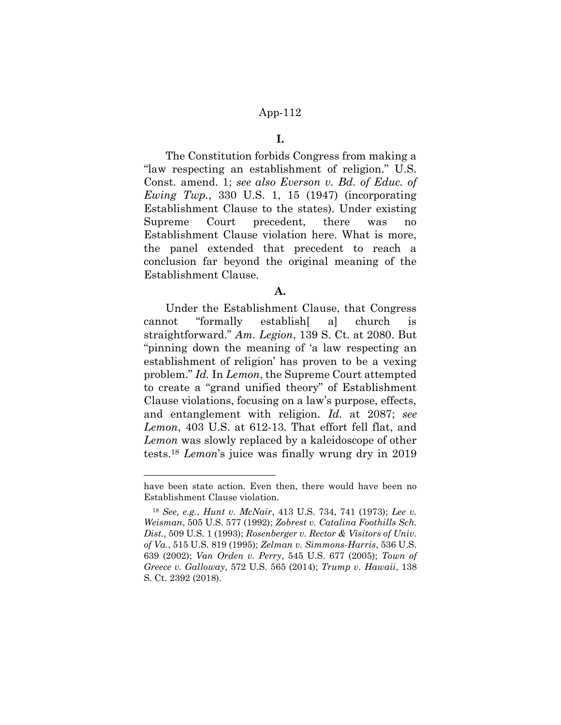### I.

The Constitution forbids Congress from making a "law respecting an establishment of religion." U.S. Const. amend. 1; see also Everson v. Bd. of Educ. of Ewing Twp., 330 U.S. 1, 15 (1947) (incorporating Establishment Clause to the states). Under existing Supreme Court precedent, there was no Establishment Clause violation here. What is more, the panel extended that precedent to reach a conclusion far beyond the original meaning of the Establishment Clause.

### A.

Under the Establishment Clause, that Congress cannot "formally establish[ a] church is straightforward." Am. Legion, 139 S. Ct. at 2080. But "pinning down the meaning of 'a law respecting an establishment of religion' has proven to be a vexing problem." Id. In Lemon, the Supreme Court attempted to create a "grand unified theory" of Establishment Clause violations, focusing on a law's purpose, effects, and entanglement with religion. Id. at 2087; see Lemon, 403 U.S. at 612-13. That effort fell flat, and Lemon was slowly replaced by a kaleidoscope of other tests.<sup>18</sup> Lemon's juice was finally wrung dry in 2019

have been state action. Even then, there would have been no Establishment Clause violation.

<sup>18</sup> See, e.g., Hunt v. McNair, 413 U.S. 734, 741 (1973); Lee v. Weisman, 505 U.S. 577 (1992); Zobrest v. Catalina Foothills Sch. Dist., 509 U.S. 1 (1993); Rosenberger v. Rector & Visitors of Univ. of Va., 515 U.S. 819 (1995); Zelman v. Simmons-Harris, 536 U.S. 639 (2002); Van Orden v. Perry, 545 U.S. 677 (2005); Town of Greece v. Galloway, 572 U.S. 565 (2014); Trump v. Hawaii, 138 S. Ct. 2392 (2018).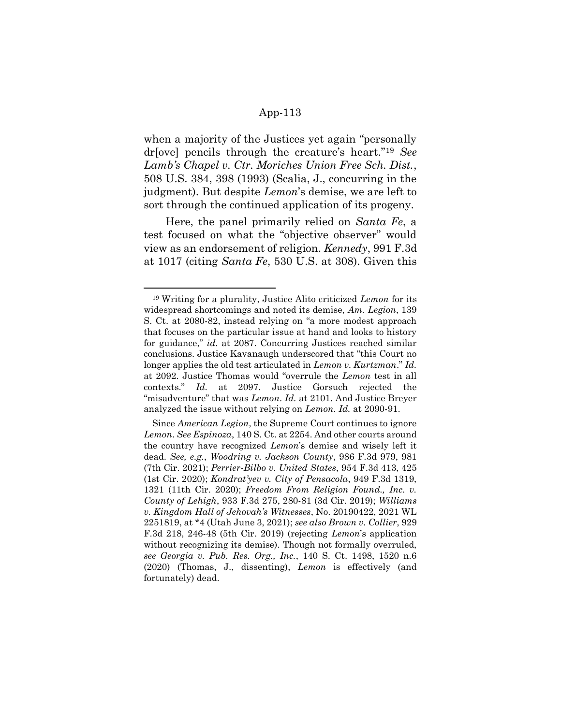when a majority of the Justices yet again "personally dr[ove] pencils through the creature's heart."19 See Lamb's Chapel v. Ctr. Moriches Union Free Sch. Dist., 508 U.S. 384, 398 (1993) (Scalia, J., concurring in the judgment). But despite Lemon's demise, we are left to sort through the continued application of its progeny.

Here, the panel primarily relied on Santa Fe, a test focused on what the "objective observer" would view as an endorsement of religion. Kennedy, 991 F.3d at 1017 (citing *Santa Fe*, 530 U.S. at 308). Given this

<sup>19</sup> Writing for a plurality, Justice Alito criticized Lemon for its widespread shortcomings and noted its demise, Am. Legion, 139 S. Ct. at 2080-82, instead relying on "a more modest approach that focuses on the particular issue at hand and looks to history for guidance," id. at 2087. Concurring Justices reached similar conclusions. Justice Kavanaugh underscored that "this Court no longer applies the old test articulated in Lemon v. Kurtzman." Id. at 2092. Justice Thomas would "overrule the Lemon test in all contexts." Id. at 2097. Justice Gorsuch rejected the "misadventure" that was Lemon. Id. at 2101. And Justice Breyer analyzed the issue without relying on Lemon. Id. at 2090-91.

Since American Legion, the Supreme Court continues to ignore Lemon. See Espinoza, 140 S. Ct. at 2254. And other courts around the country have recognized Lemon's demise and wisely left it dead. See, e.g., Woodring v. Jackson County, 986 F.3d 979, 981 (7th Cir. 2021); Perrier-Bilbo v. United States, 954 F.3d 413, 425 (1st Cir. 2020); Kondrat'yev v. City of Pensacola, 949 F.3d 1319, 1321 (11th Cir. 2020); Freedom From Religion Found., Inc. v. County of Lehigh, 933 F.3d 275, 280-81 (3d Cir. 2019); Williams v. Kingdom Hall of Jehovah's Witnesses, No. 20190422, 2021 WL 2251819, at \*4 (Utah June 3, 2021); see also Brown v. Collier, 929 F.3d 218, 246-48 (5th Cir. 2019) (rejecting Lemon's application without recognizing its demise). Though not formally overruled, see Georgia v. Pub. Res. Org., Inc., 140 S. Ct. 1498, 1520 n.6 (2020) (Thomas, J., dissenting), Lemon is effectively (and fortunately) dead.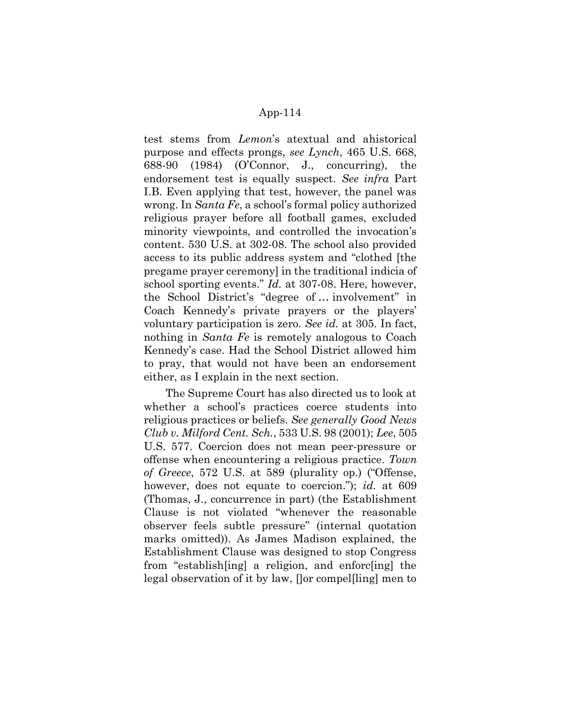test stems from Lemon's atextual and ahistorical purpose and effects prongs, see Lynch, 465 U.S. 668, 688-90 (1984) (O'Connor, J., concurring), the endorsement test is equally suspect. See infra Part I.B. Even applying that test, however, the panel was wrong. In Santa Fe, a school's formal policy authorized religious prayer before all football games, excluded minority viewpoints, and controlled the invocation's content. 530 U.S. at 302-08. The school also provided access to its public address system and "clothed [the pregame prayer ceremony] in the traditional indicia of school sporting events." Id. at 307-08. Here, however, the School District's "degree of … involvement" in Coach Kennedy's private prayers or the players' voluntary participation is zero. See id. at 305. In fact, nothing in *Santa Fe* is remotely analogous to Coach Kennedy's case. Had the School District allowed him to pray, that would not have been an endorsement either, as I explain in the next section.

The Supreme Court has also directed us to look at whether a school's practices coerce students into religious practices or beliefs. See generally Good News Club v. Milford Cent. Sch., 533 U.S. 98 (2001); Lee, 505 U.S. 577. Coercion does not mean peer-pressure or offense when encountering a religious practice. Town of Greece, 572 U.S. at 589 (plurality op.) ("Offense, however, does not equate to coercion."); id. at 609 (Thomas, J., concurrence in part) (the Establishment Clause is not violated "whenever the reasonable observer feels subtle pressure" (internal quotation marks omitted)). As James Madison explained, the Establishment Clause was designed to stop Congress from "establish[ing] a religion, and enforc[ing] the legal observation of it by law, []or compel[ling] men to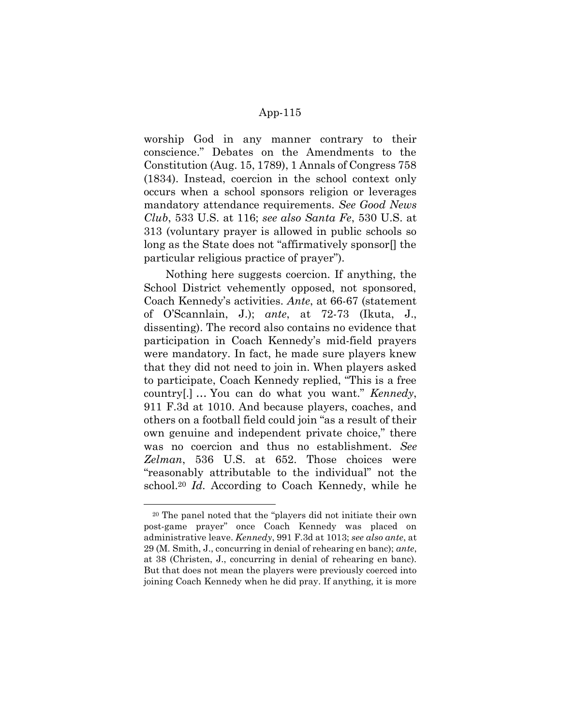worship God in any manner contrary to their conscience." Debates on the Amendments to the Constitution (Aug. 15, 1789), 1 Annals of Congress 758 (1834). Instead, coercion in the school context only occurs when a school sponsors religion or leverages mandatory attendance requirements. See Good News Club, 533 U.S. at 116; see also Santa Fe, 530 U.S. at 313 (voluntary prayer is allowed in public schools so long as the State does not "affirmatively sponsor[] the particular religious practice of prayer").

Nothing here suggests coercion. If anything, the School District vehemently opposed, not sponsored, Coach Kennedy's activities. Ante, at 66-67 (statement of O'Scannlain, J.); ante, at 72-73 (Ikuta, J., dissenting). The record also contains no evidence that participation in Coach Kennedy's mid-field prayers were mandatory. In fact, he made sure players knew that they did not need to join in. When players asked to participate, Coach Kennedy replied, "This is a free country[.] … You can do what you want." Kennedy, 911 F.3d at 1010. And because players, coaches, and others on a football field could join "as a result of their own genuine and independent private choice," there was no coercion and thus no establishment. See Zelman, 536 U.S. at 652. Those choices were "reasonably attributable to the individual" not the school.<sup>20</sup> Id. According to Coach Kennedy, while he

-

<sup>20</sup> The panel noted that the "players did not initiate their own post-game prayer" once Coach Kennedy was placed on administrative leave. Kennedy, 991 F.3d at 1013; see also ante, at 29 (M. Smith, J., concurring in denial of rehearing en banc); ante, at 38 (Christen, J., concurring in denial of rehearing en banc). But that does not mean the players were previously coerced into joining Coach Kennedy when he did pray. If anything, it is more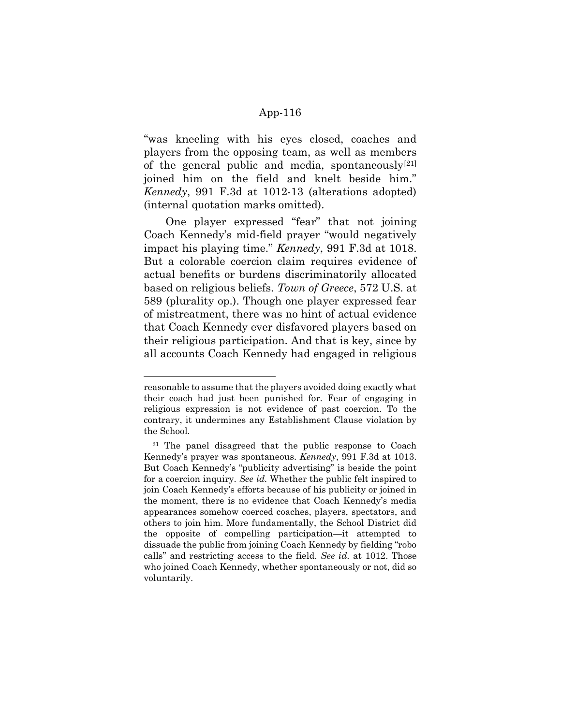"was kneeling with his eyes closed, coaches and players from the opposing team, as well as members of the general public and media, spontaneously $[21]$ joined him on the field and knelt beside him." Kennedy, 991 F.3d at 1012-13 (alterations adopted) (internal quotation marks omitted).

One player expressed "fear" that not joining Coach Kennedy's mid-field prayer "would negatively impact his playing time." Kennedy, 991 F.3d at 1018. But a colorable coercion claim requires evidence of actual benefits or burdens discriminatorily allocated based on religious beliefs. Town of Greece, 572 U.S. at 589 (plurality op.). Though one player expressed fear of mistreatment, there was no hint of actual evidence that Coach Kennedy ever disfavored players based on their religious participation. And that is key, since by all accounts Coach Kennedy had engaged in religious

reasonable to assume that the players avoided doing exactly what their coach had just been punished for. Fear of engaging in religious expression is not evidence of past coercion. To the contrary, it undermines any Establishment Clause violation by the School.

<sup>21</sup> The panel disagreed that the public response to Coach Kennedy's prayer was spontaneous. Kennedy, 991 F.3d at 1013. But Coach Kennedy's "publicity advertising" is beside the point for a coercion inquiry. See id. Whether the public felt inspired to join Coach Kennedy's efforts because of his publicity or joined in the moment, there is no evidence that Coach Kennedy's media appearances somehow coerced coaches, players, spectators, and others to join him. More fundamentally, the School District did the opposite of compelling participation—it attempted to dissuade the public from joining Coach Kennedy by fielding "robo calls" and restricting access to the field. See id. at 1012. Those who joined Coach Kennedy, whether spontaneously or not, did so voluntarily.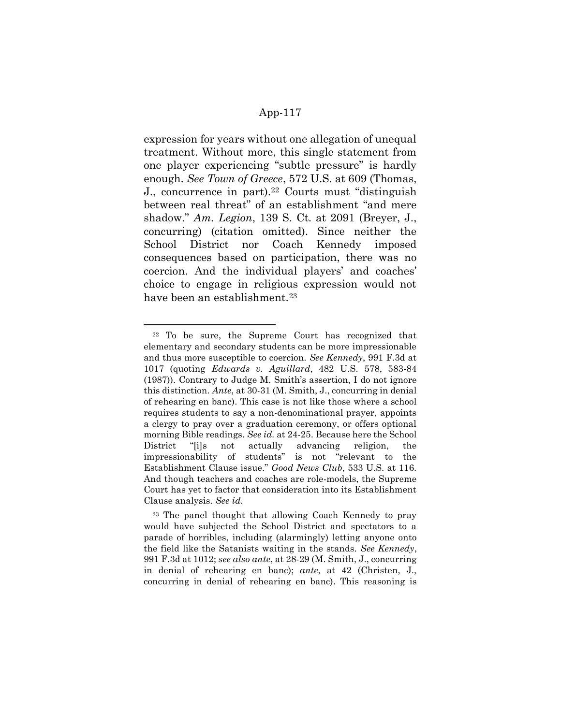expression for years without one allegation of unequal treatment. Without more, this single statement from one player experiencing "subtle pressure" is hardly enough. See Town of Greece, 572 U.S. at 609 (Thomas, J., concurrence in part).<sup>22</sup> Courts must "distinguish between real threat" of an establishment "and mere shadow." Am. Legion, 139 S. Ct. at 2091 (Breyer, J., concurring) (citation omitted). Since neither the School District nor Coach Kennedy imposed consequences based on participation, there was no coercion. And the individual players' and coaches' choice to engage in religious expression would not have been an establishment.<sup>23</sup>

<sup>22</sup> To be sure, the Supreme Court has recognized that elementary and secondary students can be more impressionable and thus more susceptible to coercion. See Kennedy, 991 F.3d at 1017 (quoting Edwards v. Aguillard, 482 U.S. 578, 583-84 (1987)). Contrary to Judge M. Smith's assertion, I do not ignore this distinction. Ante, at 30-31 (M. Smith, J., concurring in denial of rehearing en banc). This case is not like those where a school requires students to say a non-denominational prayer, appoints a clergy to pray over a graduation ceremony, or offers optional morning Bible readings. See id. at 24-25. Because here the School District "[i]s not actually advancing religion, the impressionability of students" is not "relevant to the Establishment Clause issue." Good News Club, 533 U.S. at 116. And though teachers and coaches are role-models, the Supreme Court has yet to factor that consideration into its Establishment Clause analysis. See id.

<sup>23</sup> The panel thought that allowing Coach Kennedy to pray would have subjected the School District and spectators to a parade of horribles, including (alarmingly) letting anyone onto the field like the Satanists waiting in the stands. See Kennedy, 991 F.3d at 1012; see also ante, at 28-29 (M. Smith, J., concurring in denial of rehearing en banc); ante, at 42 (Christen, J., concurring in denial of rehearing en banc). This reasoning is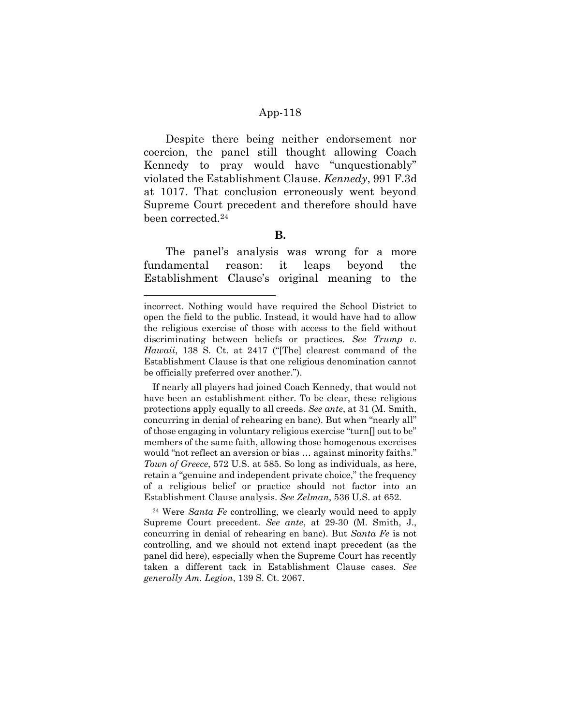Despite there being neither endorsement nor coercion, the panel still thought allowing Coach Kennedy to pray would have "unquestionably" violated the Establishment Clause. Kennedy, 991 F.3d at 1017. That conclusion erroneously went beyond Supreme Court precedent and therefore should have been corrected.<sup>24</sup>

#### B.

The panel's analysis was wrong for a more fundamental reason: it leaps beyond the Establishment Clause's original meaning to the

-

incorrect. Nothing would have required the School District to open the field to the public. Instead, it would have had to allow the religious exercise of those with access to the field without discriminating between beliefs or practices. See Trump v. Hawaii, 138 S. Ct. at 2417 ("[The] clearest command of the Establishment Clause is that one religious denomination cannot be officially preferred over another.").

If nearly all players had joined Coach Kennedy, that would not have been an establishment either. To be clear, these religious protections apply equally to all creeds. See ante, at 31 (M. Smith, concurring in denial of rehearing en banc). But when "nearly all" of those engaging in voluntary religious exercise "turn[] out to be" members of the same faith, allowing those homogenous exercises would "not reflect an aversion or bias … against minority faiths." Town of Greece, 572 U.S. at 585. So long as individuals, as here, retain a "genuine and independent private choice," the frequency of a religious belief or practice should not factor into an Establishment Clause analysis. See Zelman, 536 U.S. at 652.

<sup>&</sup>lt;sup>24</sup> Were Santa Fe controlling, we clearly would need to apply Supreme Court precedent. See ante, at 29-30 (M. Smith, J., concurring in denial of rehearing en banc). But Santa Fe is not controlling, and we should not extend inapt precedent (as the panel did here), especially when the Supreme Court has recently taken a different tack in Establishment Clause cases. See generally Am. Legion, 139 S. Ct. 2067.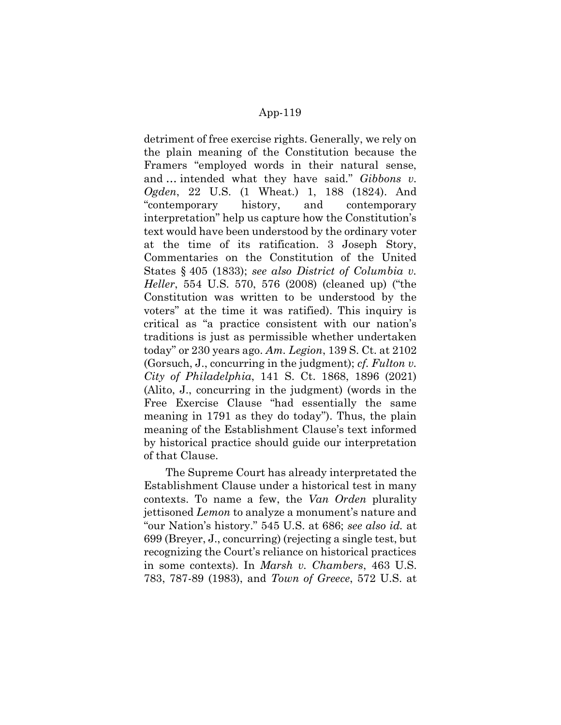detriment of free exercise rights. Generally, we rely on the plain meaning of the Constitution because the Framers "employed words in their natural sense, and … intended what they have said." Gibbons v. Ogden, 22 U.S. (1 Wheat.) 1, 188 (1824). And "contemporary history, and contemporary interpretation" help us capture how the Constitution's text would have been understood by the ordinary voter at the time of its ratification. 3 Joseph Story, Commentaries on the Constitution of the United States § 405 (1833); see also District of Columbia v. Heller, 554 U.S. 570, 576 (2008) (cleaned up) ("the Constitution was written to be understood by the voters" at the time it was ratified). This inquiry is critical as "a practice consistent with our nation's traditions is just as permissible whether undertaken today" or 230 years ago. Am. Legion, 139 S. Ct. at 2102 (Gorsuch, J., concurring in the judgment); *cf. Fulton v.* City of Philadelphia, 141 S. Ct. 1868, 1896 (2021) (Alito, J., concurring in the judgment) (words in the Free Exercise Clause "had essentially the same meaning in 1791 as they do today"). Thus, the plain meaning of the Establishment Clause's text informed by historical practice should guide our interpretation of that Clause.

The Supreme Court has already interpretated the Establishment Clause under a historical test in many contexts. To name a few, the Van Orden plurality jettisoned Lemon to analyze a monument's nature and "our Nation's history." 545 U.S. at 686; see also id. at 699 (Breyer, J., concurring) (rejecting a single test, but recognizing the Court's reliance on historical practices in some contexts). In Marsh v. Chambers, 463 U.S. 783, 787-89 (1983), and Town of Greece, 572 U.S. at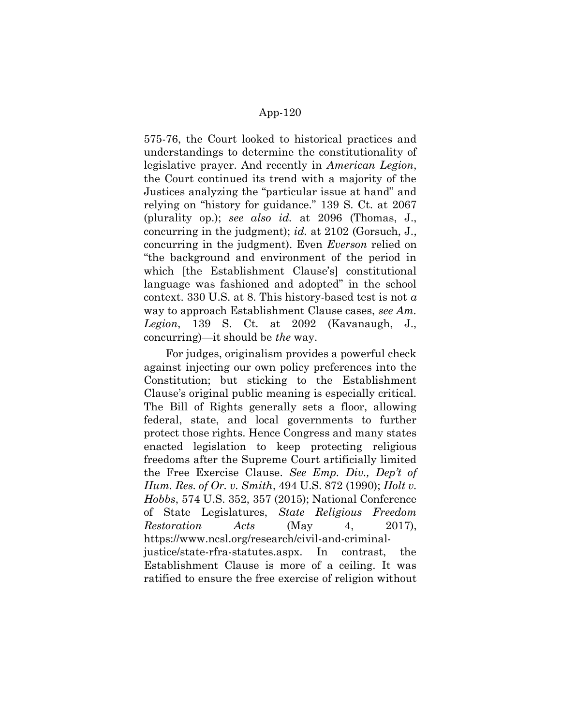575-76, the Court looked to historical practices and understandings to determine the constitutionality of legislative prayer. And recently in American Legion, the Court continued its trend with a majority of the Justices analyzing the "particular issue at hand" and relying on "history for guidance." 139 S. Ct. at 2067 (plurality op.); see also id. at  $2096$  (Thomas, J., concurring in the judgment); id. at 2102 (Gorsuch, J., concurring in the judgment). Even Everson relied on "the background and environment of the period in which [the Establishment Clause's] constitutional language was fashioned and adopted" in the school context. 330 U.S. at 8. This history-based test is not  $\alpha$ way to approach Establishment Clause cases, see Am. Legion, 139 S. Ct. at 2092 (Kavanaugh, J., concurring)—it should be the way.

For judges, originalism provides a powerful check against injecting our own policy preferences into the Constitution; but sticking to the Establishment Clause's original public meaning is especially critical. The Bill of Rights generally sets a floor, allowing federal, state, and local governments to further protect those rights. Hence Congress and many states enacted legislation to keep protecting religious freedoms after the Supreme Court artificially limited the Free Exercise Clause. See Emp. Div., Dep't of Hum. Res. of Or. v. Smith, 494 U.S. 872 (1990); Holt v. Hobbs, 574 U.S. 352, 357 (2015); National Conference of State Legislatures, State Religious Freedom Restoration Acts (May 4, 2017), https://www.ncsl.org/research/civil-and-criminaljustice/state-rfra-statutes.aspx. In contrast, the Establishment Clause is more of a ceiling. It was ratified to ensure the free exercise of religion without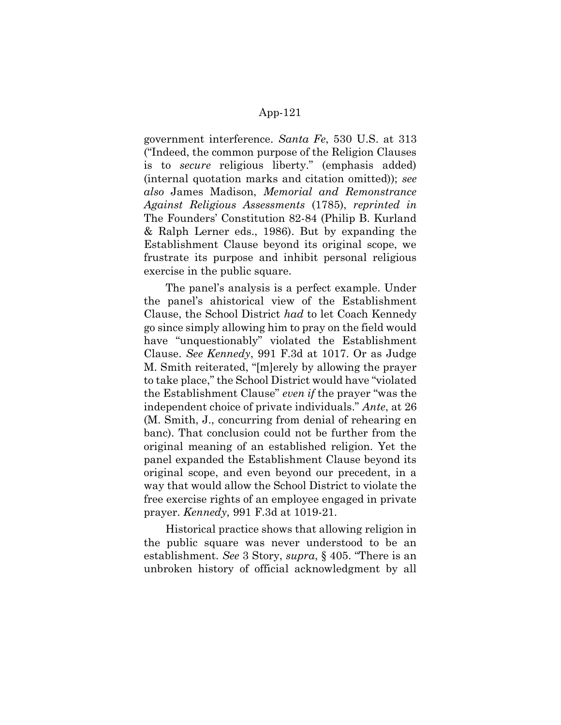government interference. Santa Fe, 530 U.S. at 313 ("Indeed, the common purpose of the Religion Clauses is to secure religious liberty." (emphasis added) (internal quotation marks and citation omitted)); see also James Madison, Memorial and Remonstrance Against Religious Assessments (1785), reprinted in The Founders' Constitution 82-84 (Philip B. Kurland & Ralph Lerner eds., 1986). But by expanding the Establishment Clause beyond its original scope, we frustrate its purpose and inhibit personal religious exercise in the public square.

The panel's analysis is a perfect example. Under the panel's ahistorical view of the Establishment Clause, the School District had to let Coach Kennedy go since simply allowing him to pray on the field would have "unquestionably" violated the Establishment Clause. See Kennedy, 991 F.3d at 1017. Or as Judge M. Smith reiterated, "[m]erely by allowing the prayer to take place," the School District would have "violated the Establishment Clause" even if the prayer "was the independent choice of private individuals." Ante, at 26 (M. Smith, J., concurring from denial of rehearing en banc). That conclusion could not be further from the original meaning of an established religion. Yet the panel expanded the Establishment Clause beyond its original scope, and even beyond our precedent, in a way that would allow the School District to violate the free exercise rights of an employee engaged in private prayer. Kennedy, 991 F.3d at 1019-21.

Historical practice shows that allowing religion in the public square was never understood to be an establishment. See 3 Story, supra, § 405. "There is an unbroken history of official acknowledgment by all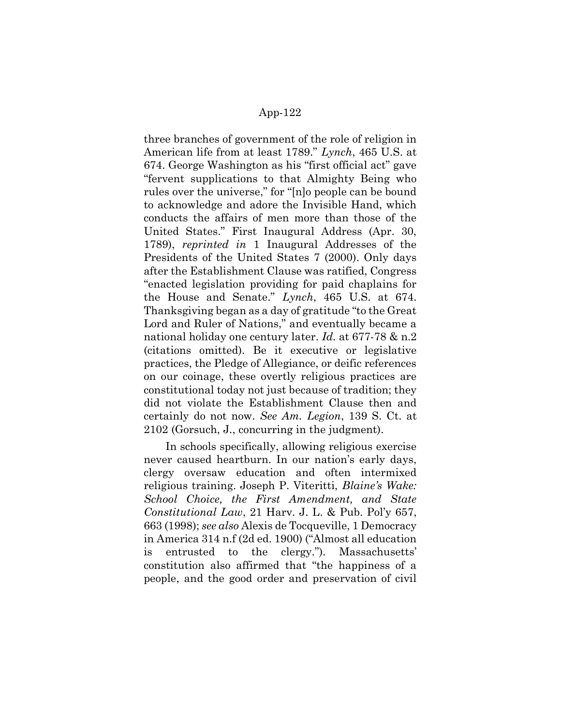three branches of government of the role of religion in American life from at least 1789." Lynch, 465 U.S. at 674. George Washington as his "first official act" gave "fervent supplications to that Almighty Being who rules over the universe," for "[n]o people can be bound to acknowledge and adore the Invisible Hand, which conducts the affairs of men more than those of the United States." First Inaugural Address (Apr. 30, 1789), reprinted in 1 Inaugural Addresses of the Presidents of the United States 7 (2000). Only days after the Establishment Clause was ratified, Congress "enacted legislation providing for paid chaplains for the House and Senate." Lynch, 465 U.S. at 674. Thanksgiving began as a day of gratitude "to the Great Lord and Ruler of Nations," and eventually became a national holiday one century later. Id. at 677-78 & n.2 (citations omitted). Be it executive or legislative practices, the Pledge of Allegiance, or deific references on our coinage, these overtly religious practices are constitutional today not just because of tradition; they did not violate the Establishment Clause then and certainly do not now. See Am. Legion, 139 S. Ct. at 2102 (Gorsuch, J., concurring in the judgment).

In schools specifically, allowing religious exercise never caused heartburn. In our nation's early days, clergy oversaw education and often intermixed religious training. Joseph P. Viteritti, Blaine's Wake: School Choice, the First Amendment, and State Constitutional Law, 21 Harv. J. L. & Pub. Pol'y 657, 663 (1998); see also Alexis de Tocqueville, 1 Democracy in America 314 n.f (2d ed. 1900) ("Almost all education is entrusted to the clergy."). Massachusetts' constitution also affirmed that "the happiness of a people, and the good order and preservation of civil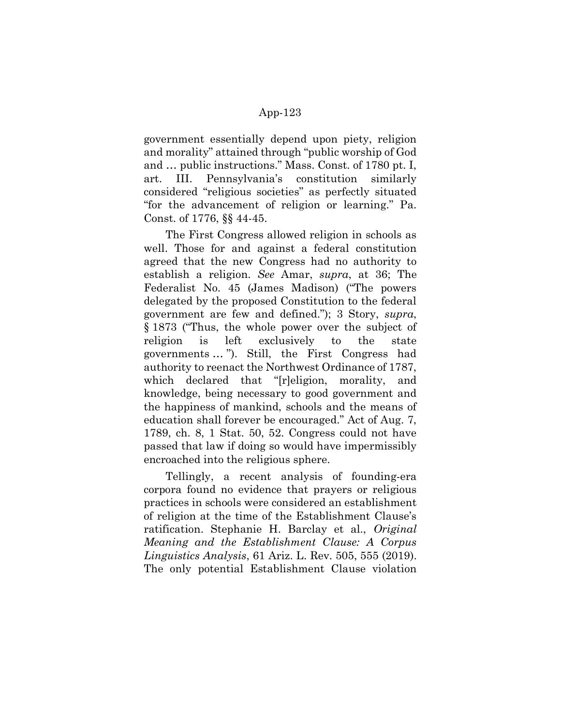government essentially depend upon piety, religion and morality" attained through "public worship of God and … public instructions." Mass. Const. of 1780 pt. I, art. III. Pennsylvania's constitution similarly considered "religious societies" as perfectly situated "for the advancement of religion or learning." Pa. Const. of 1776, §§ 44-45.

The First Congress allowed religion in schools as well. Those for and against a federal constitution agreed that the new Congress had no authority to establish a religion. See Amar, supra, at 36; The Federalist No. 45 (James Madison) ("The powers delegated by the proposed Constitution to the federal government are few and defined."); 3 Story, supra, § 1873 ("Thus, the whole power over the subject of religion is left exclusively to the state governments … "). Still, the First Congress had authority to reenact the Northwest Ordinance of 1787, which declared that "[r]eligion, morality, and knowledge, being necessary to good government and the happiness of mankind, schools and the means of education shall forever be encouraged." Act of Aug. 7, 1789, ch. 8, 1 Stat. 50, 52. Congress could not have passed that law if doing so would have impermissibly encroached into the religious sphere.

Tellingly, a recent analysis of founding-era corpora found no evidence that prayers or religious practices in schools were considered an establishment of religion at the time of the Establishment Clause's ratification. Stephanie H. Barclay et al., Original Meaning and the Establishment Clause: A Corpus Linguistics Analysis, 61 Ariz. L. Rev. 505, 555 (2019). The only potential Establishment Clause violation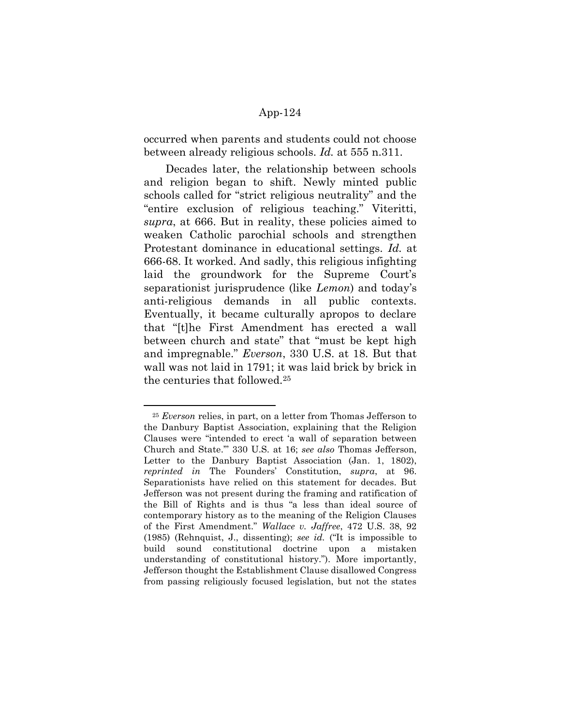occurred when parents and students could not choose between already religious schools. Id. at 555 n.311.

Decades later, the relationship between schools and religion began to shift. Newly minted public schools called for "strict religious neutrality" and the "entire exclusion of religious teaching." Viteritti, supra, at 666. But in reality, these policies aimed to weaken Catholic parochial schools and strengthen Protestant dominance in educational settings. Id. at 666-68. It worked. And sadly, this religious infighting laid the groundwork for the Supreme Court's separationist jurisprudence (like Lemon) and today's anti-religious demands in all public contexts. Eventually, it became culturally apropos to declare that "[t]he First Amendment has erected a wall between church and state" that "must be kept high and impregnable." Everson, 330 U.S. at 18. But that wall was not laid in 1791; it was laid brick by brick in the centuries that followed.<sup>25</sup>

 $25$  Everson relies, in part, on a letter from Thomas Jefferson to the Danbury Baptist Association, explaining that the Religion Clauses were "intended to erect 'a wall of separation between Church and State.'" 330 U.S. at 16; see also Thomas Jefferson, Letter to the Danbury Baptist Association (Jan. 1, 1802), reprinted in The Founders' Constitution, supra, at 96. Separationists have relied on this statement for decades. But Jefferson was not present during the framing and ratification of the Bill of Rights and is thus "a less than ideal source of contemporary history as to the meaning of the Religion Clauses of the First Amendment." Wallace v. Jaffree, 472 U.S. 38, 92 (1985) (Rehnquist, J., dissenting); see id. ("It is impossible to build sound constitutional doctrine upon a mistaken understanding of constitutional history."). More importantly, Jefferson thought the Establishment Clause disallowed Congress from passing religiously focused legislation, but not the states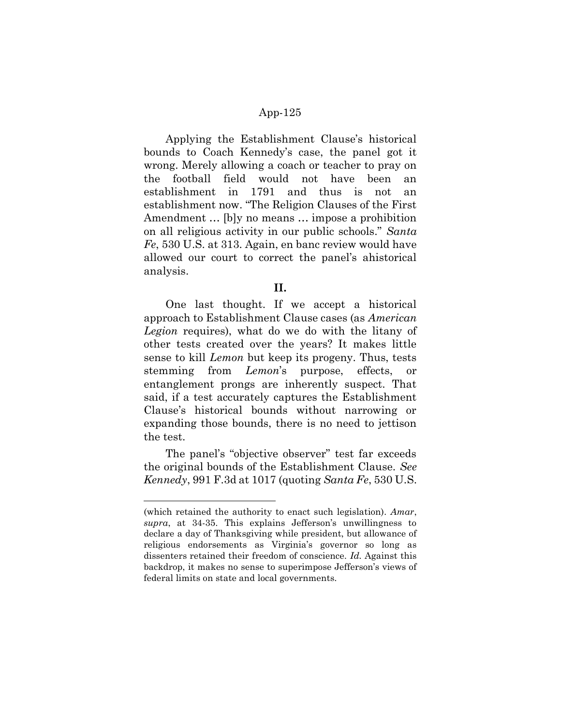Applying the Establishment Clause's historical bounds to Coach Kennedy's case, the panel got it wrong. Merely allowing a coach or teacher to pray on the football field would not have been an establishment in 1791 and thus is not an establishment now. "The Religion Clauses of the First Amendment … [b]y no means … impose a prohibition on all religious activity in our public schools." Santa  $Fe$ , 530 U.S. at 313. Again, en banc review would have allowed our court to correct the panel's ahistorical analysis.

#### II.

One last thought. If we accept a historical approach to Establishment Clause cases (as American Legion requires), what do we do with the litany of other tests created over the years? It makes little sense to kill Lemon but keep its progeny. Thus, tests stemming from Lemon's purpose, effects, or entanglement prongs are inherently suspect. That said, if a test accurately captures the Establishment Clause's historical bounds without narrowing or expanding those bounds, there is no need to jettison the test.

The panel's "objective observer" test far exceeds the original bounds of the Establishment Clause. See Kennedy, 991 F.3d at 1017 (quoting Santa Fe, 530 U.S.

<sup>(</sup>which retained the authority to enact such legislation). Amar, supra, at 34-35. This explains Jefferson's unwillingness to declare a day of Thanksgiving while president, but allowance of religious endorsements as Virginia's governor so long as dissenters retained their freedom of conscience. Id. Against this backdrop, it makes no sense to superimpose Jefferson's views of federal limits on state and local governments.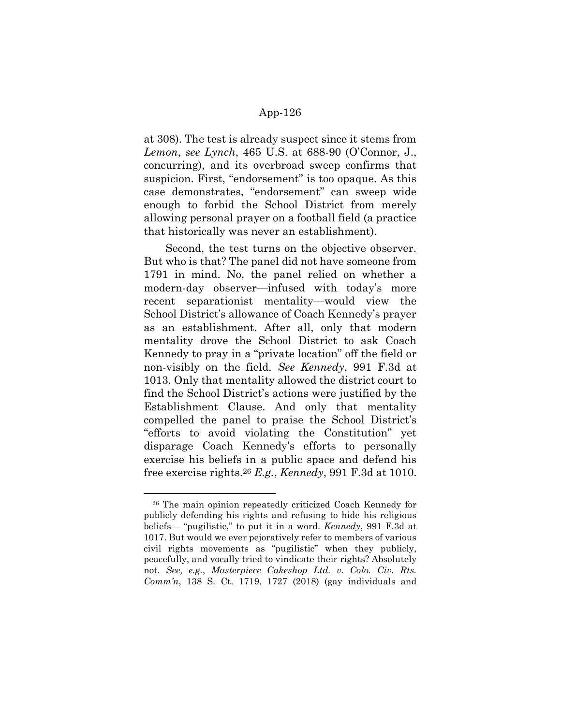at 308). The test is already suspect since it stems from Lemon, see Lynch, 465 U.S. at 688-90 (O'Connor, J., concurring), and its overbroad sweep confirms that suspicion. First, "endorsement" is too opaque. As this case demonstrates, "endorsement" can sweep wide enough to forbid the School District from merely allowing personal prayer on a football field (a practice that historically was never an establishment).

Second, the test turns on the objective observer. But who is that? The panel did not have someone from 1791 in mind. No, the panel relied on whether a modern-day observer—infused with today's more recent separationist mentality—would view the School District's allowance of Coach Kennedy's prayer as an establishment. After all, only that modern mentality drove the School District to ask Coach Kennedy to pray in a "private location" off the field or non-visibly on the field. See Kennedy, 991 F.3d at 1013. Only that mentality allowed the district court to find the School District's actions were justified by the Establishment Clause. And only that mentality compelled the panel to praise the School District's "efforts to avoid violating the Constitution" yet disparage Coach Kennedy's efforts to personally exercise his beliefs in a public space and defend his free exercise rights.<sup>26</sup> E.g., Kennedy, 991 F.3d at 1010.

-

<sup>26</sup> The main opinion repeatedly criticized Coach Kennedy for publicly defending his rights and refusing to hide his religious beliefs— "pugilistic," to put it in a word. Kennedy, 991 F.3d at 1017. But would we ever pejoratively refer to members of various civil rights movements as "pugilistic" when they publicly, peacefully, and vocally tried to vindicate their rights? Absolutely not. See, e.g., Masterpiece Cakeshop Ltd. v. Colo. Civ. Rts. Comm'n, 138 S. Ct. 1719, 1727 (2018) (gay individuals and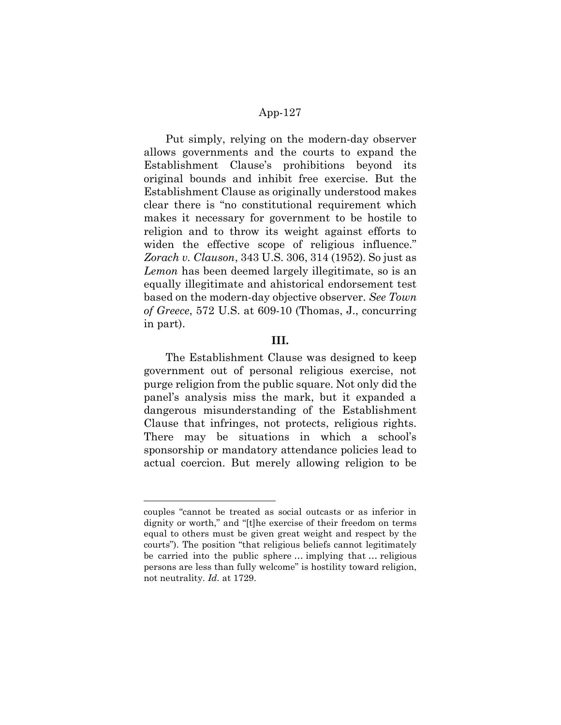Put simply, relying on the modern-day observer allows governments and the courts to expand the Establishment Clause's prohibitions beyond its original bounds and inhibit free exercise. But the Establishment Clause as originally understood makes clear there is "no constitutional requirement which makes it necessary for government to be hostile to religion and to throw its weight against efforts to widen the effective scope of religious influence." Zorach v. Clauson, 343 U.S. 306, 314 (1952). So just as Lemon has been deemed largely illegitimate, so is an equally illegitimate and ahistorical endorsement test based on the modern-day objective observer. See Town of Greece, 572 U.S. at 609-10 (Thomas, J., concurring in part).

### III.

The Establishment Clause was designed to keep government out of personal religious exercise, not purge religion from the public square. Not only did the panel's analysis miss the mark, but it expanded a dangerous misunderstanding of the Establishment Clause that infringes, not protects, religious rights. There may be situations in which a school's sponsorship or mandatory attendance policies lead to actual coercion. But merely allowing religion to be

couples "cannot be treated as social outcasts or as inferior in dignity or worth," and "[t]he exercise of their freedom on terms equal to others must be given great weight and respect by the courts"). The position "that religious beliefs cannot legitimately be carried into the public sphere … implying that … religious persons are less than fully welcome" is hostility toward religion, not neutrality. Id. at 1729.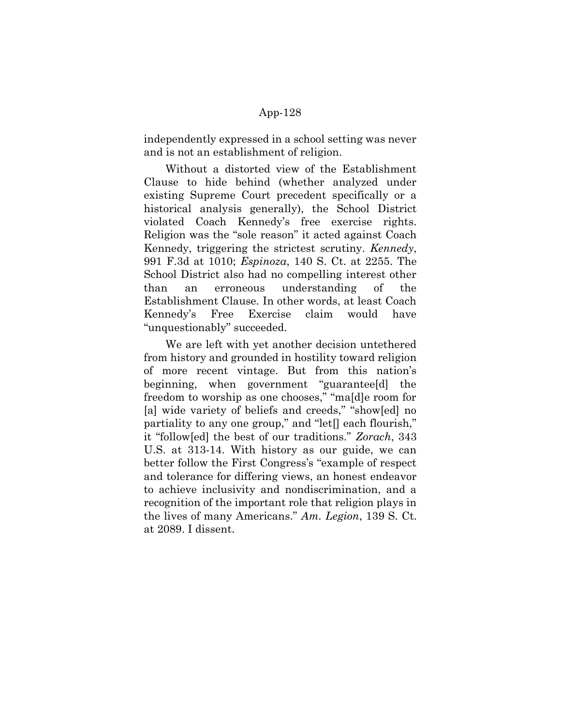independently expressed in a school setting was never and is not an establishment of religion.

Without a distorted view of the Establishment Clause to hide behind (whether analyzed under existing Supreme Court precedent specifically or a historical analysis generally), the School District violated Coach Kennedy's free exercise rights. Religion was the "sole reason" it acted against Coach Kennedy, triggering the strictest scrutiny. Kennedy, 991 F.3d at 1010; Espinoza, 140 S. Ct. at 2255. The School District also had no compelling interest other than an erroneous understanding of the Establishment Clause. In other words, at least Coach Kennedy's Free Exercise claim would have "unquestionably" succeeded.

We are left with yet another decision untethered from history and grounded in hostility toward religion of more recent vintage. But from this nation's beginning, when government "guarantee[d] the freedom to worship as one chooses," "ma[d]e room for [a] wide variety of beliefs and creeds," "show[ed] no partiality to any one group," and "let[] each flourish," it "follow[ed] the best of our traditions." Zorach, 343 U.S. at 313-14. With history as our guide, we can better follow the First Congress's "example of respect and tolerance for differing views, an honest endeavor to achieve inclusivity and nondiscrimination, and a recognition of the important role that religion plays in the lives of many Americans." Am. Legion, 139 S. Ct. at 2089. I dissent.